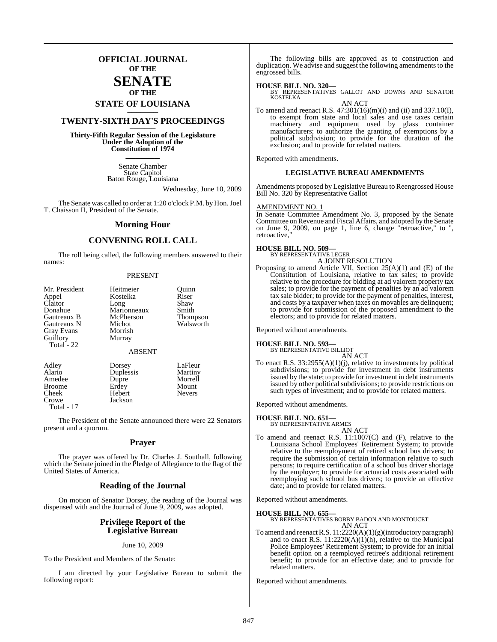### **OFFICIAL JOURNAL OF THE**

### **SENATE OF THE**

# **STATE OF LOUISIANA \_\_\_\_\_\_\_**

### **TWENTY-SIXTH DAY'S PROCEEDINGS \_\_\_\_\_\_\_**

**Thirty-Fifth Regular Session of the Legislature Under the Adoption of the Constitution of 1974 \_\_\_\_\_\_\_**

> Senate Chamber State Capitol Baton Rouge, Louisiana

> > Wednesday, June 10, 2009

The Senate was called to order at 1:20 o'clock P.M. by Hon. Joel T. Chaisson II, President of the Senate.

### **Morning Hour**

### **CONVENING ROLL CALL**

The roll being called, the following members answered to their names:

### PRESENT

| Mr. President<br>Appel<br>Claitor<br>Donahue<br>Gautreaux B<br>Gautreaux N<br><b>Gray Evans</b><br>Guillory<br>Total - 22 | Heitmeier<br>Kostelka<br>Long<br>Marionneaux<br>McPherson<br>Michot<br>Morrish<br>Murray<br><b>ABSENT</b> | Ouinn<br>Riser<br>Shaw<br>Smith<br>Thompson<br>Walsworth |
|---------------------------------------------------------------------------------------------------------------------------|-----------------------------------------------------------------------------------------------------------|----------------------------------------------------------|
| Adley                                                                                                                     | Dorsey                                                                                                    | LaFleur                                                  |
| Alario                                                                                                                    | Duplessis                                                                                                 | Martiny                                                  |
| Amedee                                                                                                                    | Dupre                                                                                                     | Morrell                                                  |
| <b>Broome</b>                                                                                                             | Erdey                                                                                                     | Mount                                                    |
| Cheek                                                                                                                     | Hebert                                                                                                    | <b>Nevers</b>                                            |

Crowe Jackson Total - 17

The President of the Senate announced there were 22 Senators present and a quorum.

### **Prayer**

The prayer was offered by Dr. Charles J. Southall, following which the Senate joined in the Pledge of Allegiance to the flag of the United States of America.

### **Reading of the Journal**

On motion of Senator Dorsey, the reading of the Journal was dispensed with and the Journal of June 9, 2009, was adopted.

### **Privilege Report of the Legislative Bureau**

### June 10, 2009

To the President and Members of the Senate:

I am directed by your Legislative Bureau to submit the following report:

The following bills are approved as to construction and duplication. We advise and suggest the following amendments to the engrossed bills.

### **HOUSE BILL NO. 320—**

BY REPRESENTATIVES GALLOT AND DOWNS AND SENATOR KOSTELKA AN ACT

To amend and reenact R.S.  $47:301(16)(m)(i)$  and (ii) and 337.10(I), to exempt from state and local sales and use taxes certain machinery and equipment used by glass container manufacturers; to authorize the granting of exemptions by a political subdivision; to provide for the duration of the exclusion; and to provide for related matters.

Reported with amendments.

### **LEGISLATIVE BUREAU AMENDMENTS**

Amendments proposed by Legislative Bureau to Reengrossed House Bill No. 320 by Representative Gallot

### AMENDMENT NO. 1

In Senate Committee Amendment No. 3, proposed by the Senate Committee onRevenue and Fiscal Affairs, and adopted by the Senate on June 9, 2009, on page 1, line 6, change "retroactive," to ", retroactive,

### **HOUSE BILL NO. 509—** BY REPRESENTATIVE LEGER

A JOINT RESOLUTION

Proposing to amend Article VII, Section 25(A)(1) and (E) of the Constitution of Louisiana, relative to tax sales; to provide relative to the procedure for bidding at ad valorem property tax sales; to provide for the payment of penalties by an ad valorem tax sale bidder; to provide for the payment of penalties, interest, and costs by a taxpayer when taxes on movables are delinquent; to provide for submission of the proposed amendment to the electors; and to provide for related matters.

Reported without amendments.

### **HOUSE BILL NO. 593—** BY REPRESENTATIVE BILLIOT

AN ACT

To enact R.S. 33:2955(A)(1)(j), relative to investments by political subdivisions; to provide for investment in debt instruments issued by the state; to provide for investment in debt instruments issued by other political subdivisions; to provide restrictions on such types of investment; and to provide for related matters.

Reported without amendments.

### **HOUSE BILL NO. 651—** BY REPRESENTATIVE ARMES

AN ACT

To amend and reenact R.S. 11:1007(C) and (F), relative to the Louisiana School Employees' Retirement System; to provide relative to the reemployment of retired school bus drivers; to require the submission of certain information relative to such persons; to require certification of a school bus driver shortage by the employer; to provide for actuarial costs associated with reemploying such school bus drivers; to provide an effective date; and to provide for related matters.

Reported without amendments.

### **HOUSE BILL NO. 655—**

BY REPRESENTATIVES BOBBY BADON AND MONTOUCET AN ACT

To amend and reenact R.S. 11:2220(A)(1)(g)(introductory paragraph) and to enact R.S. 11:2220(A)(1)(h), relative to the Municipal Police Employees' Retirement System; to provide for an initial benefit option on a reemployed retiree's additional retirement benefit; to provide for an effective date; and to provide for related matters.

Reported without amendments.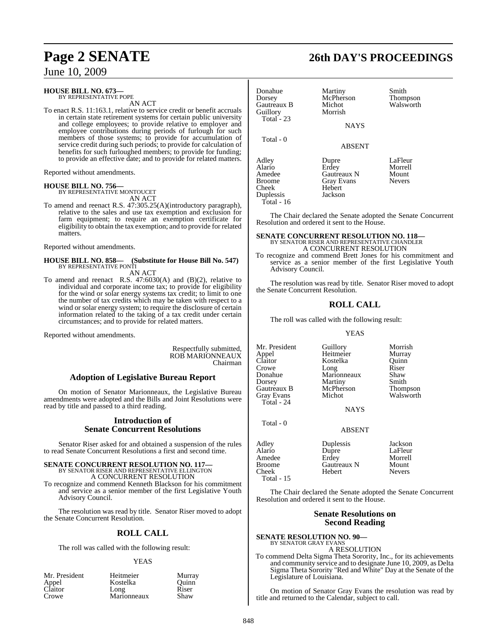### **HOUSE BILL NO. 673—** BY REPRESENTATIVE POPE

AN ACT

To enact R.S. 11:163.1, relative to service credit or benefit accruals in certain state retirement systems for certain public university and college employees; to provide relative to employer and employee contributions during periods of furlough for such members of those systems; to provide for accumulation of service credit during such periods; to provide for calculation of benefits for such furloughed members; to provide for funding; to provide an effective date; and to provide for related matters.

Reported without amendments.

**HOUSE BILL NO. 756—** BY REPRESENTATIVE MONTOUCET AN ACT

To amend and reenact R.S. 47:305.25(A)(introductory paragraph), relative to the sales and use tax exemption and exclusion for farm equipment; to require an exemption certificate for eligibility to obtain the tax exemption; and to provide for related matters.

Reported without amendments.

### **HOUSE BILL NO. 858— (Substitute for House Bill No. 547)** BY REPRESENTATIVE PONTI

AN ACT

To amend and reenact R.S. 47:6030(A) and (B)(2), relative to individual and corporate income tax; to provide for eligibility for the wind or solar energy systems tax credit; to limit to one the number of tax credits which may be taken with respect to a wind or solar energy system; to require the disclosure of certain information related to the taking of a tax credit under certain circumstances; and to provide for related matters.

Reported without amendments.

Respectfully submitted, ROB MARIONNEAUX Chairman

### **Adoption of Legislative Bureau Report**

On motion of Senator Marionneaux, the Legislative Bureau amendments were adopted and the Bills and Joint Resolutions were read by title and passed to a third reading.

### **Introduction of Senate Concurrent Resolutions**

Senator Riser asked for and obtained a suspension of the rules to read Senate Concurrent Resolutions a first and second time.

### **SENATE CONCURRENT RESOLUTION NO. 117—** BY SENATOR RISER AND REPRESENTATIVE ELLINGTON A CONCURRENT RESOLUTION

To recognize and commend Kenneth Blackson for his commitment and service as a senior member of the first Legislative Youth Advisory Council.

The resolution was read by title. Senator Riser moved to adopt the Senate Concurrent Resolution.

### **ROLL CALL**

The roll was called with the following result:

### YEAS

| Mr. President | Heitmeier   | Murr  |
|---------------|-------------|-------|
| Appel         | Kostelka    | Ouin  |
| Claitor       | Long        | Riser |
| Crowe         | Marionneaux | Shaw  |

Heitmeier Murray<br>Kostelka Ouinn Marionneaux Shaw

## **Page 2 SENATE 26th DAY'S PROCEEDINGS**

| Donahue<br>Dorsey<br>Gautreaux B<br>Guillory<br>Total - 23       | Martiny<br>McPherson<br>Michot<br>Morrish<br><b>NAYS</b>                | Smith<br><b>Thompson</b><br>Walsworth        |
|------------------------------------------------------------------|-------------------------------------------------------------------------|----------------------------------------------|
| Total - 0                                                        | <b>ABSENT</b>                                                           |                                              |
| Adley<br>Alario<br>Amedee<br><b>Broome</b><br>Cheek<br>Duplessis | Dupre<br>Erdey<br>Gautreaux N<br><b>Gray Evans</b><br>Hebert<br>Jackson | LaFleur<br>Morrell<br>Mount<br><b>Nevers</b> |

Total - 16

The Chair declared the Senate adopted the Senate Concurrent Resolution and ordered it sent to the House.

### **SENATE CONCURRENT RESOLUTION NO. 118—** BY SENATOR RISER AND REPRESENTATIVE CHANDLER A CONCURRENT RESOLUTION

To recognize and commend Brett Jones for his commitment and service as a senior member of the first Legislative Youth Advisory Council.

The resolution was read by title. Senator Riser moved to adopt the Senate Concurrent Resolution.

### **ROLL CALL**

The roll was called with the following result:

### YEAS

Mr. President Guillory Morrish<br>
Appel Heitmeier Murray Appel Heitmeier Murray Kostelka Quinn<br>Long Riser Crowe Long Riser<br>Donahue Marionneaux Shaw Marionneaux Shaw<br>Martiny Smith Dorsey Martiny Smith<br>
Gautreaux B McPherson Thompson Gautreaux B McPherson Thompson<br>Grav Evans Michot Walsworth Gray Evans Total - 24 NAYS

Total - 0

ABSENT

| Adley<br>Alario<br>Amedee<br>Broome | Duplessis<br>Dupre<br>Erdey<br>Gautreaux N | Jackson<br>LaFleur<br>Morrell<br>Mount |
|-------------------------------------|--------------------------------------------|----------------------------------------|
| Cheek                               | Hebert                                     | <b>Nevers</b>                          |
| Total - $15$                        |                                            |                                        |

The Chair declared the Senate adopted the Senate Concurrent Resolution and ordered it sent to the House.

### **Senate Resolutions on Second Reading**

**SENATE RESOLUTION NO. 90—** BY SENATOR GRAY EVANS

A RESOLUTION

To commend Delta Sigma Theta Sorority, Inc., for its achievements and community service and to designate June 10, 2009, as Delta Sigma Theta Sorority "Red and White" Day at the Senate of the Legislature of Louisiana.

On motion of Senator Gray Evans the resolution was read by title and returned to the Calendar, subject to call.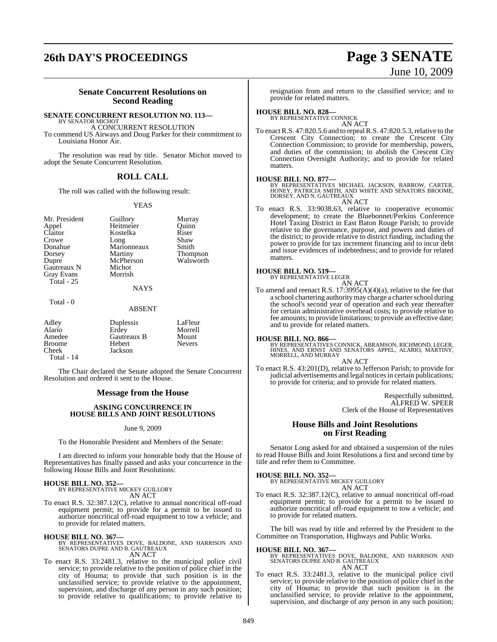# **26th DAY'S PROCEEDINGS Page 3 SENATE**

# June 10, 2009

### **Senate Concurrent Resolutions on Second Reading**

### **SENATE CONCURRENT RESOLUTION NO. 113—**

BY SENATOR MICHOT A CONCURRENT RESOLUTION To commend US Airways and Doug Parker for their commitment to Louisiana Honor Air.

The resolution was read by title. Senator Michot moved to adopt the Senate Concurrent Resolution.

### **ROLL CALL**

The roll was called with the following result:

### YEAS

Mr. President Guillory Murray<br>
Appel Heitmeier Quinn Appel Heitmeier Quinn<br>Claitor Kostelka Riser Claitor Kostelka Riser<br>Crowe Long Shaw Donahue Marionneaux<br>Dorsey Martiny Dorsey Martiny Thompson Gautreaux N Michot<br>Gray Evans Morrish Gray Evans Total - 25

Long Shaw<br>Marionneaux Smith McPherson<br>Michot

### NAYS

Total - 0

### ABSENT

| Adley<br>Alario<br>Amedee<br><b>Broome</b><br>Cheek | Duplessis<br>Erdey<br>Gautreaux B<br>Hebert<br>Jackson | LaFleur<br>Morrell<br>Mount<br><b>Nevers</b> |
|-----------------------------------------------------|--------------------------------------------------------|----------------------------------------------|
| Total - 14                                          |                                                        |                                              |

The Chair declared the Senate adopted the Senate Concurrent Resolution and ordered it sent to the House.

### **Message from the House**

### **ASKING CONCURRENCE IN HOUSE BILLS AND JOINT RESOLUTIONS**

June 9, 2009

To the Honorable President and Members of the Senate:

I am directed to inform your honorable body that the House of Representatives has finally passed and asks your concurrence in the following House Bills and Joint Resolutions:

### **HOUSE BILL NO. 352—** BY REPRESENTATIVE MICKEY GUILLORY

AN ACT

To enact R.S. 32:387.12(C), relative to annual noncritical off-road equipment permit; to provide for a permit to be issued to authorize noncritical off-road equipment to tow a vehicle; and to provide for related matters.

### **HOUSE BILL NO. 367—**

BY REPRESENTATIVES DOVE, BALDONE, AND HARRISON AND SENATORS DUPRE AND B. GAUTREAUX AN ACT

To enact R.S. 33:2481.3, relative to the municipal police civil service; to provide relative to the position of police chief in the city of Houma; to provide that such position is in the unclassified service; to provide relative to the appointment, supervision, and discharge of any person in any such position; to provide relative to qualifications; to provide relative to

resignation from and return to the classified service; and to provide for related matters.

### **HOUSE BILL NO. 828—** BY REPRESENTATIVE CONNICK

AN ACT

To enact R.S. 47:820.5.6 and to repeal R.S. 47:820.5.3, relative to the Crescent City Connection; to create the Crescent City Connection Commission; to provide for membership, powers, and duties of the commission; to abolish the Crescent City Connection Oversight Authority; and to provide for related matters.

**HOUSE BILL NO. 877—**<br>BY REPRESENTATIVES MICHAEL JACKSON, BARROW, CARTER,<br>HONEY, PATRICIA SMITH, AND WHITE AND SENATORS BROOME,<br>DORSEY, AND N. GAUTREAUX AN ACT

To enact R.S. 33:9038.63, relative to cooperative economic development; to create the Bluebonnet/Perkins Conference Hotel Taxing District in East Baton Rouge Parish; to provide relative to the governance, purpose, and powers and duties of the district; to provide relative to district funding, including the power to provide for tax increment financing and to incur debt and issue evidences of indebtedness; and to provide for related matters.

### **HOUSE BILL NO. 519—** BY REPRESENTATIVE LEGER

AN ACT

To amend and reenact R.S. 17:3995(A)(4)(a), relative to the fee that a school chartering authority may charge a charter school during the school's second year of operation and each year thereafter for certain administrative overhead costs; to provide relative to fee amounts; to provide limitations; to provide an effective date; and to provide for related matters.

**HOUSE BILL NO. 866—** BY REPRESENTATIVES CONNICK, ABRAMSON, RICHMOND, LEGER, HINES, AND ERNST AND SENATORS APPEL, ALARIO, MARTINY, MORRELL, AND MURRAY

AN ACT

To enact R.S. 43:201(D), relative to Jefferson Parish; to provide for judicial advertisements and legal notices in certain publications; to provide for criteria; and to provide for related matters.

> Respectfully submitted, ALFRED W. SPEER Clerk of the House of Representatives

### **House Bills and Joint Resolutions on First Reading**

Senator Long asked for and obtained a suspension of the rules to read House Bills and Joint Resolutions a first and second time by title and refer them to Committee.

**HOUSE BILL NO. 352—**

BY REPRESENTATIVE MICKEY GUILLORY AN ACT

To enact R.S. 32:387.12(C), relative to annual noncritical off-road equipment permit; to provide for a permit to be issued to authorize noncritical off-road equipment to tow a vehicle; and to provide for related matters.

The bill was read by title and referred by the President to the Committee on Transportation, Highways and Public Works.

- **HOUSE BILL NO. 367—** BY REPRESENTATIVES DOVE, BALDONE, AND HARRISON AND SENATORS DUPRE AND B. GAUTREAUX AN ACT
- To enact R.S. 33:2481.3, relative to the municipal police civil service; to provide relative to the position of police chief in the city of Houma; to provide that such position is in the unclassified service; to provide relative to the appointment, supervision, and discharge of any person in any such position;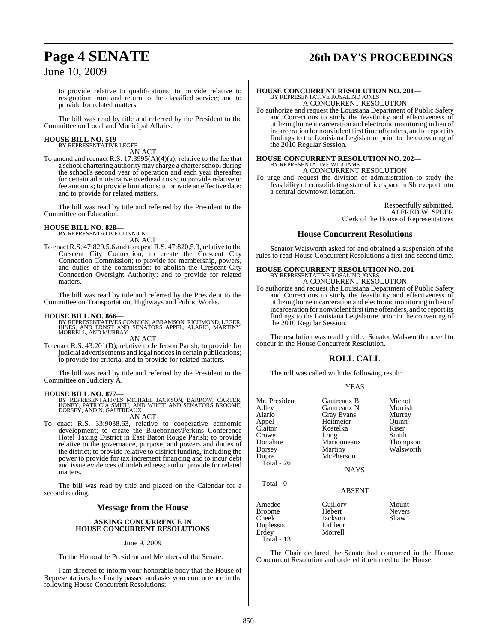### to provide relative to qualifications; to provide relative to resignation from and return to the classified service; and to provide for related matters.

The bill was read by title and referred by the President to the Committee on Local and Municipal Affairs.

### **HOUSE BILL NO. 519—** BY REPRESENTATIVE LEGER

AN ACT

To amend and reenact R.S. 17:3995(A)(4)(a), relative to the fee that a school chartering authority may charge a charter school during the school's second year of operation and each year thereafter for certain administrative overhead costs; to provide relative to fee amounts; to provide limitations; to provide an effective date; and to provide for related matters.

The bill was read by title and referred by the President to the Committee on Education.

**HOUSE BILL NO. 828—** BY REPRESENTATIVE CONNICK AN ACT

To enact R.S. 47:820.5.6 and to repeal R.S. 47:820.5.3, relative to the Crescent City Connection; to create the Crescent City Connection Commission; to provide for membership, powers, and duties of the commission; to abolish the Crescent City Connection Oversight Authority; and to provide for related matters.

The bill was read by title and referred by the President to the Committee on Transportation, Highways and Public Works.

**HOUSE BILL NO. 866—** BY REPRESENTATIVES CONNICK, ABRAMSON, RICHMOND, LEGER, HINES, AND ERNST AND SENATORS APPEL, ALARIO, MARTINY, MORRELL, AND MURRAY

AN ACT

To enact R.S. 43:201(D), relative to Jefferson Parish; to provide for judicial advertisements and legal notices in certain publications; to provide for criteria; and to provide for related matters.

The bill was read by title and referred by the President to the Committee on Judiciary A.

### **HOUSE BILL NO. 877—**

BY REPRESENTATIVES MICHAEL JACKSON, BARROW, CARTER,<br>HONEY, PATRICIA SMITH, AND WHITE AND SENATORS BROOME,<br>DORSEY, AND N. GAUTREAUX

### AN ACT

To enact R.S. 33:9038.63, relative to cooperative economic development; to create the Bluebonnet/Perkins Conference Hotel Taxing District in East Baton Rouge Parish; to provide relative to the governance, purpose, and powers and duties of the district; to provide relative to district funding, including the power to provide for tax increment financing and to incur debt and issue evidences of indebtedness; and to provide for related matters.

The bill was read by title and placed on the Calendar for a second reading.

### **Message from the House**

### **ASKING CONCURRENCE IN HOUSE CONCURRENT RESOLUTIONS**

### June 9, 2009

To the Honorable President and Members of the Senate:

I am directed to inform your honorable body that the House of Representatives has finally passed and asks your concurrence in the following House Concurrent Resolutions:

# **Page 4 SENATE 26th DAY'S PROCEEDINGS**

### **HOUSE CONCURRENT RESOLUTION NO. 201—** BY REPRESENTATIVE ROSALIND JONES A CONCURRENT RESOLUTION

To authorize and request the Louisiana Department of Public Safety and Corrections to study the feasibility and effectiveness of utilizing home incarceration and electronic monitoring in lieu of incarceration for nonviolent first time offenders, and to report its findings to the Louisiana Legislature prior to the convening of the 2010 Regular Session.

# **HOUSE CONCURRENT RESOLUTION NO. 202—** BY REPRESENTATIVE WILLIAMS

A CONCURRENT RESOLUTION

To urge and request the division of administration to study the feasibility of consolidating state office space in Shreveport into a central downtown location.

> Respectfully submitted, ALFRED W. SPEER Clerk of the House of Representatives

### **House Concurrent Resolutions**

Senator Walsworth asked for and obtained a suspension of the rules to read House Concurrent Resolutions a first and second time.

### **HOUSE CONCURRENT RESOLUTION NO. 201—** BY REPRESENTATIVE ROSALIND JONES

A CONCURRENT RESOLUTION

To authorize and request the Louisiana Department of Public Safety and Corrections to study the feasibility and effectiveness of utilizing home incarceration and electronic monitoring in lieu of incarceration for nonviolent first time offenders, and to report its findings to the Louisiana Legislature prior to the convening of the 2010 Regular Session.

The resolution was read by title. Senator Walsworth moved to concur in the House Concurrent Resolution.

### **ROLL CALL**

The roll was called with the following result:

| v |
|---|
|---|

| Mr. President<br>Adley<br>Alario<br>Appel<br>Claitor<br>Crowe<br>Donahue<br>Dorsey<br>Dupre<br>Total - 26 | Gautreaux B<br>Gautreaux N<br>Gray Evans<br>Heitmeier<br>Kostelka<br>Long<br>Marionneaux<br>Martiny<br>McPherson<br><b>NAYS</b> | Michot<br>Morrish<br>Murray<br>Ouinn<br>Riser<br>Smith<br>Thompson<br>Walsworth |
|-----------------------------------------------------------------------------------------------------------|---------------------------------------------------------------------------------------------------------------------------------|---------------------------------------------------------------------------------|
| Total - 0                                                                                                 | <b>ABSENT</b>                                                                                                                   |                                                                                 |
| Amedee<br>Broome<br>Cheek<br>Duplessis<br>Erdey<br>Total - 13                                             | Guillory<br>Hebert<br>Jackson<br>LaFleur<br>Morrell                                                                             | Mount<br><b>Nevers</b><br>Shaw                                                  |

The Chair declared the Senate had concurred in the House Concurrent Resolution and ordered it returned to the House.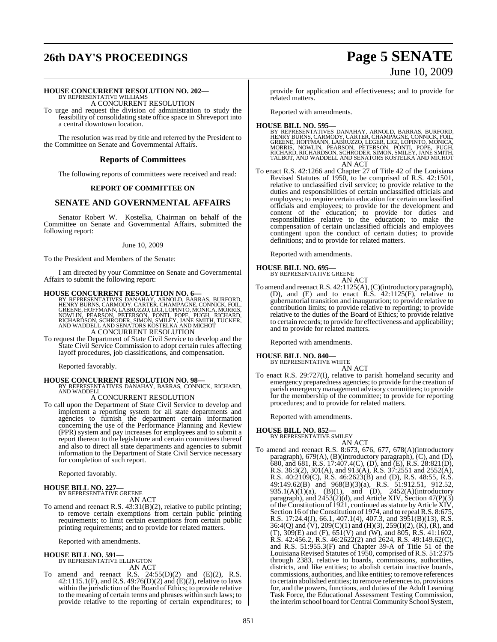# **26th DAY'S PROCEEDINGS Page 5 SENATE**

# June 10, 2009

### **HOUSE CONCURRENT RESOLUTION NO. 202—** BY REPRESENTATIVE WILLIAMS

A CONCURRENT RESOLUTION

To urge and request the division of administration to study the feasibility of consolidating state office space in Shreveport into a central downtown location.

The resolution was read by title and referred by the President to the Committee on Senate and Governmental Affairs.

### **Reports of Committees**

The following reports of committees were received and read:

### **REPORT OF COMMITTEE ON**

### **SENATE AND GOVERNMENTAL AFFAIRS**

Senator Robert W. Kostelka, Chairman on behalf of the Committee on Senate and Governmental Affairs, submitted the following report:

### June 10, 2009

To the President and Members of the Senate:

I am directed by your Committee on Senate and Governmental Affairs to submit the following report:

**HOUSE CONCURRENT RESOLUTION NO. 6—**<br>BY REPRESENTATIVES DANAHAY, ARNOLD, BARRAS, BURFORD,<br>HENRY BURNS, CARMODY, CARTER, CHAMPAGNE, CONNICK, FOIL,<br>GREENE, HOFFMANN, LABRUZZO, LIGI, LOPINTO, MONICA, MORRIS,<br>NOWLIN, PEARSON, A CONCURRENT RESOLUTION

To request the Department of State Civil Service to develop and the State Civil Service Commission to adopt certain rules affecting layoff procedures, job classifications, and compensation.

Reported favorably.

**HOUSE CONCURRENT RESOLUTION NO. 98—** BY REPRESENTATIVES DANAHAY, BARRAS, CONNICK, RICHARD, AND WADDELL

### A CONCURRENT RESOLUTION

To call upon the Department of State Civil Service to develop and implement a reporting system for all state departments and agencies to furnish the department certain information concerning the use of the Performance Planning and Review (PPR) system and pay increases for employees and to submit a report thereon to the legislature and certain committees thereof and also to direct all state departments and agencies to submit information to the Department of State Civil Service necessary for completion of such report.

Reported favorably.

# **HOUSE BILL NO. 227—** BY REPRESENTATIVE GREENE

AN ACT

To amend and reenact R.S. 43:31(B)(2), relative to public printing; to remove certain exemptions from certain public printing requirements; to limit certain exemptions from certain public printing requirements; and to provide for related matters.

Reported with amendments.

# **HOUSE BILL NO. 591—** BY REPRESENTATIVE ELLINGTON

AN ACT

To amend and reenact R.S.  $24:55(D)(2)$  and  $(E)(2)$ , R.S. 42:1115.1(F), and R.S. 49:76(D)(2) and (E)(2), relative to laws within the jurisdiction of the Board of Ethics; to provide relative to the meaning of certain terms and phrases within such laws; to provide relative to the reporting of certain expenditures; to

provide for application and effectiveness; and to provide for related matters.

Reported with amendments.

### **HOUSE BILL NO. 595—**

- BY REPRESENTATIVES DANAHAY, ARNOLD, BARRAS, BURFORD,<br>HENRY BURNS, CARMODY, CARTER, CHAMPAGNE, CONNICK, FOIL,<br>GREENE, HOFFMANN, LABRUZZO, LÉGER, LIGI, LOPINTO, MONCA,<br>MORRIS, NOWLIN, PEARSON, PETERSON, PONTI, POPE, PUGH,<br>RI TALBOT, AND WADDELL AND SENATORS KOSTELKA AND MICHOT AN ACT
- To enact R.S. 42:1266 and Chapter 27 of Title 42 of the Louisiana Revised Statutes of 1950, to be comprised of R.S. 42:1501, relative to unclassified civil service; to provide relative to the duties and responsibilities of certain unclassified officials and employees; to require certain education for certain unclassified officials and employees; to provide for the development and content of the education; to provide for duties and responsibilities relative to the education; to make the compensation of certain unclassified officials and employees contingent upon the conduct of certain duties; to provide definitions; and to provide for related matters.

Reported with amendments.

### **HOUSE BILL NO. 695—**

BY REPRESENTATIVE GREENE

- AN ACT
- To amend and reenactR.S. 42:1125(A),(C)(introductory paragraph), (D), and (E) and to enact R.S. 42:1125(F), relative to gubernatorial transition and inauguration; to provide relative to contribution limits; to provide relative to reporting; to provide relative to the duties of the Board of Ethics; to provide relative to certain records; to provide for effectiveness and applicability; and to provide for related matters.

Reported with amendments.

## **HOUSE BILL NO. 840—** BY REPRESENTATIVE WHITE

AN ACT

To enact R.S. 29:727(I), relative to parish homeland security and emergency preparedness agencies; to provide for the creation of parish emergencymanagement advisory committees; to provide for the membership of the committee; to provide for reporting procedures; and to provide for related matters.

Reported with amendments.

**HOUSE BILL NO. 852—** BY REPRESENTATIVE SMILEY AN ACT

- 
- To amend and reenact R.S. 8:673, 676, 677, 678(A)(introductory paragraph), 679(A), (B)(introductory paragraph), (C), and (D), 680, and 681, R.S. 17:407.4(C), (D), and (E), R.S. 28:821(D), R.S. 36:3(2), 301(A), and 913(A), R.S. 37:2551 and 2552(A), R.S. 40:2109(C), R.S. 46:2623(B) and (D), R.S. 48:55, R.S. 49:149.62(B) and 968(B)(3)(a), R.S. 51:912.51, 912.52, 935.1(A)(1)(a), (B)(1), and (D), 2452(A)(introductory paragraph), and 2453(2)(d), and Article XIV, Section 47(P)(3) of the Constitution of  $1921$ , continued as statute by Article XIV, Section 16 of the Constitution of 1974, and to repeal R.S. 8:675, R.S. 17:24.4(J), 66.1, 407.1(4), 407.3, and 3951(B)(13), R.S. 36:4(Q) and (V), 209(C)(1) and (H)(3), 259(I)(2), (K), (R), and (T),  $309(E)$  and (F),  $651(V)$  and (W), and  $805$ , R.S. 41:1602, R.S. 42:456.2, R.S. 46:2622(2) and 2624, R.S. 49:149.62(C), and R.S. 51:955.3(F) and Chapter 39-A of Title 51 of the Louisiana Revised Statutes of 1950, comprised of R.S. 51:2375 through 2383, relative to boards, commissions, authorities, districts, and like entities; to abolish certain inactive boards, commissions, authorities, and like entities; to remove references to certain abolished entities; to remove referencesto, provisions for, and the powers, functions, and duties of the Adult Learning Task Force, the Educational Assessment Testing Commission, the interim school board for Central Community School System,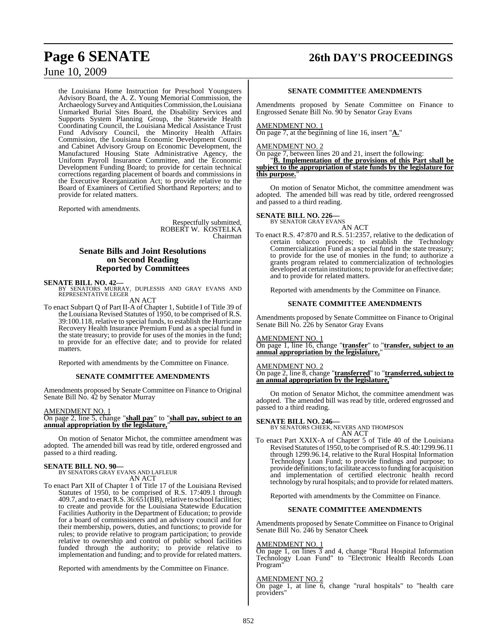# **Page 6 SENATE 26th DAY'S PROCEEDINGS**

### June 10, 2009

the Louisiana Home Instruction for Preschool Youngsters Advisory Board, the A. Z. Young Memorial Commission, the ArchaeologySurvey and Antiquities Commission, the Louisiana Unmarked Burial Sites Board, the Disability Services and Supports System Planning Group, the Statewide Health Coordinating Council, the Louisiana Medical Assistance Trust Fund Advisory Council, the Minority Health Affairs Commission, the Louisiana Economic Development Council and Cabinet Advisory Group on Economic Development, the Manufactured Housing State Administrative Agency, the Uniform Payroll Insurance Committee, and the Economic Development Funding Board; to provide for certain technical corrections regarding placement of boards and commissions in the Executive Reorganization Act; to provide relative to the Board of Examiners of Certified Shorthand Reporters; and to provide for related matters.

Reported with amendments.

Respectfully submitted, ROBERT W. KOSTELKA Chairman

### **Senate Bills and Joint Resolutions on Second Reading Reported by Committees**

**SENATE BILL NO. 42—**<br>BY SENATORS MURRAY, DUPLESSIS AND GRAY EVANS AND REPRESENTATIVE LEGER

AN ACT

To enact Subpart Q of Part II-A of Chapter 1, Subtitle I of Title 39 of the Louisiana Revised Statutes of 1950, to be comprised of R.S. 39:100.118, relative to special funds, to establish the Hurricane Recovery Health Insurance Premium Fund as a special fund in the state treasury; to provide for uses of the monies in the fund; to provide for an effective date; and to provide for related matters.

Reported with amendments by the Committee on Finance.

### **SENATE COMMITTEE AMENDMENTS**

Amendments proposed by Senate Committee on Finance to Original Senate Bill No. 42 by Senator Murray

### AMENDMENT NO. 1

### On page 2, line 5, change "**shall pay**" to "**shall pay, subject to an annual appropriation by the legislature,**"

On motion of Senator Michot, the committee amendment was adopted. The amended bill was read by title, ordered engrossed and passed to a third reading.

### **SENATE BILL NO. 90—**

BY SENATORS GRAY EVANS AND LAFLEUR AN ACT

To enact Part XII of Chapter 1 of Title 17 of the Louisiana Revised Statutes of 1950, to be comprised of R.S. 17:409.1 through  $409.7$ , and to enact R.S.  $36:65\overline{1}$ (BB), relative to school facilities; to create and provide for the Louisiana Statewide Education Facilities Authority in the Department of Education; to provide for a board of commissioners and an advisory council and for their membership, powers, duties, and functions; to provide for rules; to provide relative to program participation; to provide relative to ownership and control of public school facilities funded through the authority; to provide relative to implementation and funding; and to provide for related matters.

Reported with amendments by the Committee on Finance.

### **SENATE COMMITTEE AMENDMENTS**

Amendments proposed by Senate Committee on Finance to Engrossed Senate Bill No. 90 by Senator Gray Evans

### AMENDMENT NO. 1

On page 7, at the beginning of line 16, insert "**A.**"

### AMENDMENT NO. 2

On page 7, between lines 20 and 21, insert the following:

"**B. Implementation of the provisions of this Part shall be subject to the appropriation of state funds by the legislature for this purpose.**"

On motion of Senator Michot, the committee amendment was adopted. The amended bill was read by title, ordered reengrossed and passed to a third reading.

# **SENATE BILL NO. 226—**<br>BY SENATOR GRAY EVANS

AN ACT

To enact R.S. 47:870 and R.S. 51:2357, relative to the dedication of certain tobacco proceeds; to establish the Technology Commercialization Fund as a special fund in the state treasury; to provide for the use of monies in the fund; to authorize a grants program related to commercialization of technologies developed at certain institutions; to provide for an effective date; and to provide for related matters.

Reported with amendments by the Committee on Finance.

### **SENATE COMMITTEE AMENDMENTS**

Amendments proposed by Senate Committee on Finance to Original Senate Bill No. 226 by Senator Gray Evans

### AMENDMENT NO. 1

On page 1, line 16, change "**transfer**" to "**transfer, subject to an annual appropriation by the legislature,**"

### AMENDMENT NO. 2

On page 2, line 8, change "**transferred**" to "**transferred, subject to an annual appropriation by the legislature,**"

On motion of Senator Michot, the committee amendment was adopted. The amended bill was read by title, ordered engrossed and passed to a third reading.

### **SENATE BILL NO. 246—**

BY SENATORS CHEEK, NEVERS AND THOMPSON AN ACT

To enact Part XXIX-A of Chapter 5 of Title 40 of the Louisiana Revised Statutes of 1950, to be comprised of R.S. 40:1299.96.11 through 1299.96.14, relative to the Rural Hospital Information Technology Loan Fund; to provide findings and purpose; to provide definitions; to facilitate accessto funding for acquisition and implementation of certified electronic health record technology by rural hospitals; and to provide for related matters.

Reported with amendments by the Committee on Finance.

### **SENATE COMMITTEE AMENDMENTS**

Amendments proposed by Senate Committee on Finance to Original Senate Bill No. 246 by Senator Cheek

### AMENDMENT NO. 1

On page 1, on lines 3 and 4, change "Rural Hospital Information Technology Loan Fund" to "Electronic Health Records Loan Program"

### AMENDMENT NO. 2

On page 1, at line 6, change "rural hospitals" to "health care providers"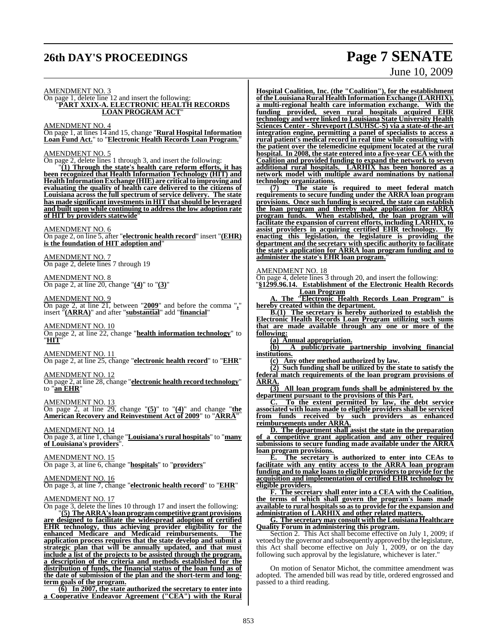# **26th DAY'S PROCEEDINGS Page 7 SENATE**

# June 10, 2009

### AMENDMENT NO. 3

On page 1, delete line 12 and insert the following: "**PART XXIX-A. ELECTRONIC HEALTH RECORDS LOAN PROGRAM ACT**"

AMENDMENT NO. 4

On page 1, at lines 14 and 15, change "**Rural Hospital Information Loan Fund Act.**" to "**Electronic Health Records Loan Program.**"

### AMENDMENT NO. 5

On page 2, delete lines 1 through 3, and insert the following:

"**(1) Through the state's health care reform efforts, it has been recognized that Health Information Technology (HIT) and Health InformationExchange (HIE) are criticalto improving and evaluating the quality of health care delivered to the citizens of Louisiana across the full spectrum of service delivery. The state has made significant investments in HIT thatshould be leveraged and built upon while continuing to address the low adoption rate of HIT by providers statewide**"

### AMENDMENT NO. 6

On page 2, on line 5, after "**electronic health record**" insert "**(EHR) is the foundation of HIT adoption and**"

AMENDMENT NO. 7 On page 2, delete lines 7 through 19

AMENDMENT NO. 8 On page 2, at line 20, change "**(4)**" to "**(3)**"

### AMENDMENT NO. 9

On page 2, at line 21, between "**2009**" and before the comma "**,**" insert "**(ARRA)**" and after "**substantial**" add "**financial**"

### AMENDMENT NO. 10

On page 2, at line 22, change "**health information technology**" to "**HIT**"

### AMENDMENT NO. 11

On page 2, at line 25, change "**electronic health record**" to "**EHR**"

AMENDMENT NO. 12

On page 2, at line 28, change "**electronic health record technology**" to "**an EHR**"

AMENDMENT NO. 13

On page 2, at line 29, change "**(5)**" to "**(4)**" and change "**the American Recovery and Reinvestment Act of 2009**" to "**ARRA**"

AMENDMENT NO. 14 On page 3, at line 1, change "**Louisiana's rural hospitals**" to "**many of Louisiana's providers**".

### AMENDMENT NO. 15

On page 3, at line 6, change "**hospitals**" to "**providers**"

AMENDMENT NO. 16 On page 3, at line 7, change "**electronic health record**" to "**EHR**"

### AMENDMENT NO. 17

On page 3, delete the lines 10 through 17 and insert the following: "**(5) The ARRA's loan program competitive grant provisions**

**are designed to facilitate the widespread adoption of certified EHR technology, thus achieving provider eligibility for the enhanced Medicare and Medicaid reimbursements. The application process requires that the state develop and submit a strategic plan that will be annually updated, and that must include a list of the projects to be assisted through the program, a description of the criteria and methods established for the distribution of funds, the financial status of the loan fund as of the date of submission of the plan and the short-term and longterm goals of the program.**

**(6) In 2007, the state authorized the secretary to enter into a Cooperative Endeavor Agreement ("CEA") with the Rural** **Hospital Coalition, Inc. (the "Coalition"), for the establishment oftheLouisiana Rural Health InformationExchange (LARHIX), a multi-regional health care information exchange. With the funding provided, seven rural hospitals acquired EHR technology and were linked to Louisiana State University Health Sciences Center - Shreveport (LSUHSC-S) via a state-of-the-art integration engine, permitting a panel of specialists to access a rural patient's medical record in real time while consulting with the patient over the telemedicine equipment located at the rural hospital. In 2008, the state entered into a five-year CEA with the Coalition and provided funding to expand the network to seven additional rural hospitals. LARHIX has been honored as a network model with multiple award nominations by national technology organizations.**

**(7) The state is required to meet federal match requirements to secure funding under the ARRA loan program provisions. Once such funding is secured, the state can establish the loan program and thereby make application for ARRA program funds. When established, the loan program will facilitate the expansion of current efforts, including LARHIX, to assist providers in acquiring certified EHR technology. By enacting this legislation, the legislature is providing the department and the secretary with specific authority to facilitate the state's application for ARRA loan program funding and to administer the state's EHR loan program.**"

### AMENDMENT NO. 18

On page 4, delete lines 3 through 20, and insert the following:

"**§1299.96.14. Establishment of the Electronic Health Records Loan Program**

**A. The "Electronic Health Records Loan Program" is hereby created within the department.** 

**B.(1) The secretary is hereby authorized to establish the Electronic Health Records Loan Program utilizing such sums that are made available through any one or more of the following:**

**(a) Annual appropriation.**

**(b) A public/private partnership involving financial institutions.**

**(c) Any other method authorized by law.**

**(2) Such funding shall be utilized by the state to satisfy the federal match requirements of the loan program provisions of**  $\frac{\overline{\text{ARRA}}}{\text{(3)}}$ 

**(3) All loan program funds shall be administered by the department pursuant to the provisions of this Part.**

**C. To the extent permitted by law, the debt service associated with loans made to eligible providers shall be serviced from funds received by such providers as enhanced reimbursements under ARRA.**

**D. The department shall assist the state in the preparation of a competitive grant application and any other required submissions to secure funding made available under the ARRA loan program provisions.**

**E. The secretary is authorized to enter into CEAs to facilitate with any entity access to the ARRA loan program funding and to make loans to eligible providers to provide for the acquisition and implementation of certified EHR technology by eligible providers.**

**F. The secretary shall enter into a CEA with the Coalition, the terms of which shall govern the program's loans made available to rural hospitalsso as to provide for the expansion and administration of LARHIX and other related matters.** 

**G. The secretary may consult with the Louisiana Healthcare Quality Forum in administering this program.**

Section 2. This Act shall become effective on July 1, 2009; if vetoed by the governor and subsequently approved by the legislature, this Act shall become effective on July 1, 2009, or on the day following such approval by the legislature, whichever is later."

On motion of Senator Michot, the committee amendment was adopted. The amended bill was read by title, ordered engrossed and passed to a third reading.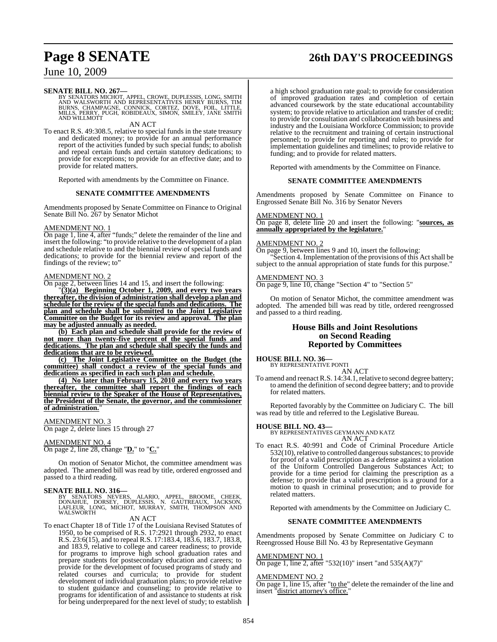# **Page 8 SENATE 26th DAY'S PROCEEDINGS**

### June 10, 2009

**SENATE BILL NO. 267—**<br>BY SENATORS MICHOT, APPEL, CROWE, DUPLESSIS, LONG, SMITH<br>AND WALSWORTH AND REPRESENTATIVES HENRY BURNS, TIM<br>BURNS, CHAMPAGNE, CONNICK, CORTEZ, DOVE, FOIL, LITTLE,<br>MILLS, PERRY, PUGH, ROBIDEAUX, SIMON

### AN ACT

To enact R.S. 49:308.5, relative to special funds in the state treasury and dedicated money; to provide for an annual performance report of the activities funded by such special funds; to abolish and repeal certain funds and certain statutory dedications; to provide for exceptions; to provide for an effective date; and to provide for related matters.

Reported with amendments by the Committee on Finance.

### **SENATE COMMITTEE AMENDMENTS**

Amendments proposed by Senate Committee on Finance to Original Senate Bill No. 267 by Senator Michot

### AMENDMENT NO. 1

On page 1, line 4, after "funds;" delete the remainder of the line and insert the following: "to provide relative to the development of a plan and schedule relative to and the biennial review of special funds and dedications; to provide for the biennial review and report of the findings of the review; to"

### AMENDMENT NO. 2

On page 2, between lines 14 and 15, and insert the following:

"**(3)(a) Beginning October 1, 2009, and every two years thereafter, the division of administration shall develop a plan and schedule for the review of the special funds and dedications. The plan and schedule shall be submitted to the Joint Legislative Committee on the Budget for its review and approval. The plan may be adjusted annually as needed.**

**(b) Each plan and schedule shall provide for the review of not more than twenty-five percent of the special funds and dedications. The plan and schedule shall specify the funds and dedications that are to be reviewed.**

**(c) The Joint Legislative Committee on the Budget (the committee) shall conduct a review of the special funds and dedications as specified in each such plan and schedule.**

**(4) No later than February 15, 2010 and every two years thereafter, the committee shall report the findings of each biennial review to the Speaker of the House of Representatives, the President of the Senate, the governor, and the commissioner of administration.**"

### AMENDMENT NO. 3

On page 2, delete lines 15 through 27

### AMENDMENT NO. 4

On page 2, line 28, change "**D.**" to "**C.**"

On motion of Senator Michot, the committee amendment was adopted. The amended bill was read by title, ordered engrossed and passed to a third reading.

**SENATE BILL NO. 316—**<br>BY SENATORS NEVERS, ALARIO, APPEL, BROOME, CHEEK,<br>DONAHUE, DORSEY, DUPLESSIS, N. GAUTREAUX, JACKSON,<br>LAFLEUR, LONG, MICHOT, MURRAY, SMITH, THOMPSON AND<br>WALSWORTH

### AN ACT

To enact Chapter 18 of Title 17 of the Louisiana Revised Statutes of 1950, to be comprised of R.S. 17:2921 through 2932, to enact R.S. 23:6(15), and to repeal R.S. 17:183.4, 183.6, 183.7, 183.8, and 183.9, relative to college and career readiness; to provide for programs to improve high school graduation rates and prepare students for postsecondary education and careers; to provide for the development of focused programs of study and related courses and curricula; to provide for student development of individual graduation plans; to provide relative to student guidance and counseling; to provide relative to programs for identification of and assistance to students at risk for being underprepared for the next level of study; to establish

a high school graduation rate goal; to provide for consideration of improved graduation rates and completion of certain advanced coursework by the state educational accountability system; to provide relative to articulation and transfer of credit; to provide for consultation and collaboration with business and industry and the Louisiana Workforce Commission; to provide relative to the recruitment and training of certain instructional personnel; to provide for reporting and rules; to provide for implementation guidelines and timelines; to provide relative to funding; and to provide for related matters.

Reported with amendments by the Committee on Finance.

### **SENATE COMMITTEE AMENDMENTS**

Amendments proposed by Senate Committee on Finance to Engrossed Senate Bill No. 316 by Senator Nevers

### AMENDMENT NO. 1

On page 8, delete line 20 and insert the following: "**sources, as annually appropriated by the legislature.**"

### AMENDMENT NO. 2

On page 9, between lines 9 and 10, insert the following: Section 4. Implementation of the provisions of this Act shall be subject to the annual appropriation of state funds for this purpose."

### AMENDMENT NO. 3

On page 9, line 10, change "Section 4" to "Section 5"

On motion of Senator Michot, the committee amendment was adopted. The amended bill was read by title, ordered reengrossed and passed to a third reading.

### **House Bills and Joint Resolutions on Second Reading Reported by Committees**

## **HOUSE BILL NO. 36—** BY REPRESENTATIVE PONTI

AN ACT

To amend and reenact R.S. 14:34.1, relative to second degree battery; to amend the definition of second degree battery; and to provide for related matters.

Reported favorably by the Committee on Judiciary C. The bill was read by title and referred to the Legislative Bureau.

### **HOUSE BILL NO. 43—**

BY REPRESENTATIVES GEYMANN AND KATZ AN ACT

To enact R.S. 40:991 and Code of Criminal Procedure Article 532(10), relative to controlled dangerous substances; to provide for proof of a valid prescription as a defense against a violation of the Uniform Controlled Dangerous Substances Act; to provide for a time period for claiming the prescription as a defense; to provide that a valid prescription is a ground for a motion to quash in criminal prosecution; and to provide for related matters.

Reported with amendments by the Committee on Judiciary C.

### **SENATE COMMITTEE AMENDMENTS**

Amendments proposed by Senate Committee on Judiciary C to Reengrossed House Bill No. 43 by Representative Geymann

### AMENDMENT NO. 1

On page 1, line 2, after "532(10)" insert "and 535(A)(7)"

### AMENDMENT NO. 2

On page 1, line 15, after "to the" delete the remainder of the line and insert "district attorney's office."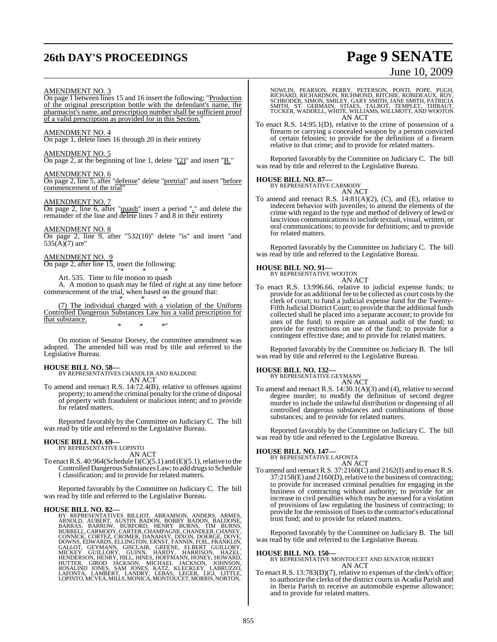# **26th DAY'S PROCEEDINGS Page 9 SENATE**

# June 10, 2009

### AMENDMENT NO. 3

On page 1 between lines 15 and 16 insert the following: "Production of the original prescription bottle with the defendant's name, the pharmacist's name, and prescription number shall be sufficient proof of a valid prescription as provided for in this Section."

AMENDMENT NO. 4 On page 1, delete lines 16 through 20 in their entirety

### AMENDMENT NO. 5

On page 2, at the beginning of line 1, delete "(2)" and insert "B."

### AMENDMENT NO. 6

On page 2, line 5, after "defense" delete "pretrial" and insert "before commencement of the trial"

### AMENDMENT NO. 7

On page 2, line 6, after "quash" insert a period "." and delete the remainder of the line and delete lines 7 and 8 in their entirety

### AMENDMENT NO. 8

On page 2, line 9, after "532(10)" delete "is" and insert "and  $535(A)(7)$  are"

### AMENDMENT NO. 9

On page 2, after line 15, insert the following: "\* \* \*

Art. 535. Time to file motion to quash

A. A motion to quash may be filed of right at any time before commencement of the trial, when based on the ground that: \* \* \*

(7) The individual charged with a violation of the Uniform Controlled Dangerous Substances Law has a valid prescription for that substance. \* \* \*"

On motion of Senator Dorsey, the committee amendment was adopted. The amended bill was read by title and referred to the Legislative Bureau.

**HOUSE BILL NO. 58—** BY REPRESENTATIVES CHANDLER AND BALDONE AN ACT

To amend and reenact R.S. 14:72.4(B), relative to offenses against property; to amend the criminal penalty for the crime of disposal of property with fraudulent or malicious intent; and to provide for related matters.

Reported favorably by the Committee on Judiciary C. The bill was read by title and referred to the Legislative Bureau.

### **HOUSE BILL NO. 69—**

BY REPRESENTATIVE LOPINTO AN ACT

To enact R.S. 40:964(Schedule I)(C)(5.1) and (E)(5.1), relative to the Controlled Dangerous Substances Law; to add drugs to Schedule I classification; and to provide for related matters.

Reported favorably by the Committee on Judiciary C. The bill was read by title and referred to the Legislative Bureau.

HOUSE BILL NO. 82<br>
BY REPRESENTATIVES BILLIOT, ABRAMSON, ANDERS, ARMES, ARNOLD, AUBERT, AUSTIN BADON, BOBBY BADON, BALDONE, BARRAS, BARROW, BURFORD, HENRY BURNS, TIM BURNS, EUNERLI, CARMODY, CARTER, CHANDAGNE, CONNICK, COR

NOWLIN, PEARSON, PERRY, PETERSON, PONTI, POPE, PUGH,<br>RICHARD, RICHARDSON, RICHMOND, RITCHIE, ROBIDEAUX, ROY,<br>SCHRODER, SIMON, SMILEY, GARY SMITH, JANE SMITH, PATRICIA<br>SMITH, ST. GERMAIN, STIAES, TALBOT, TEMPLET, THIBAUT,<br>T AN ACT

To enact R.S. 14:95.1(D), relative to the crime of possession of a firearm or carrying a concealed weapon by a person convicted of certain felonies; to provide for the definition of a firearm relative to that crime; and to provide for related matters.

Reported favorably by the Committee on Judiciary C. The bill was read by title and referred to the Legislative Bureau.

### **HOUSE BILL NO. 87—** BY REPRESENTATIVE CARMODY



To amend and reenact R.S. 14:81(A)(2), (C), and (E), relative to indecent behavior with juveniles; to amend the elements of the crime with regard to the type and method of delivery of lewd or lascivious communications to include textual, visual, written, or oral communications; to provide for definitions; and to provide for related matters.

Reported favorably by the Committee on Judiciary C. The bill was read by title and referred to the Legislative Bureau.

### **HOUSE BILL NO. 91—**

BY REPRESENTATIVE WOOTON AN ACT

To enact R.S. 13:996.66, relative to judicial expense funds; to provide for an additional fee to be collected as court costs by the clerk of court; to fund a judicial expense fund for the Twenty-Fifth Judicial District Court; to provide that the additional funds collected shall be placed into a separate account; to provide for uses of the fund; to require an annual audit of the fund; to provide for restrictions on use of the fund; to provide for a contingent effective date; and to provide for related matters.

Reported favorably by the Committee on Judiciary B. The bill was read by title and referred to the Legislative Bureau.

### **HOUSE BILL NO. 132—**

BY REPRESENTATIVE GEYMANN AN ACT

To amend and reenact R.S. 14:30.1(A)(3) and (4), relative to second degree murder; to modify the definition of second degree murder to include the unlawful distribution or dispensing of all controlled dangerous substances and combinations of those substances; and to provide for related matters.

Reported favorably by the Committee on Judiciary C. The bill was read by title and referred to the Legislative Bureau.

### **HOUSE BILL NO. 147—**

BY REPRESENTATIVE LAFONTA AN ACT

To amend and reenact R.S. 37:2160(C) and 2162(I) and to enact R.S.  $37:2158(E)$  and  $2160(D)$ , relative to the business of contracting: to provide for increased criminal penalties for engaging in the business of contracting without authority; to provide for an increase in civil penalties which may be assessed for a violation of provisions of law regulating the business of contracting; to provide for the remission of fines to the contractor's educational trust fund; and to provide for related matters.

Reported favorably by the Committee on Judiciary B. The bill was read by title and referred to the Legislative Bureau.

**HOUSE BILL NO. 150—** BY REPRESENTATIVE MONTOUCET AND SENATOR HEBERT AN ACT

To enact R.S. 13:783(D)(7), relative to expenses of the clerk's office; to authorize the clerks of the district courts in Acadia Parish and in Iberia Parish to receive an automobile expense allowance; and to provide for related matters.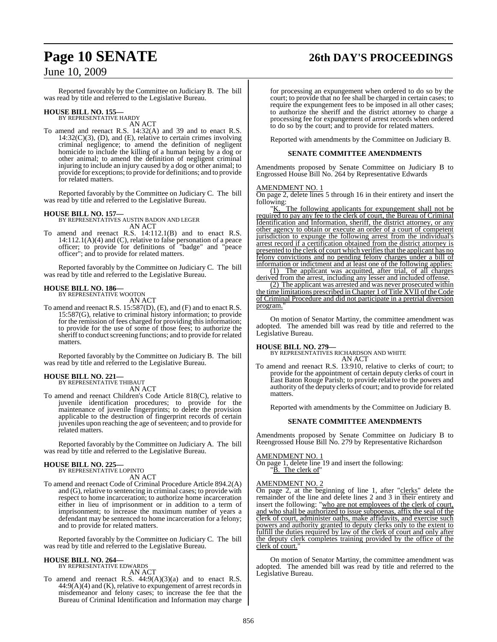# **Page 10 SENATE 26th DAY'S PROCEEDINGS**

### June 10, 2009

Reported favorably by the Committee on Judiciary B. The bill was read by title and referred to the Legislative Bureau.

### **HOUSE BILL NO. 155—** BY REPRESENTATIVE HARDY

AN ACT

To amend and reenact R.S. 14:32(A) and 39 and to enact R.S.  $14:32(C)(3)$ , (D), and (E), relative to certain crimes involving criminal negligence; to amend the definition of negligent homicide to include the killing of a human being by a dog or other animal; to amend the definition of negligent criminal injuring to include an injury caused by a dog or other animal; to provide for exceptions; to provide for definitions; and to provide for related matters.

Reported favorably by the Committee on Judiciary C. The bill was read by title and referred to the Legislative Bureau.

### **HOUSE BILL NO. 157—**

BY REPRESENTATIVES AUSTIN BADON AND LEGER AN ACT

To amend and reenact R.S. 14:112.1(B) and to enact R.S. 14:112.1(A)(4) and (C), relative to false personation of a peace officer; to provide for definitions of "badge" and "peace officer"; and to provide for related matters.

Reported favorably by the Committee on Judiciary C. The bill was read by title and referred to the Legislative Bureau.

### **HOUSE BILL NO. 186—** BY REPRESENTATIVE WOOTON

AN ACT

To amend and reenact R.S. 15:587(D), (E), and (F) and to enact R.S. 15:587(G), relative to criminal history information; to provide for the remission of fees charged for providing this information; to provide for the use of some of those fees; to authorize the sheriff to conduct screening functions; and to provide for related matters.

Reported favorably by the Committee on Judiciary B. The bill was read by title and referred to the Legislative Bureau.

### **HOUSE BILL NO. 221—**

BY REPRESENTATIVE THIBAUT AN ACT

To amend and reenact Children's Code Article 818(C), relative to juvenile identification procedures; to provide for the maintenance of juvenile fingerprints; to delete the provision applicable to the destruction of fingerprint records of certain juveniles upon reaching the age of seventeen; and to provide for related matters.

Reported favorably by the Committee on Judiciary A. The bill was read by title and referred to the Legislative Bureau.

### **HOUSE BILL NO. 225—** BY REPRESENTATIVE LOPINTO

AN ACT

To amend and reenact Code of Criminal Procedure Article 894.2(A) and (G), relative to sentencing in criminal cases; to provide with respect to home incarceration; to authorize home incarceration either in lieu of imprisonment or in addition to a term of imprisonment; to increase the maximum number of years a defendant may be sentenced to home incarceration for a felony; and to provide for related matters.

Reported favorably by the Committee on Judiciary C. The bill was read by title and referred to the Legislative Bureau.

### **HOUSE BILL NO. 264—** BY REPRESENTATIVE EDWARDS

AN ACT

To amend and reenact R.S. 44:9(A)(3)(a) and to enact R.S.  $44:9(A)(4)$  and  $(K)$ , relative to expungement of arrest records in misdemeanor and felony cases; to increase the fee that the Bureau of Criminal Identification and Information may charge

for processing an expungement when ordered to do so by the court; to provide that no fee shall be charged in certain cases; to require the expungement fees to be imposed in all other cases; to authorize the sheriff and the district attorney to charge a processing fee for expungement of arrest records when ordered to do so by the court; and to provide for related matters.

Reported with amendments by the Committee on Judiciary B.

### **SENATE COMMITTEE AMENDMENTS**

Amendments proposed by Senate Committee on Judiciary B to Engrossed House Bill No. 264 by Representative Edwards

### AMENDMENT NO. 1

On page 2, delete lines 5 through 16 in their entirety and insert the following:

K. The following applicants for expungement shall not be required to pay any fee to the clerk of court, the Bureau of Criminal Identification and Information, sheriff, the district attorney, or any other agency to obtain or execute an order of a court of competent jurisdiction to expunge the following arrest from the individual's arrest record if a certification obtained from the district attorney is presented to the clerk of court which verifies that the applicant has no felony convictions and no pending felony charges under a bill of information or indictment and at least one of the following applies: (1) The applicant was acquitted, after trial, of all charges

derived from the arrest, including any lesser and included offense. (2) The applicant was arrested and was never prosecuted within

the time limitations prescribed in Chapter 1 of Title XVII of the Code of Criminal Procedure and did not participate in a pretrial diversion program."

On motion of Senator Martiny, the committee amendment was adopted. The amended bill was read by title and referred to the Legislative Bureau.

**HOUSE BILL NO. 279—** BY REPRESENTATIVES RICHARDSON AND WHITE AN ACT

To amend and reenact R.S. 13:910, relative to clerks of court; to provide for the appointment of certain deputy clerks of court in East Baton Rouge Parish; to provide relative to the powers and authority of the deputy clerks of court; and to provide for related matters.

Reported with amendments by the Committee on Judiciary B.

### **SENATE COMMITTEE AMENDMENTS**

Amendments proposed by Senate Committee on Judiciary B to Reengrossed House Bill No. 279 by Representative Richardson

### AMENDMENT NO. 1

On page 1, delete line 19 and insert the following: B. The clerk of

### AMENDMENT NO. 2

On page 2, at the beginning of line 1, after "clerks" delete the remainder of the line and delete lines 2 and 3 in their entirety and insert the following: "who are not employees of the clerk of court, and who shall be authorized to issue subpoenas, affix the seal of the clerk of court, administer oaths, make affidavits, and exercise such powers and authority granted to deputy clerks only to the extent to fulfill the duties required by law of the clerk of court and only after the deputy clerk completes training provided by the office of the clerk of court."

On motion of Senator Martiny, the committee amendment was adopted. The amended bill was read by title and referred to the Legislative Bureau.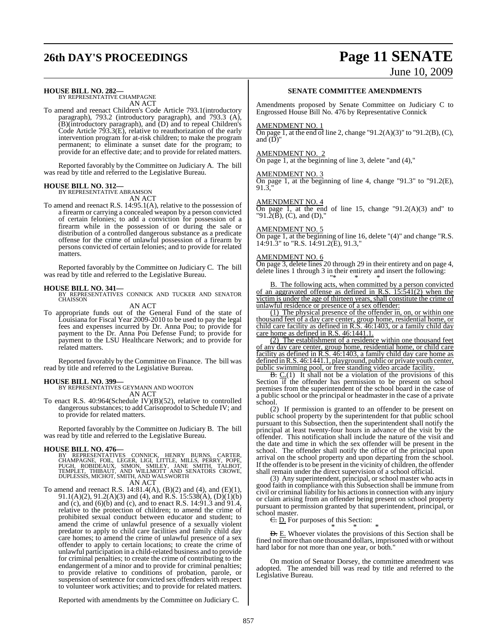# **26th DAY'S PROCEEDINGS Page 11 SENATE** June 10, 2009

**HOUSE BILL NO. 282—** BY REPRESENTATIVE CHAMPAGNE

AN ACT

To amend and reenact Children's Code Article 793.1(introductory paragraph), 793.2 (introductory paragraph), and 793.3 (A), (B)(introductory paragraph), and (D) and to repeal Children's Code Article 793.3(E), relative to reauthorization of the early intervention program for at-risk children; to make the program permanent; to eliminate a sunset date for the program; to provide for an effective date; and to provide for related matters.

Reported favorably by the Committee on Judiciary A. The bill was read by title and referred to the Legislative Bureau.

### **HOUSE BILL NO. 312—** BY REPRESENTATIVE ABRAMSON

AN ACT

To amend and reenact R.S. 14:95.1(A), relative to the possession of a firearm or carrying a concealed weapon by a person convicted of certain felonies; to add a conviction for possession of a firearm while in the possession of or during the sale or distribution of a controlled dangerous substance as a predicate offense for the crime of unlawful possession of a firearm by persons convicted of certain felonies; and to provide for related matters.

Reported favorably by the Committee on Judiciary C. The bill was read by title and referred to the Legislative Bureau.

### **HOUSE BILL NO. 341—**

BY REPRESENTATIVES CONNICK AND TUCKER AND SENATOR **CHAISSON** 

AN ACT

To appropriate funds out of the General Fund of the state of Louisiana for Fiscal Year 2009-2010 to be used to pay the legal fees and expenses incurred by Dr. Anna Pou; to provide for payment to the Dr. Anna Pou Defense Fund; to provide for payment to the LSU Healthcare Network; and to provide for related matters.

Reported favorably by the Committee on Finance. The bill was read by title and referred to the Legislative Bureau.

**HOUSE BILL NO. 399—** BY REPRESENTATIVES GEYMANN AND WOOTON AN ACT

To enact R.S. 40:964(Schedule IV)(B)(52), relative to controlled dangerous substances; to add Carisoprodol to Schedule IV; and to provide for related matters.

Reported favorably by the Committee on Judiciary B. The bill was read by title and referred to the Legislative Bureau.

### **HOUSE BILL NO. 476—**

BY REPRESENTATIVES CONNICK, HENRY BURNS, CARTER,<br>CHAMPAGNE, FOIL, LEGER, LIGI, LITTLE, MILLS, PERRY, POPE,<br>PUGH, ROBIDEAUX, SIMON, SMILEY, JANE SMITH, TALBOT,<br>TEMPLET, THIBAUT, AND WILLMOTT AND SENATORS CROWE,<br>DUPLESSIS,MI AN ACT

To amend and reenact R.S. 14:81.4(A), (B)(2) and (4), and (E)(1), 91.1(A)(2), 91.2(A)(3) and (4), and R.S. 15:538(A), (D)(1)(b) and (c), and (6)(b) and (c), and to enact R.S. 14:91.3 and 91.4, relative to the protection of children; to amend the crime of prohibited sexual conduct between educator and student; to amend the crime of unlawful presence of a sexually violent predator to apply to child care facilities and family child day care homes; to amend the crime of unlawful presence of a sex offender to apply to certain locations; to create the crime of unlawful participation in a child-related business and to provide for criminal penalties; to create the crime of contributing to the endangerment of a minor and to provide for criminal penalties; to provide relative to conditions of probation, parole, or suspension of sentence for convicted sex offenders with respect to volunteer work activities; and to provide for related matters.

**SENATE COMMITTEE AMENDMENTS**

Amendments proposed by Senate Committee on Judiciary C to Engrossed House Bill No. 476 by Representative Connick

### AMENDMENT NO. 1

On page 1, at the end of line 2, change "91.2(A)(3)" to "91.2(B), (C), and  $(D)$ "

### AMENDMENT NO. 2

On page 1, at the beginning of line 3, delete "and (4),"

### AMENDMENT NO. 3

On page 1, at the beginning of line 4, change "91.3" to "91.2(E), 91.3,"

### AMENDMENT NO. 4

On page 1, at the end of line 15, change " $91.2(A)(3)$  and" to "91. $\hat{2}(\check{B})$ , (C), and (D),"

### AMENDMENT NO. 5

On page 1, at the beginning of line 16, delete "(4)" and change "R.S. 14:91.3" to "R.S. 14:91.2(E), 91.3,"

### AMENDMENT NO. 6

On page 3, delete lines 20 through 29 in their entirety and on page 4, delete lines 1 through 3 in their entirety and insert the following: "\* \* \*

B. The following acts, when committed by a person convicted of an aggravated offense as defined in R.S. 15:541(2) when the victim is under the age of thirteen years, shall constitute the crime of unlawful residence or presence of a sex offender:

(1) The physical presence of the offender in, on, or within one thousand feet of a day care center, group home, residential home, or child care facility as defined in R.S. 46:1403, or a family child day care home as defined in R.S. 46:1441.1.

(2) The establishment of a residence within one thousand feet of any day care center, group home, residential home, or child care facility as defined in R.S. 46:1403, a family child day care home as defined in R.S. 46:1441.1, playground, public or private youth center, public swimming pool, or free standing video arcade facility.

 $B. C(1)$  It shall not be a violation of the provisions of this Section if the offender has permission to be present on school premises from the superintendent of the school board in the case of a public school or the principal or headmaster in the case of a private school.

(2) If permission is granted to an offender to be present on public school property by the superintendent for that public school pursuant to this Subsection, then the superintendent shall notify the principal at least twenty-four hours in advance of the visit by the offender. This notification shall include the nature of the visit and the date and time in which the sex offender will be present in the school. The offender shall notify the office of the principal upon arrival on the school property and upon departing from the school. If the offender isto be present in the vicinity of children, the offender shall remain under the direct supervision of a school official.

(3) Any superintendent, principal, or school master who acts in good faith in compliance with this Subsection shall be immune from civil or criminal liability for his actionsin connection with any injury or claim arising from an offender being present on school property pursuant to permission granted by that superintendent, principal, or school master.

E. D. For purposes of this Section:

\* \* \* **D.** E. Whoever violates the provisions of this Section shall be fined not more than one thousand dollars, imprisoned with or without hard labor for not more than one year, or both."

On motion of Senator Dorsey, the committee amendment was adopted. The amended bill was read by title and referred to the Legislative Bureau.

Reported with amendments by the Committee on Judiciary C.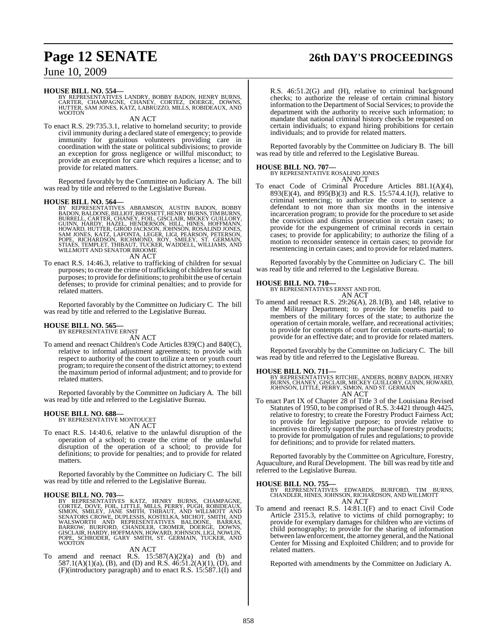# **Page 12 SENATE 26th DAY'S PROCEEDINGS**

### June 10, 2009

**HOUSE BILL NO. 554—**<br>BY REPRESENTATIVES LANDRY, BOBBY BADON, HENRY BURNS,<br>CARTER, CHAMPAGNE, CHANEY, CORTEZ, DOERGE, DOWNS,<br>HUTTER, SAM JONES, KATZ, LABRUZZO, MILLS, ROBIDEAUX, AND WOOTON

AN ACT

To enact R.S. 29:735.3.1, relative to homeland security; to provide civil immunity during a declared state of emergency; to provide immunity for gratuitous volunteers providing care in coordination with the state or political subdivisions; to provide an exception for gross negligence or willful misconduct; to provide an exception for care which requires a license; and to provide for related matters.

Reported favorably by the Committee on Judiciary A. The bill was read by title and referred to the Legislative Bureau.

**HOUSE BILL NO. 564—**<br>BY REPRESENTATIVES ABRAMSON, AUSTIN BADON, BOBBY<br>BADON, BALDONE, BILLIOT, BROSSETT, HENRY BURNS, TIM BURNS,<br>BURRELL, CARTER, CHANEY, FOIL, GISCLAIR, MICKEY GUILLORY,<br>GUINN, HARDY, HAZEL, HENDERSON, HI AN ACT

To enact R.S. 14:46.3, relative to trafficking of children for sexual purposes; to create the crime of trafficking of children for sexual purposes; to provide for definitions; to prohibit the use of certain defenses; to provide for criminal penalties; and to provide for related matters.

Reported favorably by the Committee on Judiciary C. The bill was read by title and referred to the Legislative Bureau.

### **HOUSE BILL NO. 565—** BY REPRESENTATIVE ERNST

AN ACT

To amend and reenact Children's Code Articles 839(C) and 840(C), relative to informal adjustment agreements; to provide with respect to authority of the court to utilize a teen or youth court program; to require the consent of the district attorney; to extend the maximum period of informal adjustment; and to provide for related matters.

Reported favorably by the Committee on Judiciary A. The bill was read by title and referred to the Legislative Bureau.

# **HOUSE BILL NO. 688—** BY REPRESENTATIVE MONTOUCET

AN ACT

To enact R.S. 14:40.6, relative to the unlawful disruption of the operation of a school; to create the crime of the unlawful disruption of the operation of a school; to provide for definitions; to provide for penalties; and to provide for related matters.

Reported favorably by the Committee on Judiciary C. The bill was read by title and referred to the Legislative Bureau.

### **HOUSE BILL NO. 703—**

BY REPRESENTATIVES KATZ, HENRY BURNS, CHAMPAGNE,<br>CORTEZ, DOVE, FOIL, LITTLE, MILLS, PERRY, PUGH, ROBIDEAUX,<br>SIMON, SMILEY, JANE SMITH, THIBAUT, AND WILLMOTT AND<br>SENATORS CROWE, DUPLESSIS, KOSTELKA, MICHOT, SMITH, AND<br>WALSW WOOTON

AN ACT

To amend and reenact R.S.  $15:587(A)(2)(a)$  and (b) and 587.1(A)(1)(a), (B), and (D) and R.S.  $46:51.2(A)(1)$ , (D), and (F)(introductory paragraph) and to enact R.S. 15:587.1(I) and

R.S. 46:51.2(G) and (H), relative to criminal background checks; to authorize the release of certain criminal history information to the Department of Social Services; to provide the department with the authority to receive such information; to mandate that national criminal history checks be requested on certain individuals; to expand hiring prohibitions for certain individuals; and to provide for related matters.

Reported favorably by the Committee on Judiciary B. The bill was read by title and referred to the Legislative Bureau.

**HOUSE BILL NO. 707—** BY REPRESENTATIVE ROSALIND JONES AN ACT

To enact Code of Criminal Procedure Articles 881.1(A)(4), 893(E)(4), and 895(B)(3) and R.S. 15:574.4.1(J), relative to criminal sentencing; to authorize the court to sentence a defendant to not more than six months in the intensive incarceration program; to provide for the procedure to set aside the conviction and dismiss prosecution in certain cases; to provide for the expungement of criminal records in certain cases; to provide for applicability; to authorize the filing of a motion to reconsider sentence in certain cases; to provide for resentencing in certain cases; and to provide for related matters.

Reported favorably by the Committee on Judiciary C. The bill was read by title and referred to the Legislative Bureau.

**HOUSE BILL NO. 710—** BY REPRESENTATIVES ERNST AND FOIL AN ACT

To amend and reenact R.S. 29:26(A), 28.1(B), and 148, relative to the Military Department; to provide for benefits paid to members of the military forces of the state; to authorize the operation of certain morale, welfare, and recreational activities; to provide for contempts of court for certain courts-martial; to provide for an effective date; and to provide for related matters.

Reported favorably by the Committee on Judiciary C. The bill was read by title and referred to the Legislative Bureau.

**HOUSE BILL NO. 711—**<br>BY REPRESENTATIVES RITCHIE, ANDERS, BOBBY BADON, HENRY<br>BURNS, CHANEY, GISCLAIR, MICKEY GUILLORY, GUINN, HOWARD,<br>JOHNSON, LITTLE, PERRY, SIMON, AND ST. GERMAIN AN ACT

To enact Part IX of Chapter 28 of Title 3 of the Louisiana Revised Statutes of 1950, to be comprised of R.S. 3:4421 through 4425, relative to forestry; to create the Forestry Product Fairness Act; to provide for legislative purpose; to provide relative to incentives to directly support the purchase of forestry products; to provide for promulgation of rules and regulations; to provide for definitions; and to provide for related matters.

Reported favorably by the Committee on Agriculture, Forestry, Aquaculture, and Rural Development. The bill was read by title and referred to the Legislative Bureau.

**HOUSE BILL NO. 755—** BY REPRESENTATIVES EDWARDS, BURFORD, TIM BURNS, CHANDLER, HINES, JOHNSON, RICHARDSON, AND WILLMOTT AN ACT

To amend and reenact R.S. 14:81.1(F) and to enact Civil Code To amend and reenact R.S.  $14:81.1(F)$  and to enact Civil Code<br>Article 2315.3, relative to victims of child pornography; to provide for exemplary damages for children who are victims of child pornography; to provide for the sharing of information between lawenforcement, the attorney general, and the National Center for Missing and Exploited Children; and to provide for related matters.

Reported with amendments by the Committee on Judiciary A.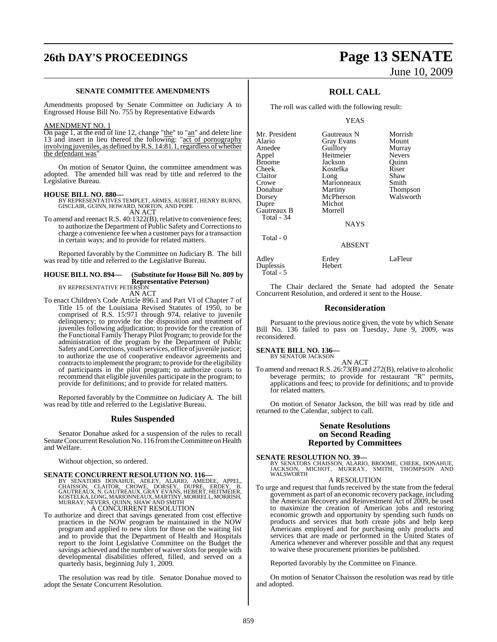# **26th DAY'S PROCEEDINGS Page 13 SENATE**

### **SENATE COMMITTEE AMENDMENTS**

Amendments proposed by Senate Committee on Judiciary A to Engrossed House Bill No. 755 by Representative Edwards

### AMENDMENT NO. 1

On page 1, at the end of line 12, change "the" to "an" and delete line 13 and insert in lieu thereof the following: "act of pornography involving juveniles, as defined byR.S. 14:81.1,regardless of whether the defendant was'

On motion of Senator Quinn, the committee amendment was adopted. The amended bill was read by title and referred to the Legislative Bureau.

**HOUSE BILL NO. 880—** BY REPRESENTATIVES TEMPLET, ARMES, AUBERT, HENRY BURNS, GISCLAIR, GUINN, HOWARD, NORTON, AND POPE AN ACT

To amend and reenact R.S. 40:1322(B), relative to convenience fees; to authorize the Department of Public Safety and Correctionsto charge a convenience fee when a customer paysfor a transaction in certain ways; and to provide for related matters.

Reported favorably by the Committee on Judiciary B. The bill was read by title and referred to the Legislative Bureau.

### **HOUSE BILL NO. 894— (Substitute for HouseBill No. 809 by Representative Peterson)** BY REPRESENTATIVE PETERSON

AN ACT

To enact Children's Code Article 896.1 and Part VI of Chapter 7 of Title 15 of the Louisiana Revised Statutes of 1950, to be comprised of R.S. 15:971 through 974, relative to juvenile delinquency; to provide for the disposition and treatment of juveniles following adjudication; to provide for the creation of the Functional Family Therapy Pilot Program; to provide for the administration of the program by the Department of Public Safety and Corrections, youth services, office of juvenile justice; to authorize the use of cooperative endeavor agreements and contracts to implement the program; to provide for the eligibility of participants in the pilot program; to authorize courts to recommend that eligible juveniles participate in the program; to provide for definitions; and to provide for related matters.

Reported favorably by the Committee on Judiciary A. The bill was read by title and referred to the Legislative Bureau.

### **Rules Suspended**

Senator Donahue asked for a suspension of the rules to recall Senate Concurrent Resolution No. 116 from the Committee on Health and Welfare.

Without objection, so ordered.

### **SENATE CONCURRENT RESOLUTION NO. 116—**

BY SENATORS DONAHUE, ADLEY, ALARIO, AMEDEE, APPEL, CHAISSON, CLAITOR, CROWE, DORSEY, B.<br>CHAISSON, CLAITOR, CROWE, DORSEY, DUPRE, ERDEY, B.<br>GAUTREAUX,N.GAUTREAUX,GRAY EVANS,HEBERT,HEITMEIER,<br>KOSTELKA,LONG,MARIONNEAUX,MARTIN

To authorize and direct that savings generated from cost effective practices in the NOW program be maintained in the NOW program and applied to new slots for those on the waiting list and to provide that the Department of Health and Hospitals report to the Joint Legislative Committee on the Budget the savings achieved and the number of waiver slots for people with developmental disabilities offered, filled, and served on a quarterly basis, beginning July 1, 2009.

The resolution was read by title. Senator Donahue moved to adopt the Senate Concurrent Resolution.

# June 10, 2009

### **ROLL CALL**

The roll was called with the following result:

YEAS

| Mr. President | Gautreaux N | Morrish         |
|---------------|-------------|-----------------|
| Alario        | Gray Evans  | Mount           |
| Amedee        | Guillory    | Murray          |
| Appel         | Heitmeier   | <b>Nevers</b>   |
| Broome        | Jackson     | Ouinn           |
| Cheek         | Kostelka    | Riser           |
| Claitor       | Long        | Shaw            |
| Crowe         | Marionneaux | Smith           |
| Donahue       | Martiny     | <b>Thompson</b> |
| Dorsey        | McPherson   | Walsworth       |
| Dupre         | Michot      |                 |
| Gautreaux B   | Morrell     |                 |
| Total - 34    |             |                 |
|               | <b>NAYS</b> |                 |
| Total - 0     |             |                 |

### ABSENT

| Adley     | Erdey  | LaFleur |
|-----------|--------|---------|
| Duplessis | Hebert |         |
| Total - 5 |        |         |

The Chair declared the Senate had adopted the Senate Concurrent Resolution, and ordered it sent to the House.

### **Reconsideration**

Pursuant to the previous notice given, the vote by which Senate Bill No. 136 failed to pass on Tuesday, June 9, 2009, was reconsidered.

### **SENATE BILL NO. 136—** BY SENATOR JACKSON

AN ACT To amend and reenact R.S.  $26:73(B)$  and  $272(B)$ , relative to alcoholic beverage permits; to provide for restaurant "R" permits, applications and fees; to provide for definitions; and to provide for related matters.

On motion of Senator Jackson, the bill was read by title and returned to the Calendar, subject to call.

### **Senate Resolutions on Second Reading Reported by Committees**

**SENATE RESOLUTION NO. 39—**<br>BY SENATORS CHAISSON, ALARIO, BROOME, CHEEK, DONAHUE,<br>JACKSON, MICHOT, MURRAY, SMITH, THOMPSON AND<br>WALSWORTH

### A RESOLUTION

To urge and request that funds received by the state from the federal government as part of an economic recovery package, including the American Recovery and Reinvestment Act of 2009, be used to maximize the creation of American jobs and restoring economic growth and opportunity by spending such funds on products and services that both create jobs and help keep Americans employed and for purchasing only products and services that are made or performed in the United States of America whenever and wherever possible and that any request to waive these procurement priorities be published.

Reported favorably by the Committee on Finance.

On motion of Senator Chaisson the resolution was read by title and adopted.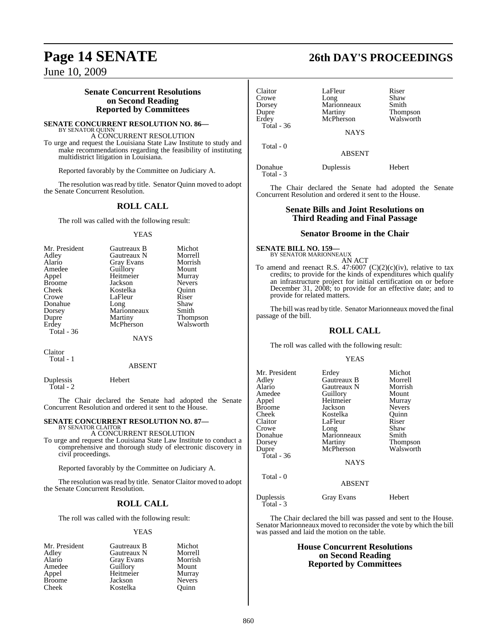### **Senate Concurrent Resolutions on Second Reading Reported by Committees**

**SENATE CONCURRENT RESOLUTION NO. 86—** BY SENATOR QUINN

A CONCURRENT RESOLUTION To urge and request the Louisiana State Law Institute to study and make recommendations regarding the feasibility of instituting multidistrict litigation in Louisiana.

Reported favorably by the Committee on Judiciary A.

The resolution was read by title. Senator Quinn moved to adopt the Senate Concurrent Resolution.

### **ROLL CALL**

The roll was called with the following result:

### YEAS

| Mr. President | Gautreaux B       | Michot        |
|---------------|-------------------|---------------|
| Adley         | Gautreaux N       | Morrell       |
| Alario        | <b>Gray Evans</b> | Morrish       |
| Amedee        | Guillory          | Mount         |
| Appel         | Heitmeier         | Murray        |
| <b>Broome</b> | Jackson           | <b>Nevers</b> |
| Cheek         | Kostelka          | Ouinn         |
| Crowe         | LaFleur           | Riser         |
| Donahue       | Long              | Shaw          |
| Dorsey        | Marionneaux       | Smith         |
| Dupre         | Martiny           | Thompson      |
| Erdey         | McPherson         | Walsworth     |
| Total - 36    |                   |               |

NAYS

Claitor Total - 1

### ABSENT

Duplessis Hebert Total - 2

The Chair declared the Senate had adopted the Senate Concurrent Resolution and ordered it sent to the House.

### **SENATE CONCURRENT RESOLUTION NO. 87—** BY SENATOR CLAITOR

A CONCURRENT RESOLUTION

To urge and request the Louisiana State Law Institute to conduct a comprehensive and thorough study of electronic discovery in civil proceedings.

Reported favorably by the Committee on Judiciary A.

The resolution was read by title. Senator Claitor moved to adopt the Senate Concurrent Resolution.

### **ROLL CALL**

The roll was called with the following result:

### **YEAS**

| Mr. President | Gautreaux B       | Michot        |
|---------------|-------------------|---------------|
| Adley         | Gautreaux N       | Morrell       |
| Alario        | <b>Gray Evans</b> | Morrish       |
| Amedee        | Guillory          | Mount         |
| Appel         | Heitmeier         | Murray        |
| <b>Broome</b> | Jackson           | <b>Nevers</b> |
| Cheek         | Kostelka          | Ouinn         |

# **Page 14 SENATE 26th DAY'S PROCEEDINGS**

| Claitor               | LaFleur       | Riser     |
|-----------------------|---------------|-----------|
| Crowe                 | Long          | Shaw      |
| Dorsey                | Marionneaux   | Smith     |
| Dupre                 | Martiny       | Thompson  |
| Erdev<br>Total - $36$ | McPherson     | Walsworth |
|                       | <b>NAYS</b>   |           |
| Total - 0             |               |           |
|                       | <b>ABSENT</b> |           |
| Donahue<br>Total - 3  | Duplessis     | Hebert    |

The Chair declared the Senate had adopted the Senate Concurrent Resolution and ordered it sent to the House.

### **Senate Bills and Joint Resolutions on Third Reading and Final Passage**

### **Senator Broome in the Chair**

**SENATE BILL NO. 159—** BY SENATOR MARIONNEAUX

AN ACT To amend and reenact R.S. 47:6007 (C)(2)(c)(iv), relative to tax credits; to provide for the kinds of expenditures which qualify an infrastructure project for initial certification on or before December 31, 2008; to provide for an effective date; and to provide for related matters.

The bill was read by title. Senator Marionneaux moved the final passage of the bill.

### **ROLL CALL**

The roll was called with the following result:

### YEAS

| Mr. President<br>Adley<br>Alario<br>Amedee<br>Appel<br>Broome<br>Cheek<br>Claitor<br>Crowe<br>Donahue<br>Dorsey<br>Dupre<br>Total - 36<br>Total - 0 | Erdey<br>Gautreaux B<br>Gautreaux N<br>Guillory<br>Heitmeier<br>Jackson<br>Kostelka<br>LaFleur<br>Long<br>Marionneaux<br>Martiny<br>McPherson<br><b>NAYS</b><br><b>ABSENT</b> | Michot<br>Morrell<br>Morrish<br>Mount<br>Murray<br><b>Nevers</b><br>Ouinn<br>Riser<br>Shaw<br>Smith<br>Thompson<br>Walsworth |
|-----------------------------------------------------------------------------------------------------------------------------------------------------|-------------------------------------------------------------------------------------------------------------------------------------------------------------------------------|------------------------------------------------------------------------------------------------------------------------------|
| Duplessis<br>Total - 3                                                                                                                              | Gray Evans                                                                                                                                                                    | Hebert                                                                                                                       |

The Chair declared the bill was passed and sent to the House. Senator Marionneaux moved to reconsider the vote by which the bill was passed and laid the motion on the table.

### **House Concurrent Resolutions on Second Reading Reported by Committees**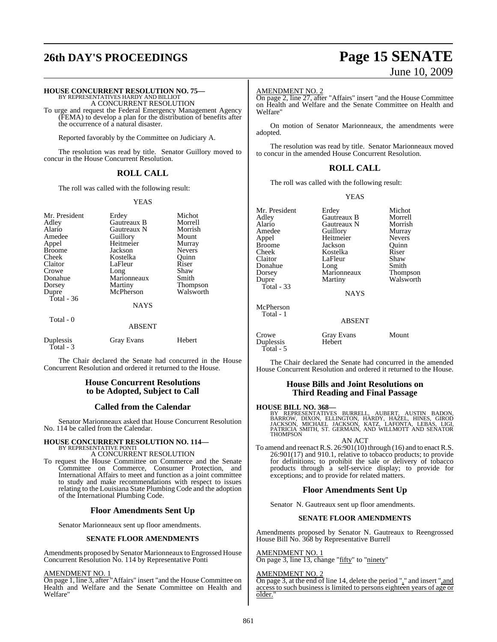# **26th DAY'S PROCEEDINGS Page 15 SENATE**

# June 10, 2009

### **HOUSE CONCURRENT RESOLUTION NO. 75—**

BY REPRESENTATIVES HARDY AND BILLIOT A CONCURRENT RESOLUTION

To urge and request the Federal Emergency Management Agency (FEMA) to develop a plan for the distribution of benefits after the occurrence of a natural disaster.

Reported favorably by the Committee on Judiciary A.

The resolution was read by title. Senator Guillory moved to concur in the House Concurrent Resolution.

### **ROLL CALL**

The roll was called with the following result:

### YEAS

| Mr. President<br>Adley<br>Alario<br>Amedee<br>Appel<br><b>Broome</b><br>Cheek<br>Claitor<br>Crowe<br>Donahue<br>Dorsey<br>Dupre<br>Total - $36$<br>Total - 0 | Erdey<br>Gautreaux B<br>Gautreaux N<br>Guillory<br>Heitmeier<br>Jackson<br>Kostelka<br>LaFleur<br>Long<br>Marionneaux<br>Martiny<br>McPherson<br><b>NAYS</b><br><b>ABSENT</b> | Michot<br>Morrell<br>Morrish<br>Mount<br>Murray<br><b>Nevers</b><br>Quinn<br>Riser<br>Shaw<br>Smith<br>Thompson<br>Walsworth |
|--------------------------------------------------------------------------------------------------------------------------------------------------------------|-------------------------------------------------------------------------------------------------------------------------------------------------------------------------------|------------------------------------------------------------------------------------------------------------------------------|
| Duplessis                                                                                                                                                    | Gray Evans                                                                                                                                                                    | Hebert                                                                                                                       |
| Total - 3                                                                                                                                                    |                                                                                                                                                                               |                                                                                                                              |

The Chair declared the Senate had concurred in the House Concurrent Resolution and ordered it returned to the House.

### **House Concurrent Resolutions to be Adopted, Subject to Call**

### **Called from the Calendar**

Senator Marionneaux asked that House Concurrent Resolution No. 114 be called from the Calendar.

# **HOUSE CONCURRENT RESOLUTION NO. 114—** BY REPRESENTATIVE PONTI

### A CONCURRENT RESOLUTION

To request the House Committee on Commerce and the Senate Committee on Commerce, Consumer Protection, and International Affairs to meet and function as a joint committee to study and make recommendations with respect to issues relating to the Louisiana State Plumbing Code and the adoption of the International Plumbing Code.

### **Floor Amendments Sent Up**

Senator Marionneaux sent up floor amendments.

### **SENATE FLOOR AMENDMENTS**

Amendments proposed by Senator Marionneaux to Engrossed House Concurrent Resolution No. 114 by Representative Ponti

### AMENDMENT NO. 1

On page 1, line 3, after "Affairs" insert "and the House Committee on Health and Welfare and the Senate Committee on Health and Welfare"

### AMENDMENT NO. 2

On page 2, line 27, after "Affairs" insert "and the House Committee on Health and Welfare and the Senate Committee on Health and Welfare"

On motion of Senator Marionneaux, the amendments were adopted.

The resolution was read by title. Senator Marionneaux moved to concur in the amended House Concurrent Resolution.

### **ROLL CALL**

The roll was called with the following result:

### YEAS

| Mr. President | Erdey       | Michot        |
|---------------|-------------|---------------|
| Adley         | Gautreaux B | Morrell       |
| Alario        | Gautreaux N | Morrish       |
| Amedee        | Guillory    | Murray        |
| Appel         | Heitmeier   | <b>Nevers</b> |
| <b>Broome</b> | Jackson     | Ouinn         |
| Cheek         | Kostelka    | Riser         |
| Claitor       | LaFleur     | Shaw          |
| Donahue       | Long        | Smith         |
| Dorsey        | Marionneaux | Thompson      |
| Dupre         | Martiny     | Walsworth     |
| Total $-33$   |             |               |
|               | NAYS        |               |

**NAYS** 

| McPherson<br>Total - 1          | <b>ABSENT</b>        |       |
|---------------------------------|----------------------|-------|
| Crowe<br>Duplessis<br>Total - 5 | Gray Evans<br>Hebert | Mount |

The Chair declared the Senate had concurred in the amended House Concurrent Resolution and ordered it returned to the House.

### **House Bills and Joint Resolutions on Third Reading and Final Passage**

**HOUSE BILL NO. 368—**<br>BY REPRESENTATIVES BURRELL, AUBERT, AUSTIN BADON,<br>BARROW, DIXON, ELLINGTON, HARDY, HAZEL, HINES, GIROD<br>JACKSON, MICHAEL JACKSON, KATZ, LAFONTA, LEBAS, LIGI,<br>PATRICIA SMITH, ST. GERMAIN, AND WILLMOTT A

### AN ACT

To amend and reenact R.S. 26:901(10) through (16) and to enact R.S. 26:901(17) and 910.1, relative to tobacco products; to provide for definitions; to prohibit the sale or delivery of tobacco products through a self-service display; to provide for exceptions; and to provide for related matters.

### **Floor Amendments Sent Up**

Senator N. Gautreaux sent up floor amendments.

### **SENATE FLOOR AMENDMENTS**

Amendments proposed by Senator N. Gautreaux to Reengrossed House Bill No. 368 by Representative Burrell

AMENDMENT NO. 1 On page 3, line 13, change "fifty" to "ninety"

### AMENDMENT NO. 2

On page 3, at the end of line 14, delete the period "." and insert ",and access to such business is limited to persons eighteen years of age or older.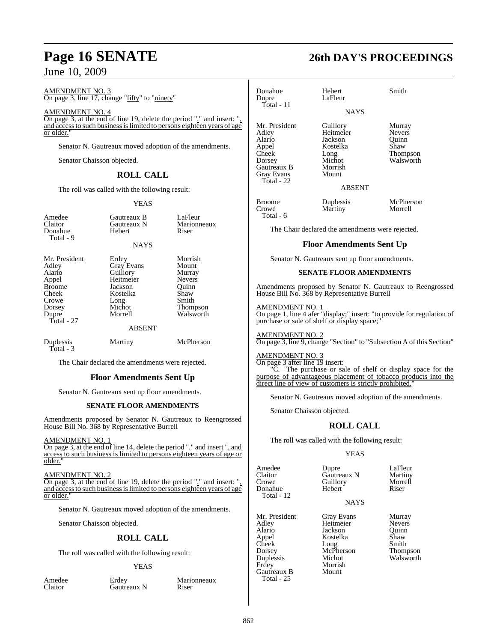AMENDMENT NO. 3 On page 3, line 17, change "fifty" to "ninety"

AMENDMENT NO. 4

On page 3, at the end of line 19, delete the period "." and insert: ", and accessto such businessislimited to persons eighteen years of age or older.

Senator N. Gautreaux moved adoption of the amendments.

Senator Chaisson objected.

### **ROLL CALL**

The roll was called with the following result:

### YEAS

| Amedee<br>Claitor<br>Donahue<br>Total - 9                                                                     | Gautreaux B<br>Gautreaux N<br>Hebert<br><b>NAYS</b>                                                                      | LaFleur<br>Marionneaux<br>Riser                                                                       |
|---------------------------------------------------------------------------------------------------------------|--------------------------------------------------------------------------------------------------------------------------|-------------------------------------------------------------------------------------------------------|
| Mr. President<br>Adley<br>Alario<br>Appel<br><b>Broome</b><br>Cheek<br>Crowe<br>Dorsey<br>Dupre<br>Total - 27 | Erdey<br><b>Gray Evans</b><br>Guillory<br>Heitmeier<br>Jackson<br>Kostelka<br>Long<br>Michot<br>Morrell<br><b>ABSENT</b> | Morrish<br>Mount<br>Murray<br><b>Nevers</b><br>Ouinn<br>Shaw<br>Smith<br><b>Thompson</b><br>Walsworth |
| Duplessis                                                                                                     | Martiny                                                                                                                  | McPherson                                                                                             |

Total - 3

The Chair declared the amendments were rejected.

### **Floor Amendments Sent Up**

Senator N. Gautreaux sent up floor amendments.

### **SENATE FLOOR AMENDMENTS**

Amendments proposed by Senator N. Gautreaux to Reengrossed House Bill No. 368 by Representative Burrell

### AMENDMENT NO. 1

On page 3, at the end of line 14, delete the period "." and insert ", and access to such business is limited to persons eighteen years of age or older."

### AMENDMENT NO. 2

On page 3, at the end of line 19, delete the period "." and insert: ", and accessto such businessislimited to persons eighteen years of age or older.

Senator N. Gautreaux moved adoption of the amendments.

Senator Chaisson objected.

### **ROLL CALL**

The roll was called with the following result:

### YEAS

Amedee Erdey Marionneaux<br>Claitor Gautreaux N Riser Gautreaux N

# **Page 16 SENATE 26th DAY'S PROCEEDINGS**

| Donahue<br>Dupre<br>$Total - 11$                                                                               | Hebert<br>LaFleur                                                                            | Smith                                                             |
|----------------------------------------------------------------------------------------------------------------|----------------------------------------------------------------------------------------------|-------------------------------------------------------------------|
|                                                                                                                | <b>NAYS</b>                                                                                  |                                                                   |
| Mr. President<br>Adley<br>Alario<br>Appel<br>Cheek<br>Dorsey<br>Gautreaux B<br><b>Gray Evans</b><br>Total - 22 | Guillory<br>Heitmeier<br>Jackson<br>Kostelka<br>Long<br>Michot<br>Morrish<br>Mount<br>ABSENT | Murray<br><b>Nevers</b><br>Ouinn<br>Shaw<br>Thompson<br>Walsworth |
| <b>Broome</b><br>Crowe<br>Total - 6                                                                            | Duplessis<br>Martiny                                                                         | McPherson<br>Morrell                                              |
|                                                                                                                |                                                                                              |                                                                   |

The Chair declared the amendments were rejected.

### **Floor Amendments Sent Up**

Senator N. Gautreaux sent up floor amendments.

### **SENATE FLOOR AMENDMENTS**

Amendments proposed by Senator N. Gautreaux to Reengrossed House Bill No. 368 by Representative Burrell

### AMENDMENT NO. 1

On page 1, line 4 afer "display;" insert: "to provide for regulation of purchase or sale of shelf or display space;

AMENDMENT NO. 2 On page 3, line 9, change "Section" to "Subsection A of this Section"

### AMENDMENT NO. 3

On page 3 after line 19 insert: "C. The purchase or sale of shelf or display space for the purpose of advantageous placement of tobacco products into the direct line of view of customers is strictly prohibited."

Senator N. Gautreaux moved adoption of the amendments.

Senator Chaisson objected.

### **ROLL CALL**

The roll was called with the following result:

### YEAS

Amedee Dupre LaFleur<br>Claitor Gautreaux N Martiny Claitor **Gautreaux N** Martiny<br>Crowe Guillory Morrell Donahue Hebert Riser Total - 12

Guillory<br>Hebert

NAYS

Mr. President Gray Evans Murray<br>
Adley Heitmeier Nevers Adley Heitmeier Nevers Alario Jackson Quinn Appel Kostelka Shaw<br>Cheek Long Smith Cheek Long Smith Dorsey McPherson Thompson Duplessis Michot Walsworth<br>
Erdey Morrish  $G$ autreaux  $B$ Total - 25

Morrish<br>Mount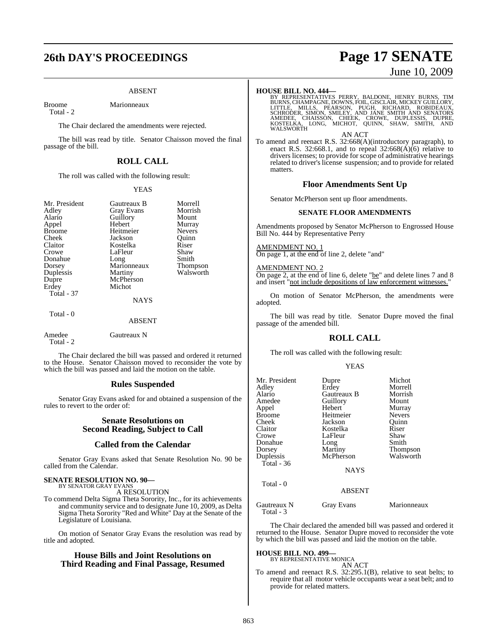# **26th DAY'S PROCEEDINGS Page 17 SENATE**

### ABSENT

Broome Marionneaux

Total - 2

The Chair declared the amendments were rejected.

The bill was read by title. Senator Chaisson moved the final passage of the bill.

### **ROLL CALL**

The roll was called with the following result:

### YEAS

| Mr. President<br>Adley<br>Alario<br>Appel<br><b>Broome</b><br>Cheek<br>Claitor<br>Crowe<br>Donahue<br>Dorsey<br>Duplessis<br>Dupre<br>Erdey | Gautreaux B<br><b>Gray Evans</b><br>Guillory<br>Hebert<br>Heitmeier<br>Jackson<br>Kostelka<br>LaFleur<br>Long<br>Marionneaux<br>Martiny<br>McPherson<br>Michot | Morrell<br>Morrish<br>Mount<br>Murray<br><b>Nevers</b><br>Ouinn<br>Riser<br>Shaw<br>Smith<br>Thompson<br>Walsworth |
|---------------------------------------------------------------------------------------------------------------------------------------------|----------------------------------------------------------------------------------------------------------------------------------------------------------------|--------------------------------------------------------------------------------------------------------------------|
| <b>Total</b> - 37                                                                                                                           | <b>NAYS</b>                                                                                                                                                    |                                                                                                                    |
| Total - 0                                                                                                                                   | ABSENT                                                                                                                                                         |                                                                                                                    |
| Amedee<br>Total - 2                                                                                                                         | Gautreaux N                                                                                                                                                    |                                                                                                                    |

The Chair declared the bill was passed and ordered it returned to the House. Senator Chaisson moved to reconsider the vote by which the bill was passed and laid the motion on the table.

### **Rules Suspended**

Senator Gray Evans asked for and obtained a suspension of the rules to revert to the order of:

### **Senate Resolutions on Second Reading, Subject to Call**

### **Called from the Calendar**

Senator Gray Evans asked that Senate Resolution No. 90 be called from the Calendar.

## **SENATE RESOLUTION NO. 90—** BY SENATOR GRAY EVANS

A RESOLUTION

To commend Delta Sigma Theta Sorority, Inc., for its achievements and community service and to designate June 10, 2009, as Delta Sigma Theta Sorority "Red and White" Day at the Senate of the Legislature of Louisiana.

On motion of Senator Gray Evans the resolution was read by title and adopted.

### **House Bills and Joint Resolutions on Third Reading and Final Passage, Resumed**

# June 10, 2009

**HOUSE BILL NO. 444—**<br>BY REPRESENTATIVES PERRY, BALDONE, HENRY BURNS, TIM<br>BURNS, CHAMPAGNE, DOWNS, FOIL, GISCLAIR, MICKEY GUILLORY,<br>LITTLE, MILLS, PEARSON, PUGH, RICHARD, ROBIDEAUX,<br>SCHRODER, SIMON, SMILEY, AND JANE SMITH AN ACT

To amend and reenact R.S. 32:668(A)(introductory paragraph), to enact R.S. 32:668.1, and to repeal  $32:668(\text{\AA})(6)$  relative to drivers licenses; to provide for scope of administrative hearings related to driver's license suspension; and to provide for related matters.

### **Floor Amendments Sent Up**

Senator McPherson sent up floor amendments.

### **SENATE FLOOR AMENDMENTS**

Amendments proposed by Senator McPherson to Engrossed House Bill No. 444 by Representative Perry

AMENDMENT NO. 1 On page 1, at the end of line 2, delete "and"

AMENDMENT NO. 2 On page 2, at the end of line 6, delete "be" and delete lines 7 and 8 and insert "not include depositions of law enforcement witnesses."

On motion of Senator McPherson, the amendments were adopted.

The bill was read by title. Senator Dupre moved the final passage of the amended bill.

### **ROLL CALL**

The roll was called with the following result:

### YEAS

| Mr. President<br>Adley<br>Alario<br>Amedee<br>Appel<br>Broome<br>Cheek<br>Claitor<br>Crowe<br>Donahue<br>Dorsey<br>Duplessis<br>Total - 36 | Dupre<br>Erdey<br>Gautreaux B<br>Guillory<br>Hebert<br>Heitmeier<br>Jackson<br>Kostelka<br>LaFleur<br>Long<br><b>Martiny</b><br>McPherson<br><b>NAYS</b> | Michot<br>Morrell<br>Morrish<br>Mount<br>Murray<br><b>Nevers</b><br>Ouinn<br>Riser<br>Shaw<br>Smith<br><b>Thompson</b><br>Walsworth |
|--------------------------------------------------------------------------------------------------------------------------------------------|----------------------------------------------------------------------------------------------------------------------------------------------------------|-------------------------------------------------------------------------------------------------------------------------------------|
| Total - 0                                                                                                                                  | <b>ABSENT</b>                                                                                                                                            |                                                                                                                                     |
| Gautreaux N<br>Total - $3$                                                                                                                 | <b>Gray Evans</b>                                                                                                                                        | Marionneaux                                                                                                                         |

The Chair declared the amended bill was passed and ordered it returned to the House. Senator Dupre moved to reconsider the vote by which the bill was passed and laid the motion on the table.

### **HOUSE BILL NO. 499—** BY REPRESENTATIVE MONICA

AN ACT

To amend and reenact R.S. 32:295.1(B), relative to seat belts; to require that all motor vehicle occupants wear a seat belt; and to provide for related matters.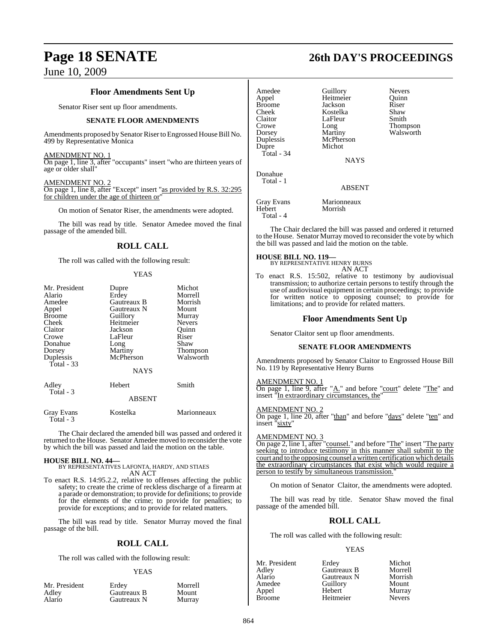### **Floor Amendments Sent Up**

Senator Riser sent up floor amendments.

### **SENATE FLOOR AMENDMENTS**

Amendments proposed by Senator Riser to Engrossed House Bill No. 499 by Representative Monica

### AMENDMENT NO. 1

On page 1, line 3, after "occupants" insert "who are thirteen years of age or older shall"

### AMENDMENT NO. 2

On page 1, line 8, after "Except" insert "as provided by R.S. 32:295 for children under the age of thirteen or

On motion of Senator Riser, the amendments were adopted.

The bill was read by title. Senator Amedee moved the final passage of the amended bill.

### **ROLL CALL**

The roll was called with the following result:

### YEAS

| Mr. President<br>Alario<br>Amedee | Dupre<br>Erdey<br>Gautreaux B | Michot<br>Morrell<br>Morrish |
|-----------------------------------|-------------------------------|------------------------------|
| Appel                             | Gautreaux N                   | Mount                        |
| <b>Broome</b>                     | Guillory                      | Murray                       |
| Cheek                             | Heitmeier                     | <b>Nevers</b>                |
| Claitor                           | Jackson                       | Quinn                        |
| Crowe                             | LaFleur                       | Riser                        |
| Donahue                           | Long                          | Shaw                         |
| Dorsey                            | Martiny                       | <b>Thompson</b>              |
| Duplessis<br>Total - 33           | McPherson                     | Walsworth                    |
|                                   | <b>NAYS</b>                   |                              |
| Adley<br>Total - 3                | Hebert                        | Smith                        |
|                                   | <b>ABSENT</b>                 |                              |
| Gray Evans<br>Total - 3           | Kostelka                      | Marionneaux                  |

The Chair declared the amended bill was passed and ordered it returned to the House. Senator Amedee moved to reconsider the vote by which the bill was passed and laid the motion on the table.

**HOUSE BILL NO. 44—** BY REPRESENTATIVES LAFONTA, HARDY, AND STIAES AN ACT

To enact R.S. 14:95.2.2, relative to offenses affecting the public safety; to create the crime of reckless discharge of a firearm at a parade or demonstration; to provide for definitions; to provide for the elements of the crime; to provide for penalties; to provide for exceptions; and to provide for related matters.

The bill was read by title. Senator Murray moved the final passage of the bill.

### **ROLL CALL**

The roll was called with the following result:

### YEAS

| Mr. President | Erdev       | Morrell |
|---------------|-------------|---------|
| Adley         | Gautreaux B | Mount   |
| Alario        | Gautreaux N | Murray  |

**Page 18 SENATE 26th DAY'S PROCEEDINGS**

| Amedee<br>Appel<br><b>Broome</b><br>Cheek<br>Claitor<br>Crowe<br>Dorsey<br>Duplessis<br>Dupre<br>Total - 34 | Guillory<br>Heitmeier<br>Jackson<br>Kostelka<br>LaFleur<br>Long<br>Martiny<br>McPherson<br>Michot<br><b>NAYS</b> | <b>Nevers</b><br>Ouinn<br>Riser<br>Shaw<br>Smith<br>Thompson<br>Walsworth |
|-------------------------------------------------------------------------------------------------------------|------------------------------------------------------------------------------------------------------------------|---------------------------------------------------------------------------|
| Donahue<br>Total - 1                                                                                        | <b>ABSENT</b>                                                                                                    |                                                                           |
| <b>Gray Evans</b><br>Hebert<br>Total - 4                                                                    | Marionneaux<br>Morrish                                                                                           |                                                                           |

The Chair declared the bill was passed and ordered it returned

to the House. Senator Murray moved to reconsider the vote by which the bill was passed and laid the motion on the table.

### **HOUSE BILL NO. 119—**

BY REPRESENTATIVE HENRY BURNS AN ACT

To enact R.S. 15:502, relative to testimony by audiovisual transmission; to authorize certain persons to testify through the use of audiovisual equipment in certain proceedings; to provide for written notice to opposing counsel; to provide for limitations; and to provide for related matters.

### **Floor Amendments Sent Up**

Senator Claitor sent up floor amendments.

### **SENATE FLOOR AMENDMENTS**

Amendments proposed by Senator Claitor to Engrossed House Bill No. 119 by Representative Henry Burns

### AMENDMENT NO. 1

On page 1, line 9, after "A." and before "court" delete "The" and insert "In extraordinary circumstances, the"

### AMENDMENT NO. 2

On page 1, line 20, after "than" and before "days" delete "ten" and insert "sixty"

### AMENDMENT NO. 3

On page 2, line 1, after "counsel." and before "The" insert "The party seeking to introduce testimony in this manner shall submit to the court and to the opposing counsel a written certification which details the extraordinary circumstances that exist which would require a person to testify by simultaneous transmission."

On motion of Senator Claitor, the amendments were adopted.

The bill was read by title. Senator Shaw moved the final passage of the amended bill.

### **ROLL CALL**

The roll was called with the following result:

### YEAS

| Erdey       | Michot        |
|-------------|---------------|
| Gautreaux B | Morrell       |
| Gautreaux N | Morrish       |
| Guillory    | Mount         |
| Hebert      | Murray        |
| Heitmeier   | <b>Nevers</b> |
|             |               |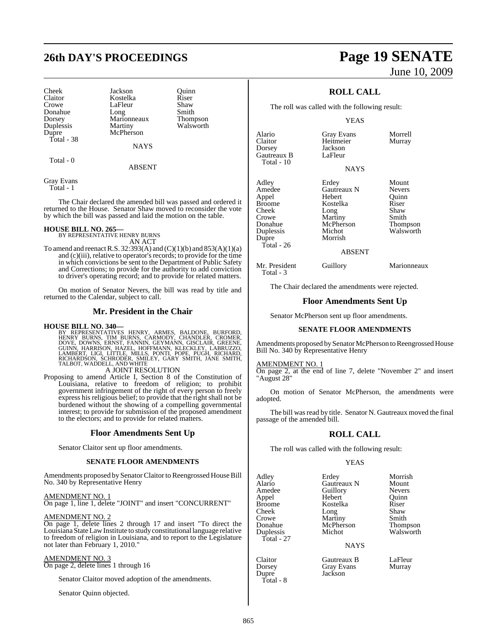# **26th DAY'S PROCEEDINGS Page 19 SENATE**

Dorsey Marionneaux<br>
Duplessis Martiny Total - 38

Cheek Jackson Quinn Claitor Kostelka Riser LaFleur Shaw<br>Long Smith Donahue Long Smith<br>Dorsey Marionneaux Thompson Duplessis Martiny Walsworth<br>
Dupre McPherson McPherson

**NAYS** 

Total - 0

ABSENT

Gray Evans Total - 1

The Chair declared the amended bill was passed and ordered it returned to the House. Senator Shaw moved to reconsider the vote by which the bill was passed and laid the motion on the table.

# **HOUSE BILL NO. 265—** BY REPRESENTATIVE HENRY BURNS

AN ACT

To amend and reenact R.S.  $32:393(A)$  and  $(C)(1)(b)$  and  $853(A)(1)(a)$ and (c)(iii), relative to operator's records; to provide for the time in which convictions be sent to the Department of Public Safety and Corrections; to provide for the authority to add conviction to driver's operating record; and to provide for related matters.

On motion of Senator Nevers, the bill was read by title and returned to the Calendar, subject to call.

### **Mr. President in the Chair**

**HOUSE BILL NO. 340—**<br>BY REPRESENTATIVES HENRY, ARMES, BALDONE, BURFORD,<br>HENRY BURNS, TIM BURNS, CARMODY, CHANDLER, CROMER,<br>DOVE, DOWNS, ERNST, FANNIN, GEYMANN, GISCLAIR, GREENE,<br>GUINN, HARRISON, HAZEL, HOFFMANN, KLECKLEY,

### A JOINT RESOLUTION

Proposing to amend Article I, Section 8 of the Constitution of Louisiana, relative to freedom of religion; to prohibit government infringement of the right of every person to freely express his religious belief; to provide that the right shall not be burdened without the showing of a compelling governmental interest; to provide for submission of the proposed amendment to the electors; and to provide for related matters.

### **Floor Amendments Sent Up**

Senator Claitor sent up floor amendments.

### **SENATE FLOOR AMENDMENTS**

Amendments proposed by Senator Claitor to Reengrossed House Bill No. 340 by Representative Henry

### AMENDMENT NO. 1

On page 1, line 1, delete "JOINT" and insert "CONCURRENT"

### AMENDMENT NO. 2

On page 1, delete lines 2 through 17 and insert "To direct the Louisiana State Law Institute to study constitutional language relative to freedom of religion in Louisiana, and to report to the Legislature not later than February 1, 2010."

### AMENDMENT NO. 3

On page 2, delete lines 1 through 16

Senator Claitor moved adoption of the amendments.

Senator Quinn objected.

# June 10, 2009

### **ROLL CALL**

The roll was called with the following result:

### YEAS

| Alario<br>Claitor<br>Dorsey<br>Gautreaux B<br>Total - 10                                                   | <b>Gray Evans</b><br>Heitmeier<br>Jackson<br>LaFleur<br><b>NAYS</b>                                              | Morrell<br>Murray                                                                  |
|------------------------------------------------------------------------------------------------------------|------------------------------------------------------------------------------------------------------------------|------------------------------------------------------------------------------------|
| Adley<br>Amedee<br>Appel<br><b>Broome</b><br>Cheek<br>Crowe<br>Donahue<br>Duplessis<br>Dupre<br>Total - 26 | Erdey<br>Gautreaux N<br>Hebert<br>Kostelka<br>Long<br>Martiny<br>McPherson<br>Michot<br>Morrish<br><b>ABSENT</b> | Mount<br><b>Nevers</b><br>Ouinn<br>Riser<br>Shaw<br>Smith<br>Thompson<br>Walsworth |
| Mr. President                                                                                              | Guillory                                                                                                         | Marionneaux                                                                        |

The Chair declared the amendments were rejected.

### **Floor Amendments Sent Up**

Senator McPherson sent up floor amendments.

### **SENATE FLOOR AMENDMENTS**

Amendments proposed by Senator McPherson to Reengrossed House Bill No. 340 by Representative Henry

AMENDMENT NO. 1

Total - 3

On page 2, at the end of line 7, delete "November 2" and insert "August 28"

On motion of Senator McPherson, the amendments were adopted.

The bill was read by title. Senator N. Gautreaux moved the final passage of the amended bill.

### **ROLL CALL**

The roll was called with the following result:

### YEAS

Adley Erdey Morrish<br>Alario Gautreaux N Mount Alario Gautreaux N Mount Appel Hebert Quinn Cheek Long Shaw<br>Crowe Martiny Smith Crowe Martiny<br>
Donahue McPherson Duplessis Total - 27

Guillory Nevers<br>
Hebert Ouinn Kostelka Riser<br>Long Shaw

McPherson Thompson<br>Michot Walsworth

NAYS

Claitor Gautreaux B LaFleur Gray Evans<br>Jackson

Dupre Total - 8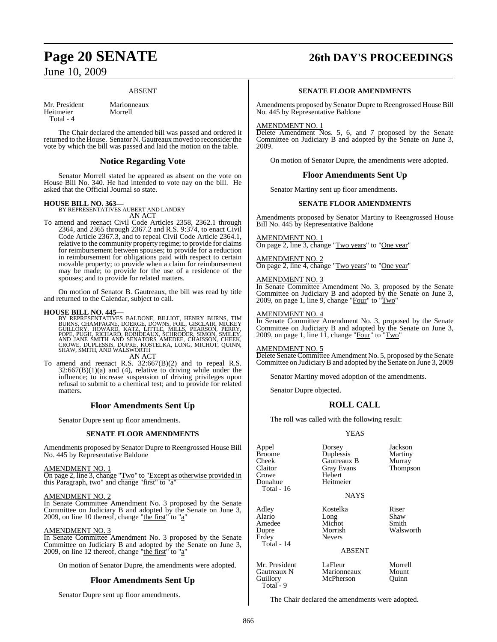### ABSENT

Mr. President Marionneaux<br>
Heitmeier Morrell Heitmeier Total - 4

The Chair declared the amended bill was passed and ordered it returned to the House. Senator N. Gautreaux moved to reconsider the vote by which the bill was passed and laid the motion on the table.

### **Notice Regarding Vote**

Senator Morrell stated he appeared as absent on the vote on House Bill No. 340. He had intended to vote nay on the bill. He asked that the Official Journal so state.

### **HOUSE BILL NO. 363—**

BY REPRESENTATIVES AUBERT AND LANDRY

- AN ACT
- To amend and reenact Civil Code Articles 2358, 2362.1 through 2364, and 2365 through 2367.2 and R.S. 9:374, to enact Civil Code Article 2367.3, and to repeal Civil Code Article 2364.1, relative to the community property regime; to provide for claims for reimbursement between spouses; to provide for a reduction in reimbursement for obligations paid with respect to certain movable property; to provide when a claim for reimbursement may be made; to provide for the use of a residence of the spouses; and to provide for related matters.

On motion of Senator B. Gautreaux, the bill was read by title and returned to the Calendar, subject to call.

**HOUSE BILL NO. 445—**<br>BY REPRESENTATIVES BALDONE, BILLIOT, HENRY BURNS, TIM<br>BURNS, CHAMPAGNE, DOERGE, DOWNS, FOIL, GISCLAIR, MICKEY<br>GUILLORY, HOWARD, KATZ, LITTLE, MILLS, PEARSON, PERRY,<br>POPE, PUGH, RICHARD, ROBIDEAUX, SCH SHAW, SMITH, AND WALSWORTH AN ACT

To amend and reenact R.S. 32:667(B)(2) and to repeal R.S.  $32:667(B)(1)(a)$  and (4), relative to driving while under the influence; to increase suspension of driving privileges upon refusal to submit to a chemical test; and to provide for related matters.

### **Floor Amendments Sent Up**

Senator Dupre sent up floor amendments.

### **SENATE FLOOR AMENDMENTS**

Amendments proposed by Senator Dupre to Reengrossed House Bill No. 445 by Representative Baldone

AMENDMENT NO. 1

On page 2, line 3, change "Two" to "Except as otherwise provided in this Paragraph, two" and change "first" to "a"

### AMENDMENT NO. 2

In Senate Committee Amendment No. 3 proposed by the Senate Committee on Judiciary B and adopted by the Senate on June 3, 2009, on line 10 thereof, change "the first" to "a"

### AMENDMENT NO. 3

In Senate Committee Amendment No. 3 proposed by the Senate Committee on Judiciary B and adopted by the Senate on June 3, 2009, on line 12 thereof, change "the first" to "a"

On motion of Senator Dupre, the amendments were adopted.

### **Floor Amendments Sent Up**

Senator Dupre sent up floor amendments.

# **Page 20 SENATE 26th DAY'S PROCEEDINGS**

### **SENATE FLOOR AMENDMENTS**

Amendments proposed by Senator Dupre to Reengrossed House Bill No. 445 by Representative Baldone

### AMENDMENT NO. 1

Delete Amendment Nos. 5, 6, and 7 proposed by the Senate Committee on Judiciary B and adopted by the Senate on June 3, 2009.

On motion of Senator Dupre, the amendments were adopted.

### **Floor Amendments Sent Up**

Senator Martiny sent up floor amendments.

### **SENATE FLOOR AMENDMENTS**

Amendments proposed by Senator Martiny to Reengrossed House Bill No. 445 by Representative Baldone

### AMENDMENT NO. 1

On page 2, line 3, change "Two years" to "One year"

### AMENDMENT NO. 2

On page 2, line 4, change "Two years" to "One year"

### AMENDMENT NO. 3

In Senate Committee Amendment No. 3, proposed by the Senate Committee on Judiciary B and adopted by the Senate on June 3, 2009, on page 1, line 9, change "Four" to " $\frac{1}{\text{Two}}$ "

### AMENDMENT NO. 4

In Senate Committee Amendment No. 3, proposed by the Senate Committee on Judiciary B and adopted by the Senate on June 3, 2009, on page 1, line 11, change " $\overline{\text{Four}}$ " to " $\overline{\text{Two}}$ "

### AMENDMENT NO. 5

Delete Senate Committee Amendment No. 5, proposed by the Senate Committee on Judiciary B and adopted by the Senate on June 3, 2009

Senator Martiny moved adoption of the amendments.

Senator Dupre objected.

Guillory McPherson

Total -  $9$ 

### **ROLL CALL**

The roll was called with the following result:

### YEAS

| Appel<br><b>Broome</b><br>Cheek<br>Claitor<br>Crowe<br>Donahue<br>Total - 16 | Dorsey<br>Duplessis<br>Gautreaux B<br><b>Gray Evans</b><br>Hebert<br>Heitmeier<br><b>NAYS</b> | Jackson<br>Martiny<br>Murray<br>Thompson |
|------------------------------------------------------------------------------|-----------------------------------------------------------------------------------------------|------------------------------------------|
| Adley<br>Alario<br>Amedee<br>Dupre<br>Erdey<br>Total - 14                    | Kostelka<br>Long<br>Michot<br>Morrish<br><b>Nevers</b><br><b>ABSENT</b>                       | Riser<br>Shaw<br>Smith<br>Walsworth      |
| Mr. President<br>Gautreaux N                                                 | LaFleur<br>Marionneaux                                                                        | Morrell<br>Mount                         |

The Chair declared the amendments were adopted.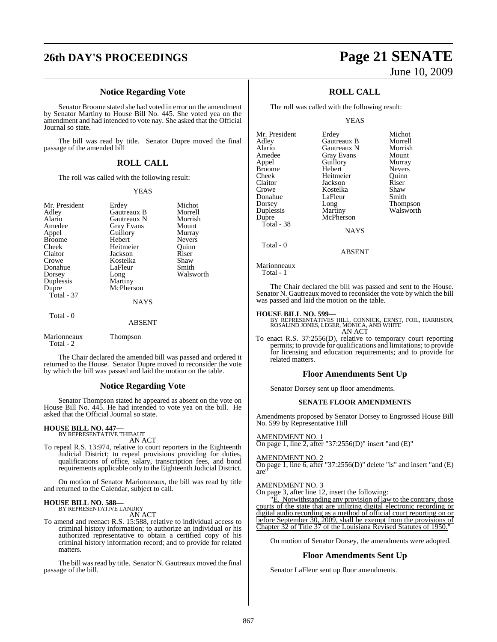# **26th DAY'S PROCEEDINGS Page 21 SENATE**

### **Notice Regarding Vote**

Senator Broome stated she had voted in error on the amendment by Senator Martiny to House Bill No. 445. She voted yea on the amendment and had intended to vote nay. She asked that the Official Journal so state.

The bill was read by title. Senator Dupre moved the final passage of the amended bill

### **ROLL CALL**

The roll was called with the following result:

### YEAS

| Mr. President            | Erdey         | Michot        |
|--------------------------|---------------|---------------|
| Adley                    | Gautreaux B   | Morrell       |
| Alario                   | Gautreaux N   | Morrish       |
| Amedee                   | Gray Evans    | Mount         |
| Appel                    | Guillory      | Murray        |
| <b>Broome</b>            | Hebert        | <b>Nevers</b> |
| Cheek                    | Heitmeier     | Ouinn         |
| Claitor                  | Jackson       | Riser         |
| Crowe                    | Kostelka      | Shaw          |
| Donahue                  | LaFleur       | Smith         |
| Dorsey                   | Long          | Walsworth     |
| Duplessis                | Martiny       |               |
| Dupre                    | McPherson     |               |
| Total - $37$             |               |               |
|                          | <b>NAYS</b>   |               |
| Total - 0                |               |               |
|                          | <b>ABSENT</b> |               |
| Marionneaux<br>Total - 2 | Thompson      |               |

The Chair declared the amended bill was passed and ordered it returned to the House. Senator Dupre moved to reconsider the vote by which the bill was passed and laid the motion on the table.

### **Notice Regarding Vote**

Senator Thompson stated he appeared as absent on the vote on House Bill No. 445. He had intended to vote yea on the bill. He asked that the Official Journal so state.

### **HOUSE BILL NO. 447—**

BY REPRESENTATIVE THIBAUT AN ACT

To repeal R.S. 13:974, relative to court reporters in the Eighteenth Judicial District; to repeal provisions providing for duties, qualifications of office, salary, transcription fees, and bond requirements applicable only to the Eighteenth Judicial District.

On motion of Senator Marionneaux, the bill was read by title and returned to the Calendar, subject to call.

### **HOUSE BILL NO. 588—** BY REPRESENTATIVE LANDRY

AN ACT

To amend and reenact R.S. 15:588, relative to individual access to criminal history information; to authorize an individual or his authorized representative to obtain a certified copy of his criminal history information record; and to provide for related matters.

The bill was read by title. Senator N. Gautreaux moved the final passage of the bill.

# June 10, 2009

### **ROLL CALL**

The roll was called with the following result:

YEAS

| Erdey             | Michot          |
|-------------------|-----------------|
| Gautreaux B       | Morrell         |
| Gautreaux N       | Morrish         |
| <b>Gray Evans</b> | Mount           |
| Guillory          | Murray          |
| Hebert            | <b>Nevers</b>   |
| Heitmeier         | Ouinn           |
| Jackson           | Riser           |
| Kostelka          | Shaw            |
| LaFleur           | Smith           |
| Long              | <b>Thompson</b> |
| Martiny           | Walsworth       |
| McPherson         |                 |
|                   |                 |
| <b>NAYS</b>       |                 |
|                   |                 |
| <b>ABSENT</b>     |                 |
|                   |                 |

Marionneaux

Total - 1

The Chair declared the bill was passed and sent to the House. Senator N. Gautreaux moved to reconsider the vote by which the bill was passed and laid the motion on the table.

### **HOUSE BILL NO. 599—**

BY REPRESENTATIVES HILL, CONNICK, ERNST, FOIL, HARRISON, ROSALIND JONES, LEGER, MONICA, AND WHITE AN ACT

To enact R.S. 37:2556(D), relative to temporary court reporting permits; to provide for qualifications and limitations; to provide for licensing and education requirements; and to provide for related matters.

### **Floor Amendments Sent Up**

Senator Dorsey sent up floor amendments.

### **SENATE FLOOR AMENDMENTS**

Amendments proposed by Senator Dorsey to Engrossed House Bill No. 599 by Representative Hill

AMENDMENT NO. 1

On page 1, line 2, after "37:2556(D)" insert "and (E)"

### AMENDMENT NO. 2

On page 1, line 6, after "37:2556(D)" delete "is" and insert "and (E) are"

### AMENDMENT NO. 3

On page 3, after line 12, insert the following:

E. Notwithstanding any provision of law to the contrary, those courts of the state that are utilizing digital electronic recording or digital audio recording as a method of official court reporting on or before September 30, 2009, shall be exempt from the provisions of Chapter 32 of Title 37 of the Louisiana Revised Statutes of 1950.

On motion of Senator Dorsey, the amendments were adopted.

### **Floor Amendments Sent Up**

Senator LaFleur sent up floor amendments.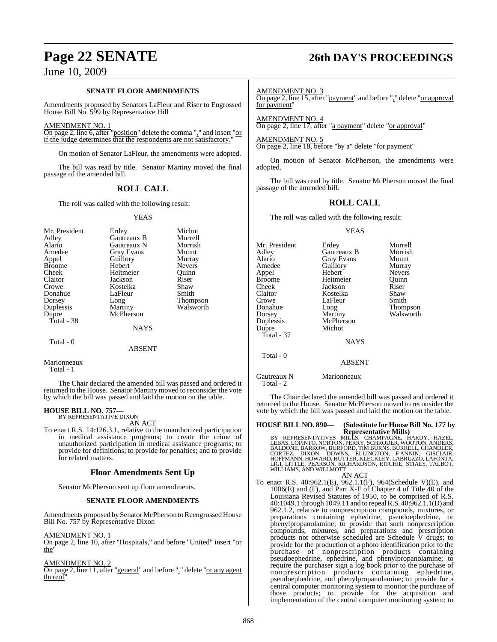### **SENATE FLOOR AMENDMENTS**

Amendments proposed by Senators LaFleur and Riser to Engrossed House Bill No. 599 by Representative Hill

### AMENDMENT NO. 1

On page 2, line 6, after "position" delete the comma "," and insert "or if the judge determines that the respondents are not satisfactory."

On motion of Senator LaFleur, the amendments were adopted.

The bill was read by title. Senator Martiny moved the final passage of the amended bill.

### **ROLL CALL**

The roll was called with the following result:

### YEAS

| Mr. President<br>Adley<br>Alario<br>Amedee<br>Appel<br><b>Broome</b><br>Cheek<br>Claitor<br>Crowe<br>Donahue<br>Dorsey<br>Duplessis<br>Dupre<br>Total - 38 | Erdey<br>Gautreaux B<br>Gautreaux N<br>Gray Evans<br>Guillory<br>Hebert<br>Heitmeier<br>Jackson<br>Kostelka<br>LaFleur<br>Long<br>Martiny<br>McPherson<br><b>NAYS</b> | Michot<br>Morrell<br>Morrish<br>Mount<br>Murray<br>Nevers<br>Ouinn<br>Riser<br>Shaw<br>Smith<br><b>Thompson</b><br>Walsworth |
|------------------------------------------------------------------------------------------------------------------------------------------------------------|-----------------------------------------------------------------------------------------------------------------------------------------------------------------------|------------------------------------------------------------------------------------------------------------------------------|
| Total - 0                                                                                                                                                  |                                                                                                                                                                       |                                                                                                                              |

ABSENT

Marionneaux

Total - 1

The Chair declared the amended bill was passed and ordered it returned to the House. Senator Martiny moved to reconsider the vote by which the bill was passed and laid the motion on the table.

### **HOUSE BILL NO. 757—** BY REPRESENTATIVE DIXON

AN ACT

To enact R.S. 14:126.3.1, relative to the unauthorized participation in medical assistance programs; to create the crime of unauthorized participation in medical assistance programs; to provide for definitions; to provide for penalties; and to provide for related matters.

### **Floor Amendments Sent Up**

Senator McPherson sent up floor amendments.

### **SENATE FLOOR AMENDMENTS**

Amendments proposed by Senator McPherson to Reengrossed House Bill No. 757 by Representative Dixon

### AMENDMENT NO. 1

On page 2, line 10, after "Hospitals," and before "United" insert "or the"

### AMENDMENT NO. 2

On page 2, line 11, after "general" and before "." delete "or any agent thereof

# **Page 22 SENATE 26th DAY'S PROCEEDINGS**

AMENDMENT NO. 3

On page 2, line 15, after "payment" and before "," delete "or approval for payment"

AMENDMENT NO. 4 On page 2, line 17, after "a payment" delete "or approval"

AMENDMENT NO. 5 On page 2, line 18, before "by a" delete "for payment"

On motion of Senator McPherson, the amendments were adopted.

The bill was read by title. Senator McPherson moved the final passage of the amended bill.

### **ROLL CALL**

The roll was called with the following result:

### YEAS

Mr. President Erdey Morrell<br>Adley Gautreaux B Morrish Adley Gautreaux B Morrish Alario Gray Evans Mount<br>Amedee Guillory Murray Amedeu<br>
Hebert Meyers Appel Hebert Nevers Broome Heitmeier Quinn<br>Cheek Jackson Riser Cheek Jackson Riser Kostelka Shaw<br>LaFleur Smith Crowe LaFleur<br>Donahue Long Donahue Long Thompson<br>
Dorsey Martiny Walsworth Dorsey Martiny Walsworth<br>
Duplessis McPherson McPherson Dupre Michot Total - 37 NAYS Total - 0 ABSENT

Gautreaux N Marionneaux Total - 2

The Chair declared the amended bill was passed and ordered it returned to the House. Senator McPherson moved to reconsider the vote by which the bill was passed and laid the motion on the table.

### **HOUSE BILL NO. 890— (Substitute for HouseBill No. 177 by Representative Mills)**

BY REPRESENTATIVES MILLS, CHAMPAGNE, HARDY, HAZEL,<br>LEBAS,LOPINTO,NORTON,PERRY,SCHRODER,WOOTON,ANDERS,<br>BALDONE,BARROW,BURFORD,TIMBURNS,BURRELL,CHANDERS,<br>CORTEZ, DIXON, DOWNS, ELLINGTON, FANNIN, GISCLAIR,<br>HOFFMANN,HOWARD,HUT

### AN ACT

To enact R.S. 40:962.1(E), 962.1.1(F), 964(Schedule V)(E), and 1006(E) and (F), and Part X-F of Chapter 4 of Title 40 of the Louisiana Revised Statutes of 1950, to be comprised of R.S. 40:1049.1 through 1049.11 and to repeal R.S. 40:962.1.1(D) and 962.1.2, relative to nonprescription compounds, mixtures, or preparations containing ephedrine, pseudoephedrine, or phenylpropanolamine; to provide that such nonprescription compounds, mixtures, and preparations and prescription products not otherwise scheduled are Schedule V drugs; to provide for the production of a photo identification prior to the purchase of nonprescription products containing pseudoephedrine, ephedrine, and phenylpropanolamine; to require the purchaser sign a log book prior to the purchase of nonprescription products containing ephedrine, pseudoephedrine, and phenylpropanolamine; to provide for a central computer monitoring system to monitor the purchase of those products; to provide for the acquisition and implementation of the central computer monitoring system; to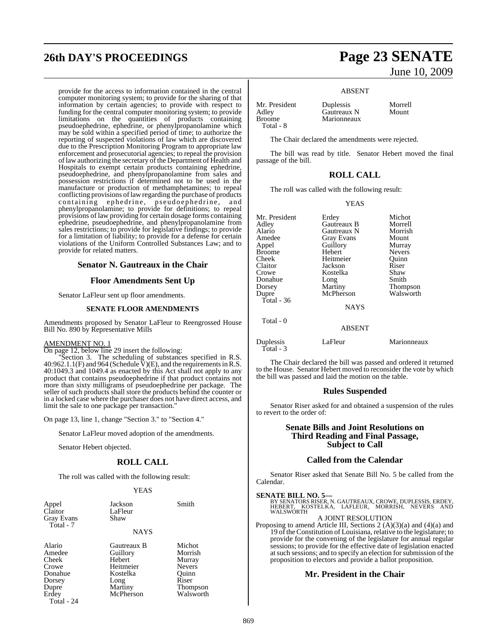# **26th DAY'S PROCEEDINGS Page 23 SENATE**

provide for the access to information contained in the central computer monitoring system; to provide for the sharing of that information by certain agencies; to provide with respect to funding for the central computer monitoring system; to provide limitations on the quantities of products containing pseudoephedrine, ephedrine, or phenylpropanolamine which may be sold within a specified period of time; to authorize the reporting of suspected violations of law which are discovered due to the Prescription Monitoring Program to appropriate law enforcement and prosecutorial agencies; to repeal the provision oflaw authorizing the secretary ofthe Department of Health and Hospitals to exempt certain products containing ephedrine, pseudoephedrine, and phenylpropanolamine from sales and possession restrictions if determined not to be used in the manufacture or production of methamphetamines; to repeal conflicting provisions of law regarding the purchase of products containing ephedrine, pseudoephedrine, and phenylpropanolamine; to provide for definitions; to repeal provisions of law providing for certain dosage forms containing ephedrine, pseudoephedrine, and phenylpropanolamine from sales restrictions; to provide for legislative findings; to provide for a limitation of liability; to provide for a defense for certain violations of the Uniform Controlled Substances Law; and to provide for related matters.

### **Senator N. Gautreaux in the Chair**

### **Floor Amendments Sent Up**

Senator LaFleur sent up floor amendments.

### **SENATE FLOOR AMENDMENTS**

Amendments proposed by Senator LaFleur to Reengrossed House Bill No. 890 by Representative Mills

### AMENDMENT NO. 1

On page 12, below line 29 insert the following:

"Section 3. The scheduling of substances specified in R.S. 40:962.1.1(F) and 964 (Schedule  $\bar{V}$ )(E), and the requirements in R.S. 40:1049.3 and 1049.4 as enacted by this Act shall not apply to any product that contains pseudoephedrine if that product contains not more than sixty milligrams of pseudoephedrine per package. The seller of such products shall store the products behind the counter or in a locked case where the purchaser does not have direct access, and limit the sale to one package per transaction.

On page 13, line 1, change "Section 3." to "Section 4."

Senator LaFleur moved adoption of the amendments.

Senator Hebert objected.

### **ROLL CALL**

The roll was called with the following result:

### YEAS

| Appel<br>Claitor<br>Gray Evans<br>Total - 7 | Jackson<br>LaFleur<br>Shaw | Smith  |
|---------------------------------------------|----------------------------|--------|
|                                             | <b>NAYS</b>                |        |
| Alario                                      | Gautreaux B                | Michot |

| A(a B)     |
|------------|
| Amedee     |
| Cheek      |
| Crowe      |
| Donahue    |
| Dorsey     |
| Dupre      |
| Erdey      |
| Total - 24 |
|            |

Guillory Morrish Hebert Murray<br>
Heitmeier Nevers Heitmeier Nevers<br>Kostelka Ouinn Kostelka Long Riser<br>Martiny Thom McPherson

Thompson<br>Walsworth

June 10, 2009

### ABSENT

Adley Gautreaux N<br>Broome Marionneaux Total - 8

Mr. President Duplessis Morrell<br>Adlev Gautreaux N Mount Marionneaux

The Chair declared the amendments were rejected.

The bill was read by title. Senator Hebert moved the final passage of the bill.

### **ROLL CALL**

The roll was called with the following result:

YEAS

| Mr. President<br>Adley<br>Alario<br>Amedee<br>Appel<br><b>Broome</b><br>Cheek<br>Claitor<br>Crowe<br>Donahue<br>Dorsey<br>Dupre<br>Total - $36$<br>Total - 0 | Erdey<br>Gautreaux B<br>Gautreaux N<br><b>Gray Evans</b><br>Guillory<br>Hebert<br>Heitmeier<br>Jackson<br>Kostelka<br>Long<br>Martiny<br>McPherson<br><b>NAYS</b><br><b>ABSENT</b> | Michot<br>Morrell<br>Morrish<br>Mount<br>Murray<br><b>Nevers</b><br>Ouinn<br>Riser<br>Shaw<br>Smith<br>Thompson<br>Walsworth |
|--------------------------------------------------------------------------------------------------------------------------------------------------------------|------------------------------------------------------------------------------------------------------------------------------------------------------------------------------------|------------------------------------------------------------------------------------------------------------------------------|
|                                                                                                                                                              |                                                                                                                                                                                    |                                                                                                                              |
| Duplessis<br>Total - 3                                                                                                                                       | LaFleur                                                                                                                                                                            | Marionneaux                                                                                                                  |

The Chair declared the bill was passed and ordered it returned to the House. Senator Hebert moved to reconsider the vote by which the bill was passed and laid the motion on the table.

### **Rules Suspended**

Senator Riser asked for and obtained a suspension of the rules to revert to the order of:

### **Senate Bills and Joint Resolutions on Third Reading and Final Passage, Subject to Call**

### **Called from the Calendar**

Senator Riser asked that Senate Bill No. 5 be called from the Calendar.

**SENATE BILL NO. 5—**<br>BY SENATORS RISER, N. GAUTREAUX, CROWE, DUPLESSIS, ERDEY,<br>HEBERT, KOSTELKA, LAFLEUR, MORRISH, NEVERS AND<br>WALSWORTH

### A JOINT RESOLUTION

Proposing to amend Article III, Sections 2 (A)(3)(a) and (4)(a) and 19 of the Constitution of Louisiana, relative to the legislature; to provide for the convening of the legislature for annual regular sessions; to provide for the effective date of legislation enacted atsuch sessions; and to specify an election forsubmission ofthe proposition to electors and provide a ballot proposition.

### **Mr. President in the Chair**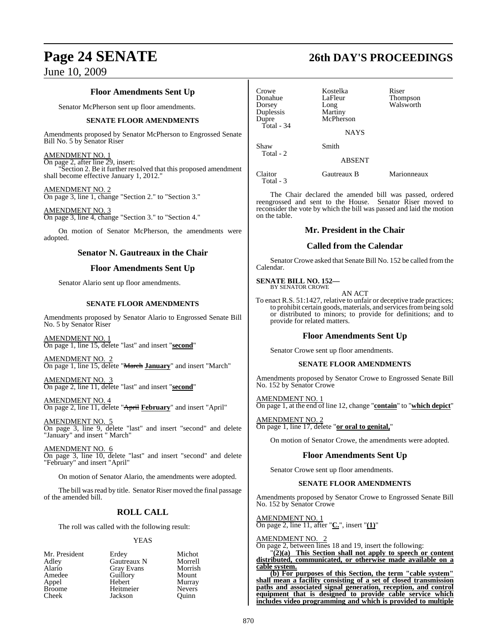### **Floor Amendments Sent Up**

Senator McPherson sent up floor amendments.

### **SENATE FLOOR AMENDMENTS**

Amendments proposed by Senator McPherson to Engrossed Senate Bill No. 5 by Senator Riser

### AMENDMENT NO. 1

On page 2, after line 29, insert: "Section 2. Be it further resolved that this proposed amendment shall become effective January 1, 2012."

### AMENDMENT NO. 2

On page 3, line 1, change "Section 2." to "Section 3."

AMENDMENT NO. 3 On page 3, line 4, change "Section 3." to "Section 4."

On motion of Senator McPherson, the amendments were adopted.

### **Senator N. Gautreaux in the Chair**

### **Floor Amendments Sent Up**

Senator Alario sent up floor amendments.

### **SENATE FLOOR AMENDMENTS**

Amendments proposed by Senator Alario to Engrossed Senate Bill No. 5 by Senator Riser

AMENDMENT NO. 1 On page 1, line 15, delete "last" and insert "**second**"

AMENDMENT NO. 2 On page 1, line 15, delete "March **January**" and insert "March"

AMENDMENT NO. 3 On page 2, line 11, delete "last" and insert "**second**"

AMENDMENT NO. 4 On page 2, line 11, delete "April **February**" and insert "April"

AMENDMENT NO. 5 On page 3, line 9, delete "last" and insert "second" and delete "January" and insert " March"

AMENDMENT NO. 6 On page 3, line 10, delete "last" and insert "second" and delete "February" and insert "April"

On motion of Senator Alario, the amendments were adopted.

The bill was read by title. Senator Riser moved the final passage of the amended bill.

### **ROLL CALL**

The roll was called with the following result:

### YEAS

| Mr. President | Erdey             | Michot        |
|---------------|-------------------|---------------|
| Adley         | Gautreaux N       | Morrell       |
| Alario        | <b>Gray Evans</b> | Morrish       |
| Amedee        | Guillory          | Mount         |
| Appel         | Hebert            | Murray        |
| <b>Broome</b> | Heitmeier         | <b>Nevers</b> |
| Cheek         | Jackson           | Ouinn         |

# **Page 24 SENATE 26th DAY'S PROCEEDINGS**

Crowe Kostelka Riser Donahue LaFleur Thompson Long Walsworth Duplessis<br>Dupre McPherson Total - 34 **NAYS** Shaw Smith Total - 2 ABSENT

Claitor Gautreaux B Marionneaux Total - 3

The Chair declared the amended bill was passed, ordered reengrossed and sent to the House. Senator Riser moved to reconsider the vote by which the bill was passed and laid the motion on the table.

### **Mr. President in the Chair**

### **Called from the Calendar**

Senator Crowe asked that Senate Bill No. 152 be called from the Calendar.

**SENATE BILL NO. 152—** BY SENATOR CROWE

AN ACT

To enact R.S. 51:1427, relative to unfair or deceptive trade practices; to prohibit certain goods, materials, and services from being sold or distributed to minors; to provide for definitions; and to provide for related matters.

### **Floor Amendments Sent Up**

Senator Crowe sent up floor amendments.

### **SENATE FLOOR AMENDMENTS**

Amendments proposed by Senator Crowe to Engrossed Senate Bill No. 152 by Senator Crowe

AMENDMENT NO. 1 On page 1, at the end of line 12, change "**contain**" to "**which depict**"

AMENDMENT NO. 2 On page 1, line 17, delete "**or oral to genital,**"

On motion of Senator Crowe, the amendments were adopted.

### **Floor Amendments Sent Up**

Senator Crowe sent up floor amendments.

### **SENATE FLOOR AMENDMENTS**

Amendments proposed by Senator Crowe to Engrossed Senate Bill No. 152 by Senator Crowe

AMENDMENT NO. 1 On page 2, line 11, after "**C.**", insert "**(1)**"

AMENDMENT NO. 2

On page 2, between lines 18 and 19, insert the following:

"**(2)(a) This Section shall not apply to speech or content distributed, communicated, or otherwise made available on a cable system.**

**(b) For purposes of this Section, the term "cable system" shall mean a facility consisting of a set of closed transmission paths and associated signal generation, reception, and control equipment that is designed to provide cable service which includes video programming and which is provided to multiple**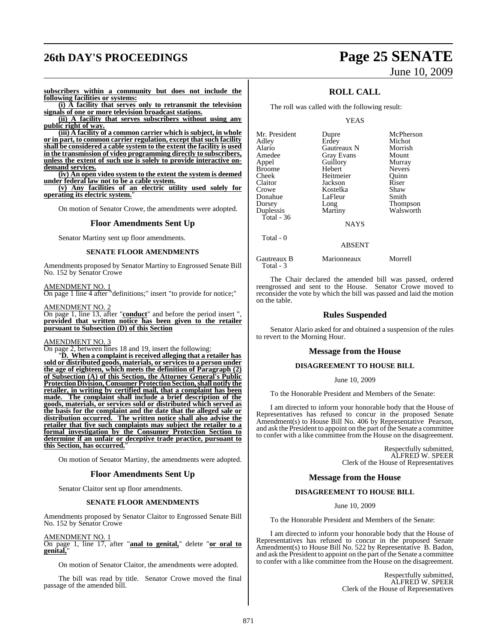# **26th DAY'S PROCEEDINGS Page 25 SENATE**

# June 10, 2009

**subscribers within a community but does not include the following facilities or systems:**

**(i) A facility that serves only to retransmit the television signals of one or more television broadcast stations.**

**(ii) A facility that serves subscribers without using any public right of way.**

**(iii) A facility of a common carrier which is subject, in whole or in part, to common carrier regulation, except that such facility shall be considered a cable system to the extent the facility is used in the transmission of video programming directly to subscribers, unless the extent of such use is solely to provide interactive ondemand services.**

**(iv) An open video system to the extent the system is deemed under federal law not to be a cable system.**

**(v) Any facilities of an electric utility used solely for operating its electric system.**"

On motion of Senator Crowe, the amendments were adopted.

### **Floor Amendments Sent Up**

Senator Martiny sent up floor amendments.

### **SENATE FLOOR AMENDMENTS**

Amendments proposed by Senator Martiny to Engrossed Senate Bill No. 152 by Senator Crowe

AMENDMENT NO. 1

On page 1 line 4 after "definitions;" insert "to provide for notice;"

AMENDMENT NO. 2 On page 1, line 13, after "**conduct**" and before the period insert ", **provided that written notice has been given to the retailer pursuant to Subsection (D) of this Section**

### AMENDMENT NO. 3

On page 2, between lines 18 and 19, insert the following:

"**D. When a complaint is received alleging that a retailer has sold or distributed goods, materials, or services to a person under the age of eighteen, which meets the definition of Paragraph (2) of Subsection (A) of this Section, the Attorney General's Public Protection Division, Consumer Protection Section, shall notify the retailer, in writing by certified mail, that a complaint has been made. The complaint shall include a brief description of the goods, materials, or services sold or distributed which served as the basis for the complaint and the date that the alleged sale or distribution occurred. The written notice shall also advise the retailer that five such complaints may subject the retailer to a formal investigation by the Consumer Protection Section to determine if an unfair or deceptive trade practice, pursuant to this Section, has occurred.**"

On motion of Senator Martiny, the amendments were adopted.

### **Floor Amendments Sent Up**

Senator Claitor sent up floor amendments.

### **SENATE FLOOR AMENDMENTS**

Amendments proposed by Senator Claitor to Engrossed Senate Bill No. 152 by Senator Crowe

### AMENDMENT NO. 1

On page 1, line 17, after "**anal to genital,**" delete "**or oral to genital,**"

On motion of Senator Claitor, the amendments were adopted.

The bill was read by title. Senator Crowe moved the final passage of the amended bill.

### **ROLL CALL**

The roll was called with the following result:

YEAS

| Mr. President | Dupre             | McPherson       |
|---------------|-------------------|-----------------|
| Adley         | Erdey             | Michot          |
| Alario        | Gautreaux N       | Morrish         |
| Amedee        | <b>Gray Evans</b> | Mount           |
| Appel         | Guillory          | Murray          |
| <b>Broome</b> | Hebert            | <b>Nevers</b>   |
| Cheek         | Heitmeier         | Ouinn           |
| Claitor       | Jackson           | Riser           |
| Crowe         | Kostelka          | Shaw            |
| Donahue       | LaFleur           | Smith           |
| Dorsey        | Long              | <b>Thompson</b> |
| Duplessis     | Martiny           | Walsworth       |
| Total - 36    |                   |                 |
|               | <b>NAYS</b>       |                 |

NAYS

### ABSENT

Gautreaux B Marionneaux Morrell Total - 3

Total - 0

The Chair declared the amended bill was passed, ordered reengrossed and sent to the House. Senator Crowe moved to reconsider the vote by which the bill was passed and laid the motion on the table.

### **Rules Suspended**

Senator Alario asked for and obtained a suspension of the rules to revert to the Morning Hour.

### **Message from the House**

### **DISAGREEMENT TO HOUSE BILL**

June 10, 2009

To the Honorable President and Members of the Senate:

I am directed to inform your honorable body that the House of Representatives has refused to concur in the proposed Senate Amendment(s) to House Bill No. 406 by Representative Pearson, and ask the President to appoint on the part of the Senate a committee to confer with a like committee from the House on the disagreement.

> Respectfully submitted, ALFRED W. SPEER Clerk of the House of Representatives

### **Message from the House**

### **DISAGREEMENT TO HOUSE BILL**

June 10, 2009

To the Honorable President and Members of the Senate:

I am directed to inform your honorable body that the House of Representatives has refused to concur in the proposed Senate Amendment(s) to House Bill No. 522 by Representative B. Badon, and ask the President to appoint on the part of the Senate a committee to confer with a like committee from the House on the disagreement.

> Respectfully submitted, ALFRED W. SPEER Clerk of the House of Representatives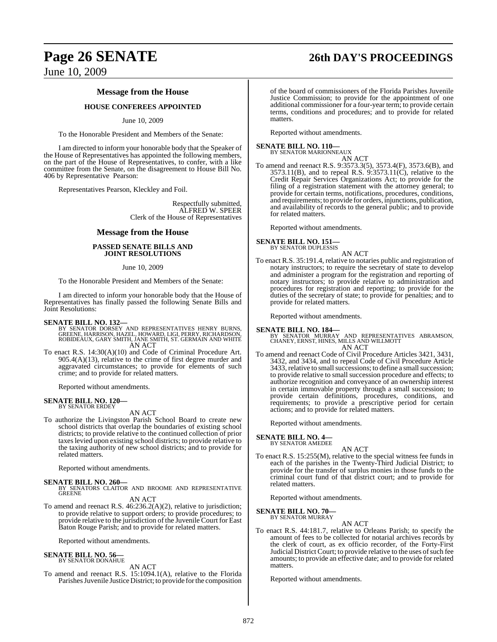## **Page 26 SENATE 26th DAY'S PROCEEDINGS**

June 10, 2009

### **Message from the House**

### **HOUSE CONFEREES APPOINTED**

### June 10, 2009

To the Honorable President and Members of the Senate:

I am directed to inform your honorable body that the Speaker of the House of Representatives has appointed the following members, on the part of the House of Representatives, to confer, with a like committee from the Senate, on the disagreement to House Bill No. 406 by Representative Pearson:

Representatives Pearson, Kleckley and Foil.

Respectfully submitted, ALFRED W. SPEER Clerk of the House of Representatives

### **Message from the House**

### **PASSED SENATE BILLS AND JOINT RESOLUTIONS**

June 10, 2009

To the Honorable President and Members of the Senate:

I am directed to inform your honorable body that the House of Representatives has finally passed the following Senate Bills and Joint Resolutions:

- **SENATE BILL NO. 132—**<br>BY SENATOR DORSEY AND REPRESENTATIVES HENRY BURNS,<br>GREENE, HARRISON, HAZEL, HOWARD, LIGI, PERRY, RICHARDSON,<br>ROBIDEAUX, GARY SMITH, JANE SMITH, ST. GERMAIN AND WHITE AN ACT
- To enact R.S. 14:30(A)(10) and Code of Criminal Procedure Art. 905.4(A)(13), relative to the crime of first degree murder and aggravated circumstances; to provide for elements of such crime; and to provide for related matters.

Reported without amendments.

### **SENATE BILL NO. 120—** BY SENATOR ERDEY

AN ACT

To authorize the Livingston Parish School Board to create new school districts that overlap the boundaries of existing school districts; to provide relative to the continued collection of prior taxeslevied upon existing school districts; to provide relative to the taxing authority of new school districts; and to provide for related matters.

Reported without amendments.

- **SENATE BILL NO. 260—**<br>BY SENATORS CLAITOR AND BROOME AND REPRESENTATIVE<br>GREENE AN ACT
- To amend and reenact R.S. 46:236.2(A)(2), relative to jurisdiction; to provide relative to support orders; to provide procedures; to provide relative to the jurisdiction of the Juvenile Court for East Baton Rouge Parish; and to provide for related matters.

Reported without amendments.

### **SENATE BILL NO. 56—** BY SENATOR DONAHUE

AN ACT

To amend and reenact R.S. 15:1094.1(A), relative to the Florida Parishes Juvenile Justice District; to provide for the composition

of the board of commissioners of the Florida Parishes Juvenile Justice Commission; to provide for the appointment of one additional commissioner for a four-year term; to provide certain terms, conditions and procedures; and to provide for related matters.

Reported without amendments.

### **SENATE BILL NO. 110—** BY SENATOR MARIONNEAUX

AN ACT

To amend and reenact R.S. 9:3573.3(5), 3573.4(F), 3573.6(B), and 3573.11(B), and to repeal R.S. 9:3573.11(C), relative to the Credit Repair Services Organizations Act; to provide for the filing of a registration statement with the attorney general; to provide for certain terms, notifications, procedures, conditions, and requirements; to provide for orders, injunctions, publication, and availability of records to the general public; and to provide for related matters.

Reported without amendments.

### **SENATE BILL NO. 151—**

BY SENATOR DUPLESSIS AN ACT

To enact R.S. 35:191.4, relative to notaries public and registration of notary instructors; to require the secretary of state to develop and administer a program for the registration and reporting of notary instructors; to provide relative to administration and procedures for registration and reporting; to provide for the duties of the secretary of state; to provide for penalties; and to provide for related matters.

Reported without amendments.

**SENATE BILL NO. 184—** BY SENATOR MURRAY AND REPRESENTATIVES ABRAMSON, CHANEY, ERNST, HINES, MILLS AND WILLMOTT

AN ACT

To amend and reenact Code of Civil Procedure Articles 3421, 3431, 3432, and 3434, and to repeal Code of Civil Procedure Article 3433, relative to small successions; to define a small succession; to provide relative to small succession procedure and effects; to authorize recognition and conveyance of an ownership interest in certain immovable property through a small succession; to provide certain definitions, procedures, conditions, and requirements; to provide a prescriptive period for certain actions; and to provide for related matters.

Reported without amendments.

### **SENATE BILL NO. 4—** BY SENATOR AMEDEE

AN ACT

To enact R.S. 15:255(M), relative to the special witness fee funds in each of the parishes in the Twenty-Third Judicial District; to provide for the transfer of surplus monies in those funds to the criminal court fund of that district court; and to provide for related matters.

Reported without amendments.

**SENATE BILL NO. 70—** BY SENATOR MURRAY

AN ACT

To enact R.S. 44:181.7, relative to Orleans Parish; to specify the amount of fees to be collected for notarial archives records by the clerk of court, as ex officio recorder, of the Forty-First Judicial District Court; to provide relative to the uses of such fee amounts; to provide an effective date; and to provide for related matters.

Reported without amendments.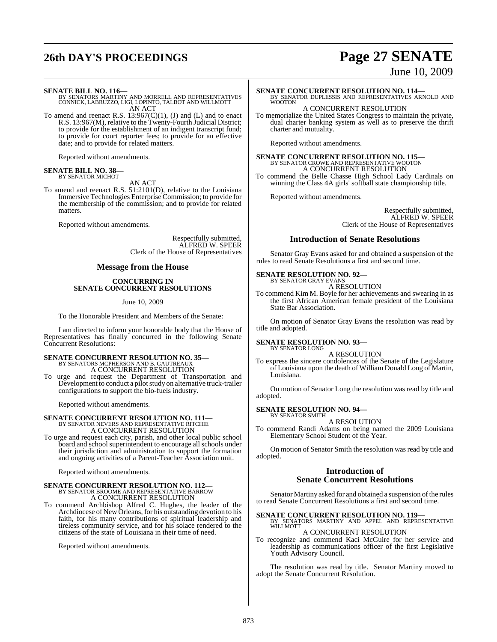# **26th DAY'S PROCEEDINGS Page 27 SENATE**

# June 10, 2009

- **SENATE BILL NO. 116—** BY SENATORS MARTINY AND MORRELL AND REPRESENTATIVES CONNICK, LABRUZZO, LIGI, LOPINTO, TALBOT AND WILLMOTT AN ACT
- To amend and reenact R.S.  $13:967(C)(1)$ , (J) and (L) and to enact R.S. 13:967(M), relative to the Twenty-Fourth Judicial District; to provide for the establishment of an indigent transcript fund; to provide for court reporter fees; to provide for an effective date; and to provide for related matters.

Reported without amendments.

### **SENATE BILL NO. 38—** BY SENATOR MICHOT

AN ACT

To amend and reenact R.S. 51:2101(D), relative to the Louisiana Immersive Technologies Enterprise Commission; to provide for the membership of the commission; and to provide for related matters.

Reported without amendments.

Respectfully submitted, ALFRED W. SPEER Clerk of the House of Representatives

### **Message from the House**

### **CONCURRING IN SENATE CONCURRENT RESOLUTIONS**

June 10, 2009

To the Honorable President and Members of the Senate:

I am directed to inform your honorable body that the House of Representatives has finally concurred in the following Senate Concurrent Resolutions:

# **SENATE CONCURRENT RESOLUTION NO. 35—**<br>BY SENATORS MCPHERSON AND B. GAUTREAUX<br>A CONCURRENT RESOLUTION

To urge and request the Department of Transportation and Development to conduct a pilot study on alternative truck-trailer configurations to support the bio-fuels industry.

Reported without amendments.

### **SENATE CONCURRENT RESOLUTION NO. 111—** BY SENATOR NEVERS AND REPRESENTATIVE RITCHIE

A CONCURRENT RESOLUTION

To urge and request each city, parish, and other local public school board and school superintendent to encourage all schools under their jurisdiction and administration to support the formation and ongoing activities of a Parent-Teacher Association unit.

Reported without amendments.

# **SENATE CONCURRENT RESOLUTION NO. 112—**<br>BY SENATOR BROOME AND REPRESENTATIVE BARROW A CONCURRENT RESOLUTION

To commend Archbishop Alfred C. Hughes, the leader of the Archdiocese of New Orleans, for his outstanding devotion to his faith, for his many contributions of spiritual leadership and tireless community service, and for his solace rendered to the citizens of the state of Louisiana in their time of need.

Reported without amendments.

- **SENATE CONCURRENT RESOLUTION NO. 114—** BY SENATOR DUPLESSIS AND REPRESENTATIVES ARNOLD AND WOOTON
	- A CONCURRENT RESOLUTION

To memorialize the United States Congress to maintain the private, dual charter banking system as well as to preserve the thrift charter and mutuality.

Reported without amendments.

# **SENATE CONCURRENT RESOLUTION NO. 115—**<br>BY SENATOR CROWE AND REPRESENTATIVE WOOTON A CONCURRENT RESOLUTION

To commend the Belle Chasse High School Lady Cardinals on winning the Class 4A girls' softball state championship title.

Reported without amendments.

Respectfully submitted, ALFRED W. SPEER Clerk of the House of Representatives

### **Introduction of Senate Resolutions**

Senator Gray Evans asked for and obtained a suspension of the rules to read Senate Resolutions a first and second time.

### **SENATE RESOLUTION NO. 92—**

BY SENATOR GRAY EVAN A RESOLUTION

To commend Kim M. Boyle for her achievements and swearing in as the first African American female president of the Louisiana State Bar Association.

On motion of Senator Gray Evans the resolution was read by title and adopted.

### **SENATE RESOLUTION NO. 93—** BY SENATOR LONG

A RESOLUTION

To express the sincere condolences of the Senate of the Legislature of Louisiana upon the death of William Donald Long of Martin, Louisiana.

On motion of Senator Long the resolution was read by title and adopted.

# **SENATE RESOLUTION NO. 94—** BY SENATOR SMITH

A RESOLUTION

To commend Randi Adams on being named the 2009 Louisiana Elementary School Student of the Year.

On motion of Senator Smith the resolution was read by title and adopted.

### **Introduction of Senate Concurrent Resolutions**

Senator Martiny asked for and obtained a suspension of the rules to read Senate Concurrent Resolutions a first and second time.

### **SENATE CONCURRENT RESOLUTION NO. 119—**

BY SENATORS MARTINY AND APPEL AND REPRESENTATIVE WILLMOTT A CONCURRENT RESOLUTION

To recognize and commend Kaci McGuire for her service and leadership as communications officer of the first Legislative Youth Advisory Council.

The resolution was read by title. Senator Martiny moved to adopt the Senate Concurrent Resolution.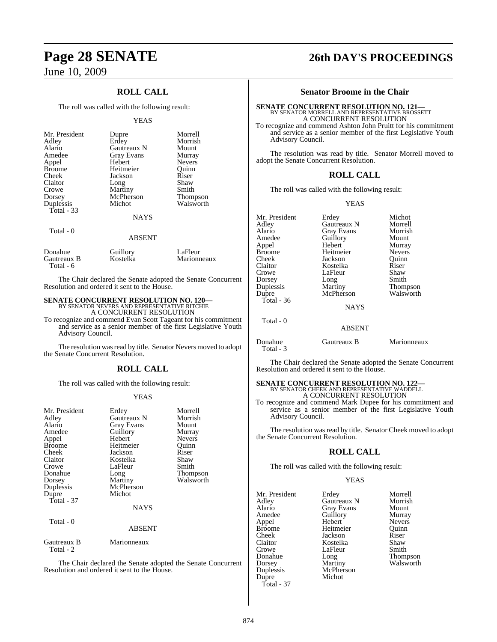### **ROLL CALL**

The roll was called with the following result:

### YEAS

| Mr. President<br>Adley<br>Alario<br>Amedee<br>Appel<br><b>Broome</b><br>Cheek<br>Claitor<br>Crowe<br>Dorsey<br>Duplessis<br>Total $-33$ | Dupre<br>Erdey<br>Gautreaux N<br><b>Gray Evans</b><br>Hebert<br>Heitmeier<br>Jackson<br>Long<br>Martiny<br>McPherson<br>Michot<br><b>NAYS</b> | Morrell<br>Morrish<br>Mount<br>Murray<br><b>Nevers</b><br>Ouinn<br>Riser<br>Shaw<br>Smith<br><b>Thompson</b><br>Walsworth |
|-----------------------------------------------------------------------------------------------------------------------------------------|-----------------------------------------------------------------------------------------------------------------------------------------------|---------------------------------------------------------------------------------------------------------------------------|
| Total - 0                                                                                                                               | <b>ABSENT</b>                                                                                                                                 |                                                                                                                           |

Donahue Guillory LaFleur<br>
Gautreaux B Kostelka Marionneaux Gautreaux B Total - 6

The Chair declared the Senate adopted the Senate Concurrent Resolution and ordered it sent to the House.

### **SENATE CONCURRENT RESOLUTION NO. 120—** BY SENATOR NEVERS AND REPRESENTATIVE RITCHIE

A CONCURRENT RESOLUTION

To recognize and commend Evan Scott Tageant for his commitment and service as a senior member of the first Legislative Youth Advisory Council.

The resolution was read by title. Senator Nevers moved to adopt the Senate Concurrent Resolution.

### **ROLL CALL**

The roll was called with the following result:

### YEAS

| Mr. President<br>Adley<br>Alario<br>Amedee<br>Appel<br><b>Broome</b><br>Cheek<br>Claitor<br>Crowe<br>Donahue<br>Dorsey<br>Duplessis<br>Dupre<br>Total - $37$ | Erdey<br>Gautreaux N<br><b>Gray Evans</b><br>Guillory<br>Hebert<br>Heitmeier<br>Jackson<br>Kostelka<br>LaFleur<br>Long<br>Martiny<br>McPherson<br>Michot | Morrell<br>Morrish<br>Mount<br>Murray<br><b>Nevers</b><br>Ouinn<br>Riser<br>Shaw<br>Smith<br>Thompson<br>Walsworth |
|--------------------------------------------------------------------------------------------------------------------------------------------------------------|----------------------------------------------------------------------------------------------------------------------------------------------------------|--------------------------------------------------------------------------------------------------------------------|
|                                                                                                                                                              | <b>NAYS</b>                                                                                                                                              |                                                                                                                    |
| Total - 0                                                                                                                                                    | <b>ABSENT</b>                                                                                                                                            |                                                                                                                    |
| Gautreaux B                                                                                                                                                  | Marionneaux                                                                                                                                              |                                                                                                                    |

Total - 2

The Chair declared the Senate adopted the Senate Concurrent Resolution and ordered it sent to the House.

# **Page 28 SENATE 26th DAY'S PROCEEDINGS**

### **Senator Broome in the Chair**

**SENATE CONCURRENT RESOLUTION NO. 121—**<br>BY SENATOR MORRELL AND REPRESENTATIVE BROSSETT A CONCURRENT RESOLUTION

To recognize and commend Ashton John Pruitt for his commitment and service as a senior member of the first Legislative Youth Advisory Council.

The resolution was read by title. Senator Morrell moved to adopt the Senate Concurrent Resolution.

### **ROLL CALL**

The roll was called with the following result:

### YEAS

| Mr. President<br>Adley<br>Alario<br>Amedee<br>Appel<br><b>Broome</b><br>Cheek<br>Claitor<br>Crowe<br>Dorsey<br>Duplessis<br>Dupre | Erdey<br>Gautreaux N<br>Gray Evans<br>Guillory<br>Hebert<br>Heitmeier<br>Jackson<br>Kostelka<br>LaFleur<br>Long<br>Martiny<br>McPherson | Michot<br>Morrell<br>Morrish<br>Mount<br>Murray<br><b>Nevers</b><br>Quinn<br>Riser<br>Shaw<br>Smith<br><b>Thompson</b><br>Walsworth |
|-----------------------------------------------------------------------------------------------------------------------------------|-----------------------------------------------------------------------------------------------------------------------------------------|-------------------------------------------------------------------------------------------------------------------------------------|
| Total - $36$                                                                                                                      | <b>NAYS</b>                                                                                                                             |                                                                                                                                     |
| Total - 0                                                                                                                         | <b>ABSENT</b>                                                                                                                           |                                                                                                                                     |
| Donahue<br>Total - 3                                                                                                              | Gautreaux B                                                                                                                             | Marionneaux                                                                                                                         |

The Chair declared the Senate adopted the Senate Concurrent Resolution and ordered it sent to the House.

### **SENATE CONCURRENT RESOLUTION NO. 122—** BY SENATOR CHEEK AND REPRESENTATIVE WADDELL A CONCURRENT RESOLUTION

To recognize and commend Mark Dupee for his commitment and service as a senior member of the first Legislative Youth Advisory Council.

The resolution was read by title. Senator Cheek moved to adopt the Senate Concurrent Resolution.

### **ROLL CALL**

The roll was called with the following result:

### YEAS

| Mr. President | Erdey             | Morrell       |
|---------------|-------------------|---------------|
| Adley         | Gautreaux N       | Morrish       |
| Alario        | <b>Gray Evans</b> | Mount         |
| Amedee        | Guillory          | Murray        |
| Appel         | Hebert            | <b>Nevers</b> |
| <b>Broome</b> | Heitmeier         | Ouinn         |
| Cheek         | Jackson           | Riser         |
| Claitor       | Kostelka          | Shaw          |
| Crowe         | LaFleur           | Smith         |
| Donahue       | Long              | Thompson      |
| Dorsey        | Martiny           | Walsworth     |
| Duplessis     | McPherson         |               |
| Dupre         | Michot            |               |
| Total - 37    |                   |               |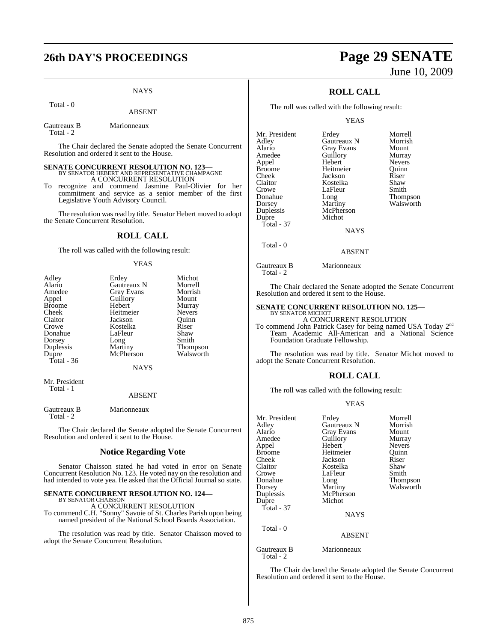# **26th DAY'S PROCEEDINGS Page 29 SENATE**

### **NAYS**

Total - 0

### ABSENT

Gautreaux B Marionneaux Total - 2

The Chair declared the Senate adopted the Senate Concurrent Resolution and ordered it sent to the House.

### **SENATE CONCURRENT RESOLUTION NO. 123—** BY SENATOR HEBERT AND REPRESENTATIVE CHAMPAGNE A CONCURRENT RESOLUTION

To recognize and commend Jasmine Paul-Olivier for her commitment and service as a senior member of the first Legislative Youth Advisory Council.

The resolution was read by title. Senator Hebert moved to adopt the Senate Concurrent Resolution.

### **ROLL CALL**

The roll was called with the following result:

### YEAS

| Adley         | Erdey       | Michot          |
|---------------|-------------|-----------------|
| Alario        | Gautreaux N | Morrell         |
| Amedee        | Gray Evans  | Morrish         |
| Appel         | Guillory    | Mount           |
| <b>Broome</b> | Hebert      | Murray          |
| Cheek         | Heitmeier   | <b>Nevers</b>   |
| Claitor       | Jackson     | Ouinn           |
| Crowe         | Kostelka    | Riser           |
| Donahue       | LaFleur     | Shaw            |
| Dorsey        | Long        | Smith           |
| Duplessis     | Martiny     | <b>Thompson</b> |
| Dupre         | McPherson   | Walsworth       |
| Total - 36    |             |                 |
|               | <b>NAYS</b> |                 |
|               |             |                 |

Mr. President Total - 1

### ABSENT

Gautreaux B Marionneaux Total - 2

The Chair declared the Senate adopted the Senate Concurrent Resolution and ordered it sent to the House.

### **Notice Regarding Vote**

Senator Chaisson stated he had voted in error on Senate Concurrent Resolution No. 123. He voted nay on the resolution and had intended to vote yea. He asked that the Official Journal so state.

### **SENATE CONCURRENT RESOLUTION NO. 124—**

BY SENATOR CHAISSON A CONCURRENT RESOLUTION

To commend C.H. "Sonny" Savoie of St. Charles Parish upon being named president of the National School Boards Association.

The resolution was read by title. Senator Chaisson moved to adopt the Senate Concurrent Resolution.

# June 10, 2009

### **ROLL CALL**

The roll was called with the following result:

YEAS

| Mr. President | Erdey       | Morrell         |
|---------------|-------------|-----------------|
| Adley         | Gautreaux N | Morrish         |
| Alario        | Gray Evans  | Mount           |
| Amedee        | Guillory    | Murray          |
| Appel         | Hebert      | <b>Nevers</b>   |
| <b>Broome</b> | Heitmeier   | Ouinn           |
| Cheek         | Jackson     | Riser           |
| Claitor       | Kostelka    | Shaw            |
| Crowe         | LaFleur     | Smith           |
| Donahue       | Long        | <b>Thompson</b> |
| Dorsey        | Martiny     | Walsworth       |
| Duplessis     | McPherson   |                 |
| Dupre         | Michot      |                 |
| Total - 37    |             |                 |
|               | <b>NAYS</b> |                 |
|               |             |                 |

Total - 0

Gautreaux B Marionneaux Total - 2

The Chair declared the Senate adopted the Senate Concurrent Resolution and ordered it sent to the House.

ABSENT

### **SENATE CONCURRENT RESOLUTION NO. 125—** BY SENATOR MICHOT

A CONCURRENT RESOLUTION

To commend John Patrick Casey for being named USA Today 2nd Team Academic All-American and a National Science Foundation Graduate Fellowship.

The resolution was read by title. Senator Michot moved to adopt the Senate Concurrent Resolution.

### **ROLL CALL**

The roll was called with the following result:

### YEAS

| Mr. President | Erdey              | Morrell       |
|---------------|--------------------|---------------|
| Adley         | <b>Gautreaux N</b> | Morrish       |
| Alario        | Gray Evans         | Mount         |
| Amedee        | Guillory           | Murray        |
| Appel         | Hebert             | <b>Nevers</b> |
| <b>Broome</b> | Heitmeier          | Ouinn         |
| Cheek         | Jackson            | Riser         |
| Claitor       | Kostelka           | Shaw          |
| Crowe         | LaFleur            | Smith         |
| Donahue       | Long               | Thompson      |
| Dorsey        | Martiny            | Walsworth     |
| Duplessis     | McPherson          |               |
| Dupre         | Michot             |               |
| Total - 37    |                    |               |
|               | <b>NAYS</b>        |               |
| Total - 0     |                    |               |
|               | <b>ABSENT</b>      |               |
| Gautreaux B   | Marionneaux        |               |

The Chair declared the Senate adopted the Senate Concurrent Resolution and ordered it sent to the House.

Total - 2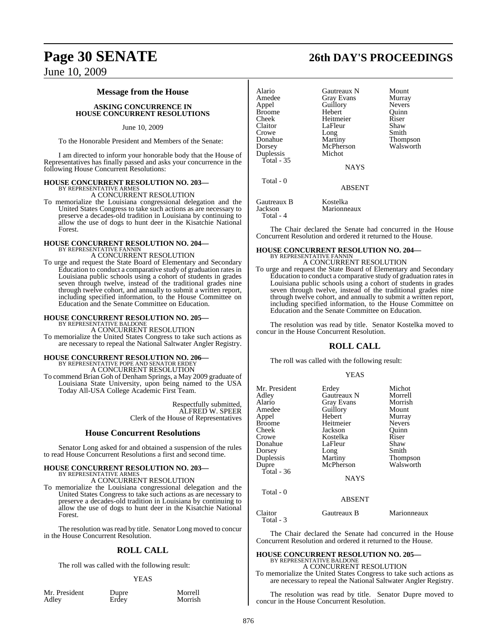### **Message from the House**

**ASKING CONCURRENCE IN HOUSE CONCURRENT RESOLUTIONS**

June 10, 2009

To the Honorable President and Members of the Senate:

I am directed to inform your honorable body that the House of Representatives has finally passed and asks your concurrence in the following House Concurrent Resolutions:

# **HOUSE CONCURRENT RESOLUTION NO. 203—** BY REPRESENTATIVE ARMES

A CONCURRENT RESOLUTION

To memorialize the Louisiana congressional delegation and the United States Congress to take such actions as are necessary to preserve a decades-old tradition in Louisiana by continuing to allow the use of dogs to hunt deer in the Kisatchie National Forest.

### **HOUSE CONCURRENT RESOLUTION NO. 204—** BY REPRESENTATIVE FANNIN A CONCURRENT RESOLUTION

To urge and request the State Board of Elementary and Secondary Education to conduct a comparative study of graduation rates in Louisiana public schools using a cohort of students in grades seven through twelve, instead of the traditional grades nine through twelve cohort, and annually to submit a written report, including specified information, to the House Committee on Education and the Senate Committee on Education.

# **HOUSE CONCURRENT RESOLUTION NO. 205—** BY REPRESENTATIVE BALDONE

A CONCURRENT RESOLUTION

To memorialize the United States Congress to take such actions as are necessary to repeal the National Saltwater Angler Registry.

# **HOUSE CONCURRENT RESOLUTION NO. 206—** BY REPRESENTATIVE POPE AND SENATOR ERDEY A CONCURRENT RESOLUTION

To commend Brian Goh of Denham Springs, a May 2009 graduate of Louisiana State University, upon being named to the USA Today All-USA College Academic First Team.

> Respectfully submitted, ALFRED W. SPEER Clerk of the House of Representatives

### **House Concurrent Resolutions**

Senator Long asked for and obtained a suspension of the rules to read House Concurrent Resolutions a first and second time.

### **HOUSE CONCURRENT RESOLUTION NO. 203—**

BY REPRESENTATIVE ARMES A CONCURRENT RESOLUTION

To memorialize the Louisiana congressional delegation and the United States Congress to take such actions as are necessary to preserve a decades-old tradition in Louisiana by continuing to allow the use of dogs to hunt deer in the Kisatchie National Forest.

The resolution was read by title. Senator Long moved to concur in the House Concurrent Resolution.

### **ROLL CALL**

The roll was called with the following result:

### YEAS

| Mr. President |  |
|---------------|--|
| Adley         |  |

Dupre Morrell Erdey Morrish

| Alario        | Gautreaux N       | Mount         |
|---------------|-------------------|---------------|
| Amedee        | <b>Gray Evans</b> | Murray        |
| Appel         | Guillory          | <b>Nevers</b> |
| <b>Broome</b> | Hebert            | Ouinn         |
| Cheek         | Heitmeier         | Riser         |
| Claitor       | LaFleur           | Shaw          |
| Crowe         | Long              | Smith         |
| Donahue       | Martiny           | Thompson      |
| Dorsey        | McPherson         | Walsworth     |
| Duplessis     | Michot            |               |
| Total - 35    |                   |               |
|               | <b>NAYS</b>       |               |
| Total - 0     |                   |               |
|               | <b>A D C ENT</b>  |               |

ABSENT

Gautreaux B Kostelka<br>Jackson Marionne Marionneaux Total - 4

The Chair declared the Senate had concurred in the House Concurrent Resolution and ordered it returned to the House.

### **HOUSE CONCURRENT RESOLUTION NO. 204—** BY REPRESENTATIVE FANNIN A CONCURRENT RESOLUTION

To urge and request the State Board of Elementary and Secondary Education to conduct a comparative study of graduation ratesin Louisiana public schools using a cohort of students in grades seven through twelve, instead of the traditional grades nine through twelve cohort, and annually to submit a written report, including specified information, to the House Committee on Education and the Senate Committee on Education.

The resolution was read by title. Senator Kostelka moved to concur in the House Concurrent Resolution.

### **ROLL CALL**

The roll was called with the following result:

### YEAS

| Mr. President<br>Adley<br>Alario<br>Amedee<br>Appel<br>Broome<br>Cheek<br>Crowe<br>Donahue<br>Dorsey<br>Duplessis<br>Dupre<br>Total - 36<br>Total $-0$ | Erdey<br><b>Gautreaux N</b><br>Gray Evans<br>Guillory<br>Hebert<br>Heitmeier<br>Jackson<br>Kostelka<br>LaFleur<br>Long<br>Martiny<br>McPherson<br><b>NAYS</b> | Michot<br>Morrell<br>Morrish<br>Mount<br>Murray<br><b>Nevers</b><br>Ouinn<br>Riser<br>Shaw<br>Smith<br>Thompson<br>Walsworth |
|--------------------------------------------------------------------------------------------------------------------------------------------------------|---------------------------------------------------------------------------------------------------------------------------------------------------------------|------------------------------------------------------------------------------------------------------------------------------|
|                                                                                                                                                        | <b>ABSENT</b>                                                                                                                                                 |                                                                                                                              |
|                                                                                                                                                        |                                                                                                                                                               |                                                                                                                              |

Claitor Gautreaux B Marionneaux Total - 3

The Chair declared the Senate had concurred in the House Concurrent Resolution and ordered it returned to the House.

### **HOUSE CONCURRENT RESOLUTION NO. 205—** BY REPRESENTATIVE BALDONE

A CONCURRENT RESOLUTION

To memorialize the United States Congress to take such actions as are necessary to repeal the National Saltwater Angler Registry.

The resolution was read by title. Senator Dupre moved to concur in the House Concurrent Resolution.

# **Page 30 SENATE 26th DAY'S PROCEEDINGS**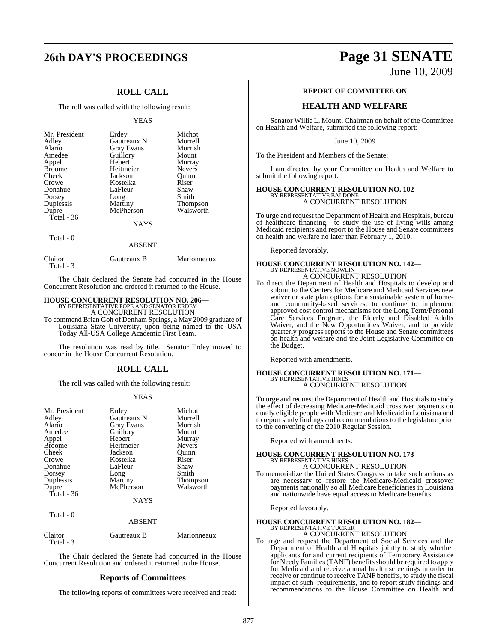## **26th DAY'S PROCEEDINGS Page 31 SENATE**

### **ROLL CALL**

The roll was called with the following result:

### YEAS

| Mr. President<br>Adley<br>Alario<br>Amedee<br>Appel<br><b>Broome</b><br>Cheek<br>Crowe<br>Donahue<br>Dorsey<br>Duplessis<br>Dupre<br>Total - 36 | Erdey<br>Gautreaux N<br>Gray Evans<br>Guillory<br>Hebert<br>Heitmeier<br>Jackson<br>Kostelka<br>LaFleur<br>Long<br>Martiny<br>McPherson | Michot<br>Morrell<br>Morrish<br>Mount<br>Murray<br><b>Nevers</b><br>Ouinn<br>Riser<br>Shaw<br>Smith<br><b>Thompson</b><br>Walsworth |
|-------------------------------------------------------------------------------------------------------------------------------------------------|-----------------------------------------------------------------------------------------------------------------------------------------|-------------------------------------------------------------------------------------------------------------------------------------|
|                                                                                                                                                 | <b>NAYS</b>                                                                                                                             |                                                                                                                                     |
| Total $-0$                                                                                                                                      | <b>ARSENT</b>                                                                                                                           |                                                                                                                                     |

| Claitor<br>Total - 3 | Gautreaux B | Marionneaux |
|----------------------|-------------|-------------|

The Chair declared the Senate had concurred in the House Concurrent Resolution and ordered it returned to the House.

### **HOUSE CONCURRENT RESOLUTION NO. 206—** BY REPRESENTATIVE POPE AND SENATOR ERDEY

A CONCURRENT RESOLUTION

To commend Brian Goh of Denham Springs, a May 2009 graduate of Louisiana State University, upon being named to the USA Today All-USA College Academic First Team.

The resolution was read by title. Senator Erdey moved to concur in the House Concurrent Resolution.

### **ROLL CALL**

The roll was called with the following result:

### YEAS

| Mr. President<br>Adley<br>Alario<br>Amedee<br>Appel<br><b>Broome</b><br>Cheek<br>Crowe<br>Donahue<br>Dorsey<br>Duplessis<br>Dupre<br>Total - 36 | Erdey<br>Gautreaux N<br><b>Gray Evans</b><br>Guillory<br>Hebert<br>Heitmeier<br>Jackson<br>Kostelka<br>LaFleur<br>Long<br>Martiny<br>McPherson | Michot<br>Morrell<br>Morrish<br>Mount<br>Murray<br><b>Nevers</b><br>Ouinn<br>Riser<br>Shaw<br>Smith<br>Thompson<br>Walsworth |
|-------------------------------------------------------------------------------------------------------------------------------------------------|------------------------------------------------------------------------------------------------------------------------------------------------|------------------------------------------------------------------------------------------------------------------------------|
|                                                                                                                                                 | NAYS                                                                                                                                           |                                                                                                                              |
| Total - 0                                                                                                                                       | <b>ABSENT</b>                                                                                                                                  |                                                                                                                              |
| $\sim$ $\sim$                                                                                                                                   | $\sqrt{ }$                                                                                                                                     |                                                                                                                              |

Claitor Gautreaux B Marionneaux Total - 3

The Chair declared the Senate had concurred in the House Concurrent Resolution and ordered it returned to the House.

### **Reports of Committees**

The following reports of committees were received and read:

June 10, 2009

### **REPORT OF COMMITTEE ON**

### **HEALTH AND WELFARE**

Senator Willie L. Mount, Chairman on behalf of the Committee on Health and Welfare, submitted the following report:

June 10, 2009

To the President and Members of the Senate:

I am directed by your Committee on Health and Welfare to submit the following report:

# **HOUSE CONCURRENT RESOLUTION NO. 102—** BY REPRESENTATIVE BALDONE A CONCURRENT RESOLUTION

To urge and request the Department of Health and Hospitals, bureau of healthcare financing, to study the use of living wills among Medicaid recipients and report to the House and Senate committees on health and welfare no later than February 1, 2010.

Reported favorably.

# **HOUSE CONCURRENT RESOLUTION NO. 142—**<br>BY REPRESENTATIVE NOWLIN<br>A CONCURRENT RESOLUTION

To direct the Department of Health and Hospitals to develop and submit to the Centers for Medicare and Medicaid Services new waiver or state plan options for a sustainable system of homeand community-based services, to continue to implement approved cost control mechanisms for the Long Term/Personal Care Services Program, the Elderly and Disabled Adults Waiver, and the New Opportunities Waiver, and to provide quarterly progress reports to the House and Senate committees on health and welfare and the Joint Legislative Committee on

Reported with amendments.

the Budget.

### **HOUSE CONCURRENT RESOLUTION NO. 171—** BY REPRESENTATIVE HINES A CONCURRENT RESOLUTION

To urge and request the Department of Health and Hospitals to study the effect of decreasing Medicare-Medicaid crossover payments on dually eligible people with Medicare and Medicaid in Louisiana and to report study findings and recommendations to the legislature prior to the convening of the 2010 Regular Session.

Reported with amendments.

### **HOUSE CONCURRENT RESOLUTION NO. 173—** BY REPRESENTATIVE HINES A CONCURRENT RESOLUTION

To memorialize the United States Congress to take such actions as are necessary to restore the Medicare-Medicaid crossover payments nationally so all Medicare beneficiaries in Louisiana and nationwide have equal access to Medicare benefits.

Reported favorably.

### **HOUSE CONCURRENT RESOLUTION NO. 182—** BY REPRESENTATIVE TUCKER

A CONCURRENT RESOLUTION

To urge and request the Department of Social Services and the Department of Health and Hospitals jointly to study whether applicants for and current recipients of Temporary Assistance for Needy Families (TANF) benefits should be required to apply for Medicaid and receive annual health screenings in order to receive or continue to receive TANF benefits, to study the fiscal impact of such requirements, and to report study findings and recommendations to the House Committee on Health and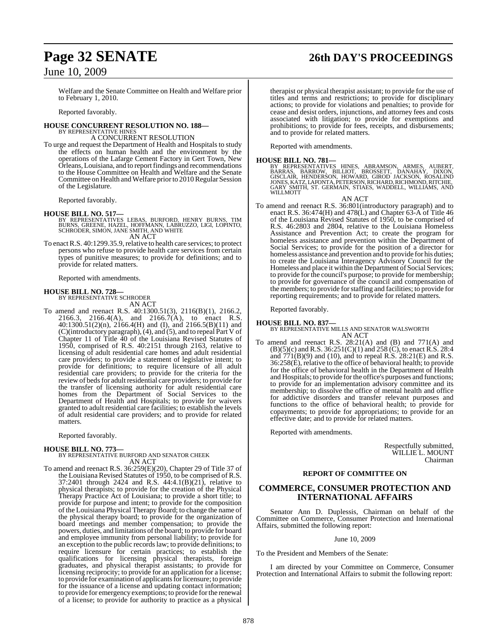Welfare and the Senate Committee on Health and Welfare prior to February 1, 2010.

Reported favorably.

### **HOUSE CONCURRENT RESOLUTION NO. 188—** BY REPRESENTATIVE HINES

A CONCURRENT RESOLUTION

To urge and request the Department of Health and Hospitals to study the effects on human health and the environment by the operations of the Lafarge Cement Factory in Gert Town, New Orleans,Louisiana, and to reportfindings and recommendations to the House Committee on Health and Welfare and the Senate Committee on Health and Welfare prior to 2010 Regular Session of the Legislature.

Reported favorably.

### **HOUSE BILL NO. 517—**

- BY REPRESENTATIVES LEBAS, BURFORD, HENRY BURNS, TIM BURNS, GREENE, HAZEL, HOFFMANN, LABRUZZO, LIGI, LOPINTO, SCHRODER, SIMON, JANE SMITH, AND WHITE AN ACT
- To enact R.S. 40:1299.35.9, relative to health care services; to protect persons who refuse to provide health care services from certain types of punitive measures; to provide for definitions; and to provide for related matters.

Reported with amendments.

# **HOUSE BILL NO. 728—** BY REPRESENTATIVE SCHRODER

AN ACT To amend and reenact R.S. 40:1300.51(3), 2116(B)(1), 2166.2, 2166.3, 2166.4(A), and 2166.7(A), to enact R.S. 40:1300.51(2)(n), 2166.4(H) and (I), and 2166.5(B)(11) and (C)(introductory paragraph), (4), and (5), and to repeal Part V of Chapter 11 of Title 40 of the Louisiana Revised Statutes of 1950, comprised of R.S. 40:2151 through 2163, relative to licensing of adult residential care homes and adult residential care providers; to provide a statement of legislative intent; to provide for definitions; to require licensure of all adult residential care providers; to provide for the criteria for the review of beds for adult residential care providers; to provide for the transfer of licensing authority for adult residential care homes from the Department of Social Services to the Department of Health and Hospitals; to provide for waivers granted to adult residential care facilities; to establish the levels of adult residential care providers; and to provide for related matters.

Reported favorably.

### **HOUSE BILL NO. 773—**

BY REPRESENTATIVE BURFORD AND SENATOR CHEEK AN ACT

To amend and reenact R.S. 36:259(E)(20), Chapter 29 of Title 37 of the Louisiana Revised Statutes of 1950, to be comprised of R.S. 37:2401 through 2424 and R.S. 44:4.1(B)(21), relative to physical therapists; to provide for the creation of the Physical Therapy Practice Act of Louisiana; to provide a short title; to provide for purpose and intent; to provide for the composition of the Louisiana Physical Therapy Board; to change the name of the physical therapy board; to provide for the organization of board meetings and member compensation; to provide the powers, duties, and limitations of the board; to provide for board and employee immunity from personal liability; to provide for an exception to the public recordslaw; to provide definitions; to require licensure for certain practices; to establish the qualifications for licensing physical therapists, foreign graduates, and physical therapist assistants; to provide for licensing reciprocity; to provide for an application for a license; to provide for examination of applicantsforlicensure; to provide for the issuance of a license and updating contact information; to provide for emergency exemptions; to provide for the renewal of a license; to provide for authority to practice as a physical therapist or physical therapist assistant; to provide for the use of

titles and terms and restrictions; to provide for disciplinary actions; to provide for violations and penalties; to provide for cease and desist orders, injunctions, and attorney fees and costs associated with litigation; to provide for exemptions and prohibitions; to provide for fees, receipts, and disbursements; and to provide for related matters.

Reported with amendments.

### **HOUSE BILL NO. 781—**

BY REPRESENTATIVES HINES, ABRAMSON, ARMES, AUBERT,<br>BARRAS, BARROW, BILLIOT, BROSSETT, DANAHAY, DIXON,<br>GISCLAIR, HENDERSON, HOWARD, GIROD JACKSON, ROSALIND<br>JONES,KATZ,LAFONTA,PETERSON,RICHARD,RICHMOND,RITCHIE, GARY SMITH, ST. GERMAIN, STIAES, WADDELL, WILLIAMS, AND WILLMOTT

### AN ACT

To amend and reenact R.S. 36:801(introductory paragraph) and to enact R.S. 36:474(H) and 478(L) and Chapter 63-A of Title 46 of the Louisiana Revised Statutes of 1950, to be comprised of R.S. 46:2803 and 2804, relative to the Louisiana Homeless Assistance and Prevention Act; to create the program for homeless assistance and prevention within the Department of Social Services; to provide for the position of a director for homeless assistance and prevention and to provide for his duties; to create the Louisiana Interagency Advisory Council for the Homeless and place it within the Department of Social Services; to provide for the council's purpose; to provide for membership; to provide for governance of the council and compensation of the members; to provide forstaffing and facilities; to provide for reporting requirements; and to provide for related matters.

Reported favorably.

### **HOUSE BILL NO. 837—**

BY REPRESENTATIVE MILLS AND SENATOR WALSWORTH AN ACT

To amend and reenact R.S. 28:21(A) and (B) and 771(A) and  $(B)(5)(c)$  and R.S. 36:251(C)(1) and 258 (C), to enact R.S. 28:4 and 771(B)(9) and (10), and to repeal R.S. 28:21(E) and R.S. 36:258(E), relative to the office of behavioral health; to provide for the office of behavioral health in the Department of Health and Hospitals; to provide forthe office's purposes and functions; to provide for an implementation advisory committee and its membership; to dissolve the office of mental health and office for addictive disorders and transfer relevant purposes and functions to the office of behavioral health; to provide for copayments; to provide for appropriations; to provide for an effective date; and to provide for related matters.

Reported with amendments.

Respectfully submitted, WILLIE L. MOUNT Chairman

### **REPORT OF COMMITTEE ON**

### **COMMERCE, CONSUMER PROTECTION AND INTERNATIONAL AFFAIRS**

Senator Ann D. Duplessis, Chairman on behalf of the Committee on Commerce, Consumer Protection and International Affairs, submitted the following report:

June 10, 2009

To the President and Members of the Senate:

I am directed by your Committee on Commerce, Consumer Protection and International Affairs to submit the following report:

# **Page 32 SENATE 26th DAY'S PROCEEDINGS**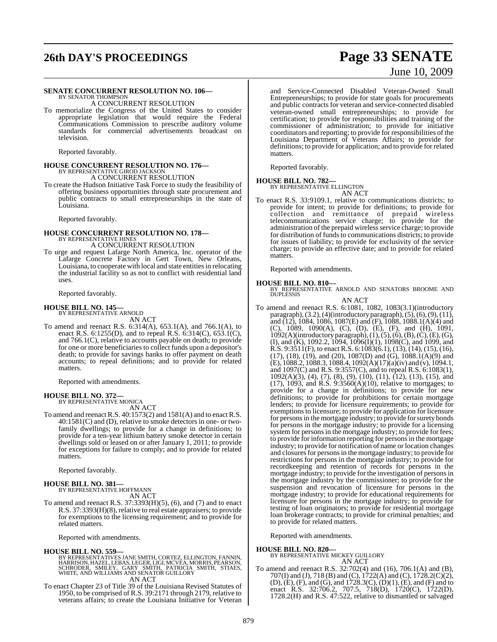# **26th DAY'S PROCEEDINGS Page 33 SENATE**

### **SENATE CONCURRENT RESOLUTION NO. 106—**

BY SENATOR THOMPSON A CONCURRENT RESOLUTION

To memorialize the Congress of the United States to consider appropriate legislation that would require the Federal Communications Commission to prescribe auditory volume standards for commercial advertisements broadcast on television.

Reported favorably.

### **HOUSE CONCURRENT RESOLUTION NO. 176—** BY REPRESENTATIVE GIROD JACKSON A CONCURRENT RESOLUTION

To create the Hudson Initiative Task Force to study the feasibility of offering business opportunities through state procurement and public contracts to small entrepreneurships in the state of Louisiana.

Reported favorably.

# **HOUSE CONCURRENT RESOLUTION NO. 178—** BY REPRESENTATIVE HINES

A CONCURRENT RESOLUTION

To urge and request Lafarge North America, Inc. operator of the Lafarge Concrete Factory in Gert Town, New Orleans, Louisiana, to cooperate with local and state entities in relocating the industrial facility so as not to conflict with residential land uses.

Reported favorably.

### **HOUSE BILL NO. 145—**

BY REPRESENTATIVE ARNOLD AN ACT

To amend and reenact R.S. 6:314(A), 653.1(A), and 766.1(A), to enact R.S. 6:1255(D), and to repeal R.S. 6:314(C), 653.1(C), and 766.1(C), relative to accounts payable on death; to provide for one or more beneficiaries to collect funds upon a depositor's death; to provide for savings banks to offer payment on death accounts; to repeal definitions; and to provide for related matters.

Reported with amendments.

### **HOUSE BILL NO. 372—**

BY REPRESENTATIVE MONICA AN ACT

To amend and reenact R.S. 40:1573(2) and 1581(A) and to enact R.S. 40:1581(C) and (D), relative to smoke detectors in one- or twofamily dwellings; to provide for a change in definitions; to provide for a ten-year lithium battery smoke detector in certain dwellings sold or leased on or after January 1, 2011; to provide for exceptions for failure to comply; and to provide for related matters.

Reported favorably.

# **HOUSE BILL NO. 381—** BY REPRESENTATIVE HOFFMANN

AN ACT

To amend and reenact R.S. 37:3393(H)(5), (6), and (7) and to enact R.S. 37:3393(H)(8), relative to real estate appraisers; to provide for exemptions to the licensing requirement; and to provide for related matters.

Reported with amendments.

**HOUSE BILL NO. 559—**<br>BY REPRESENTATIVES JANE SMITH, CORTEZ, ELLINGTON, FANNIN, HARRISON, HAZEL, LEBAS, LEGER, LIGI, MCVEA, MORRIS, PEARSON,<br>SCHRODER, SMILEY, GARY SMITH, PATRICIA SMITH, STIAES,<br>WHITE, AND WILLIAMS AND SEN AN ACT

To enact Chapter 23 of Title 39 of the Louisiana Revised Statutes of 1950, to be comprised of R.S. 39:2171 through 2179, relative to veterans affairs; to create the Louisiana Initiative for Veteran

# June 10, 2009 and Service-Connected Disabled Veteran-Owned Small Entrepreneurships; to provide for state goals for procurements

and public contracts for veteran and service-connected disabled veteran-owned small entrepreneurships; to provide for certification; to provide for responsibilities and training of the commissioner of administration; to provide for initiative coordinators and reporting; to provide for responsibilities of the Louisiana Department of Veterans Affairs; to provide for definitions; to provide for application; and to provide for related matters.

Reported favorably.

### **HOUSE BILL NO. 782—**

BY REPRESENTATIVE ELLINGTON AN ACT

To enact R.S. 33:9109.1, relative to communications districts; to provide for intent; to provide for definitions; to provide for collection and remittance of prepaid wireless telecommunications service charge; to provide for the administration of the prepaid wireless service charge; to provide for distribution of funds to communications districts; to provide for issues of liability; to provide for exclusivity of the service charge; to provide an effective date; and to provide for related matters.

Reported with amendments.

**HOUSE BILL NO. 810—** BY REPRESENTATIVE ARNOLD AND SENATORS BROOME AND DUPLESSIS AN ACT

To amend and reenact R.S. 6:1081, 1082, 1083(3.1)(introductory paragraph),(3.2),(4)(introductory paragraph),(5),(6),(9),(11), and  $(12)$ , 1084, 1086, 1087(E) and (F), 1088, 1088.1(A)(4) and (C), 1089, 1090(A), (C), (D), (E), (F), and (H), 1091, 1092(A)(introductory paragraph),(1),(5),(6),(B),(C),(E),(G), (I), and (K), 1092.2, 1094, 1096(I)(1), 1098(C), and 1099, and R.S. 9:3511(F), to enact R.S. 6:1083(6.1), (13), (14), (15), (16), (17), (18), (19), and (20), 1087(D) and (G), 1088.1(A)(9) and (E), 1088.2, 1088.3, 1088.4, 1092(A)(17)(a)(iv) and (v), 1094.1, and 1097(C) and R.S. 9:3557(C), and to repeal R.S. 6:1083(1), 1092(A)(3), (4), (7), (8), (9), (10), (11), (12), (13), (15), and  $(17)$ , 1093, and R.S. 9:3560 $(A)(10)$ , relative to mortgages; to provide for a change in definitions; to provide for new definitions; to provide for prohibitions for certain mortgage lenders; to provide for licensure requirements; to provide for exemptions to licensure; to provide for application for licensure for persons in the mortgage industry; to provide for surety bonds for persons in the mortgage industry; to provide for a licensing system for persons in the mortgage industry; to provide for fees; to provide for information reporting for persons in the mortgage industry; to provide for notification of name or location changes and closures for persons in the mortgage industry; to provide for restrictions for persons in the mortgage industry; to provide for recordkeeping and retention of records for persons in the mortgage industry; to provide for the investigation of personsin the mortgage industry by the commissioner; to provide for the suspension and revocation of licensure for persons in the mortgage industry; to provide for educational requirements for licensure for persons in the mortgage industry; to provide for testing of loan originators; to provide for residential mortgage loan brokerage contracts; to provide for criminal penalties; and to provide for related matters.

Reported with amendments.

### **HOUSE BILL NO. 820—**

BY REPRESENTATIVE MICKEY GUILLORY

- AN ACT
- To amend and reenact R.S. 32:702(4) and (16), 706.1(A) and (B), 707(I) and (J), 718 (B) and (C), 1722(A) and (C), 1728.2(C)(2), (D), (E), (F), and (G), and 1728.3(C), (D)(1), (E), and (F) and to enact R.S. 32:706.2, 707.5, 718(D), 1720(C), 1722(D), 1728.2(H) and R.S. 47:522, relative to dismantled or salvaged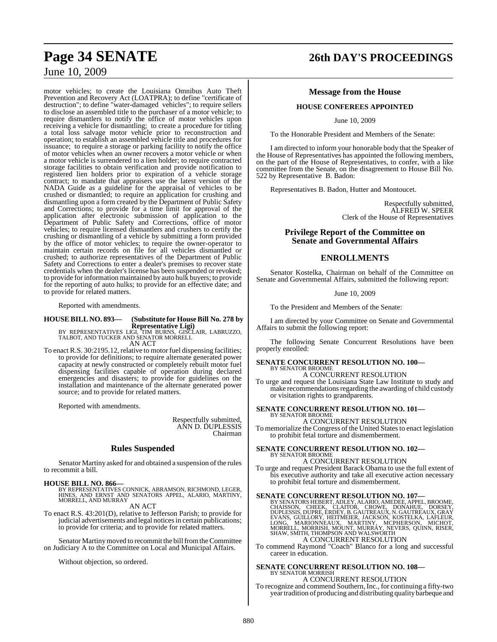### motor vehicles; to create the Louisiana Omnibus Auto Theft Prevention and Recovery Act (LOATPRA); to define "certificate of destruction"; to define "water-damaged vehicles"; to require sellers to disclose an assembled title to the purchaser of a motor vehicle; to require dismantlers to notify the office of motor vehicles upon receiving a vehicle for dismantling; to create a procedure for titling a total loss salvage motor vehicle prior to reconstruction and operation; to establish an assembled vehicle title and procedures for issuance; to require a storage or parking facility to notify the office

of motor vehicles when an owner recovers a motor vehicle or when a motor vehicle is surrendered to a lien holder; to require contracted storage facilities to obtain verification and provide notification to registered lien holders prior to expiration of a vehicle storage contract; to mandate that appraisers use the latest version of the NADA Guide as a guideline for the appraisal of vehicles to be crushed or dismantled; to require an application for crushing and dismantling upon a form created by the Department of Public Safety and Corrections; to provide for a time limit for approval of the application after electronic submission of application to the Department of Public Safety and Corrections, office of motor vehicles; to require licensed dismantlers and crushers to certify the crushing or dismantling of a vehicle by submitting a form provided by the office of motor vehicles; to require the owner-operator to maintain certain records on file for all vehicles dismantled or crushed; to authorize representatives of the Department of Public Safety and Corrections to enter a dealer's premises to recover state credentials when the dealer's license has been suspended or revoked; to provide for information maintained by auto hulk buyers; to provide for the reporting of auto hulks; to provide for an effective date; and to provide for related matters.

Reported with amendments.

### **HOUSE BILL NO. 893— (Substitute for HouseBill No. 278 by**

**Representative Ligi)** BY REPRESENTATIVES LIGI, TIM BURNS, GISCLAIR, LABRUZZO, TALBOT, AND TUCKER AND SENATOR MORRELL AN ACT

To enact R.S. 30:2195.12, relative to motor fuel dispensing facilities; to provide for definitions; to require alternate generated power capacity at newly constructed or completely rebuilt motor fuel dispensing facilities capable of operation during declared emergencies and disasters; to provide for guidelines on the installation and maintenance of the alternate generated power source; and to provide for related matters.

Reported with amendments.

Respectfully submitted, ANN D. DUPLESSIS Chairman

### **Rules Suspended**

Senator Martiny asked for and obtained a suspension of the rules to recommit a bill.

**HOUSE BILL NO. 866—** BY REPRESENTATIVES CONNICK, ABRAMSON, RICHMOND, LEGER, HINES, AND ERNST AND SENATORS APPEL, ALARIO, MARTINY, MORRELL, AND MURRAY

AN ACT

To enact R.S. 43:201(D), relative to Jefferson Parish; to provide for judicial advertisements and legal notices in certain publications; to provide for criteria; and to provide for related matters.

Senator Martiny moved to recommit the bill from the Committee on Judiciary A to the Committee on Local and Municipal Affairs.

Without objection, so ordered.

# **Page 34 SENATE 26th DAY'S PROCEEDINGS**

### **Message from the House**

### **HOUSE CONFEREES APPOINTED**

June 10, 2009

To the Honorable President and Members of the Senate:

I am directed to inform your honorable body that the Speaker of the House of Representatives has appointed the following members, on the part of the House of Representatives, to confer, with a like committee from the Senate, on the disagreement to House Bill No. 522 by Representative B. Badon:

Representatives B. Badon, Hutter and Montoucet.

Respectfully submitted, ALFRED W. SPEER Clerk of the House of Representatives

### **Privilege Report of the Committee on Senate and Governmental Affairs**

### **ENROLLMENTS**

Senator Kostelka, Chairman on behalf of the Committee on Senate and Governmental Affairs, submitted the following report:

June 10, 2009

To the President and Members of the Senate:

I am directed by your Committee on Senate and Governmental Affairs to submit the following report:

The following Senate Concurrent Resolutions have been properly enrolled:

## **SENATE CONCURRENT RESOLUTION NO. 100—** BY SENATOR BROOME

A CONCURRENT RESOLUTION

To urge and request the Louisiana State Law Institute to study and make recommendations regarding the awarding of child custody or visitation rights to grandparents.

### **SENATE CONCURRENT RESOLUTION NO. 101—** BY SENATOR BROOME

A CONCURRENT RESOLUTION

To memorialize the Congress of the United States to enact legislation to prohibit fetal torture and dismemberment.

**SENATE CONCURRENT RESOLUTION NO. 102—** BY SENATOR BROOME

A CONCURRENT RESOLUTION To urge and request President Barack Obama to use the full extent of his executive authority and take all executive action necessary to prohibit fetal torture and dismemberment.

### **SENATE CONCURRENT RESOLUTION NO. 107—**

BY SENATORS HEBERT, ADLEY, ALARIO, AMEDEE, APPEL, BROOME, CHAISSON, CHEEK, CLAITOR, CROWE, DONAHUE, DORSEY, DUPLESSIS, DUPRE, ERDEY, B. GAUTREAUX, N. GAUTREAUX, GRAY<br>EVANS, GUILLORY, HEITMEIER, JACKSON, KOSTELKA, LAFLEUR,<br>

To commend Raymond "Coach" Blanco for a long and successful career in education.

### **SENATE CONCURRENT RESOLUTION NO. 108—** BY SENATOR MORRISH A CONCURRENT RESOLUTION

To recognize and commend Southern, Inc., for continuing a fifty-two year tradition of producing and distributing quality barbeque and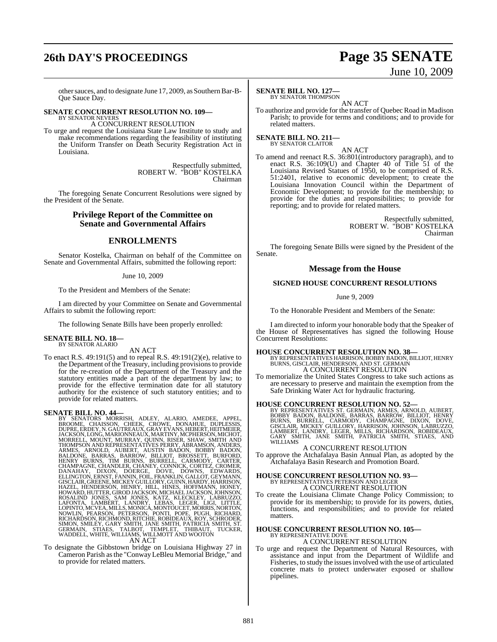# **26th DAY'S PROCEEDINGS Page 35 SENATE**

# June 10, 2009

other sauces, and to designate June 17, 2009, as Southern Bar-B-Que Sauce Day.

### **SENATE CONCURRENT RESOLUTION NO. 109—** BY SENATOR NEVERS

A CONCURRENT RESOLUTION

To urge and request the Louisiana State Law Institute to study and make recommendations regarding the feasibility of instituting the Uniform Transfer on Death Security Registration Act in Louisiana.

> Respectfully submitted, ROBERT W. "BOB" KOSTELKA Chairman

The foregoing Senate Concurrent Resolutions were signed by the President of the Senate.

### **Privilege Report of the Committee on Senate and Governmental Affairs**

### **ENROLLMENTS**

Senator Kostelka, Chairman on behalf of the Committee on Senate and Governmental Affairs, submitted the following report:

### June 10, 2009

To the President and Members of the Senate:

I am directed by your Committee on Senate and Governmental Affairs to submit the following report:

The following Senate Bills have been properly enrolled:

### **SENATE BILL NO. 18—** BY SENATOR ALARIO

AN ACT

To enact R.S. 49:191(5) and to repeal R.S. 49:191(2)(e), relative to the Department of the Treasury, including provisions to provide for the re-creation of the Department of the Treasury and the statutory entities made a part of the department by law; to provide for the effective termination date for all statutory authority for the existence of such statutory entities; and to provide for related matters.

### **SENATE BILL NO. 44—**

BY SENATORS MORRISH, ADLEY, ALARIO, AMEDEE, APPEL,<br>BROOME, CHAISSON, CHEEK, CROWE, DONAHUE, DUPRESSIS,<br>DUPRE,ERDEY,N.GAUTREAUX,GRAYEVANS,HEBERT,HEITMEIER,<br>JACKSON,LONG,MARIONNEAUX,MARTINY,MCPHERSON,MICHOT, MORRELL, MOUNT, MURRAY, QUINN, RISÈR, SHAW, SMITH AND<br>THOMPSON AND REPRESENTATIVES PERRY, ABRAMSON, ANDERS, ARNOLD, AUBERT, AUSTIN BADON, BOBBY BADON,<br>BALDONE, BARRAS, BARROW, BILLIOT, BROSSETT, BURFORD,<br>HENRY BURNS, TIM B

To designate the Gibbstown bridge on Louisiana Highway 27 in Cameron Parish asthe "Conway LeBleu Memorial Bridge," and to provide for related matters.

### **SENATE BILL NO. 127—**

BY SENATOR THOMPSON AN ACT

To authorize and provide for the transfer of Quebec Road in Madison Parish; to provide for terms and conditions; and to provide for related matters.

**SENATE BILL NO. 211—** BY SENATOR CLAITOR

AN ACT

To amend and reenact R.S. 36:801(introductory paragraph), and to enact R.S. 36:109(U) and Chapter 40 of Title 51 of the Louisiana Revised Statues of 1950, to be comprised of R.S. 51:2401, relative to economic development; to create the Louisiana Innovation Council within the Department of Economic Development; to provide for the membership; to provide for the duties and responsibilities; to provide for reporting; and to provide for related matters.

> Respectfully submitted, ROBERT W. "BOB" KOSTELKA Chairman

The foregoing Senate Bills were signed by the President of the Senate.

### **Message from the House**

### **SIGNED HOUSE CONCURRENT RESOLUTIONS**

June 9, 2009

To the Honorable President and Members of the Senate:

I am directed to inform your honorable body that the Speaker of the House of Representatives has signed the following House Concurrent Resolutions:

**HOUSE CONCURRENT RESOLUTION NO. 38—** BY REPRESENTATIVES HARRISON, BOBBY BADON, BILLIOT, HENRY BURNS, GISCLAIR, HENDERSON, AND ST. GERMAIN A CONCURRENT RESOLUTION

To memorialize the United States Congress to take such actions as are necessary to preserve and maintain the exemption from the Safe Drinking Water Act for hydraulic fracturing.

### **HOUSE CONCURRENT RESOLUTION NO. 52—**

BY REPRESENTATIVES ST. GERMAIN, ARMES, ARNOLD, AUBERT,<br>BOBBY BADON, BALDONE, BARRAS, BARROW, BILLIOT, HENRY<br>BURNS, BURRELL, CARMODY, CHAMPAGNE, DIXON, DOVE,<br>GISCLAIR, MICKEY GUILLORY, HARRISON, JOHNSON, LABRUZZO,<br>LAMBERT,

### A CONCURRENT RESOLUTION

To approve the Atchafalaya Basin Annual Plan, as adopted by the Atchafalaya Basin Research and Promotion Board.

### **HOUSE CONCURRENT RESOLUTION NO. 93—** BY REPRESENTATIVES PETERSON AND LEGER A CONCURRENT RESOLUTION

To create the Louisiana Climate Change Policy Commission; to provide for its membership; to provide for its powers, duties, functions, and responsibilities; and to provide for related matters.

### **HOUSE CONCURRENT RESOLUTION NO. 105—** BY REPRESENTATIVE DOVE A CONCURRENT RESOLUTION

To urge and request the Department of Natural Resources, with assistance and input from the Department of Wildlife and Fisheries, to study the issues involved with the use of articulated concrete mats to protect underwater exposed or shallow pipelines.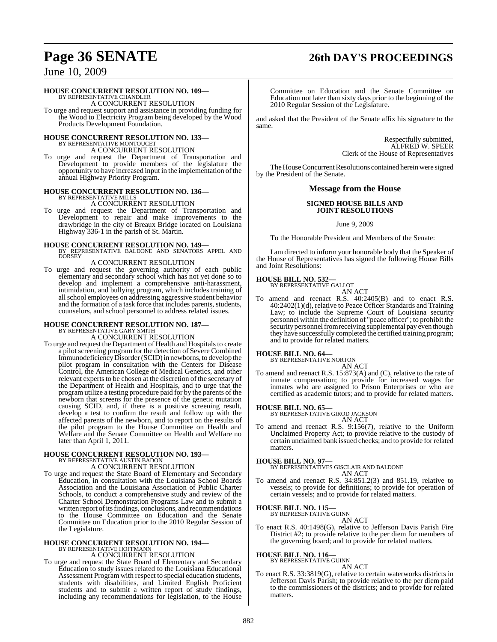# **Page 36 SENATE 26th DAY'S PROCEEDINGS**

### June 10, 2009

### **HOUSE CONCURRENT RESOLUTION NO. 109—**

BY REPRESENTATIVE CHANDLER A CONCURRENT RESOLUTION

To urge and request support and assistance in providing funding for the Wood to Electricity Program being developed by the Wood Products Development Foundation.

# **HOUSE CONCURRENT RESOLUTION NO. 133—** BY REPRESENTATIVE MONTOUCET

A CONCURRENT RESOLUTION

To urge and request the Department of Transportation and Development to provide members of the legislature the opportunity to have increased input in the implementation of the annual Highway Priority Program.

### **HOUSE CONCURRENT RESOLUTION NO. 136—** BY REPRESENTATIVE MILLS

A CONCURRENT RESOLUTION To urge and request the Department of Transportation and Development to repair and make improvements to the drawbridge in the city of Breaux Bridge located on Louisiana Highway 336-1 in the parish of St. Martin.

### **HOUSE CONCURRENT RESOLUTION NO. 149—** BY REPRESENTATIVE BALDONE AND SENATORS APPEL AND **DORSEY**

### A CONCURRENT RESOLUTION

To urge and request the governing authority of each public elementary and secondary school which has not yet done so to develop and implement a comprehensive anti-harassment, intimidation, and bullying program, which includes training of allschool employees on addressing aggressive student behavior and the formation of a task force that includes parents, students, counselors, and school personnel to address related issues.

# **HOUSE CONCURRENT RESOLUTION NO. 187—** BY REPRESENTATIVE GARY SMITH

A CONCURRENT RESOLUTION

To urge and request the Department of Health and Hospitals to create a pilot screening program for the detection of Severe Combined Immunodeficiency Disorder (SCID) in newborns, to develop the pilot program in consultation with the Centers for Disease Control, the American College of Medical Genetics, and other relevant experts to be chosen at the discretion of the secretary of the Department of Health and Hospitals, and to urge that the program utilize a testing procedure paid for by the parents of the newborn that screens for the presence of the genetic mutation causing SCID, and, if there is a positive screening result, develop a test to confirm the result and follow up with the affected parents of the newborn, and to report on the results of the pilot program to the House Committee on Health and Welfare and the Senate Committee on Health and Welfare no later than April 1, 2011.

# **HOUSE CONCURRENT RESOLUTION NO. 193—** BY REPRESENTATIVE AUSTIN BADON

A CONCURRENT RESOLUTION

To urge and request the State Board of Elementary and Secondary Education, in consultation with the Louisiana School Boards Association and the Louisiana Association of Public Charter Schools, to conduct a comprehensive study and review of the Charter School Demonstration Programs Law and to submit a written report of its findings, conclusions, and recommendations to the House Committee on Education and the Senate Committee on Education prior to the 2010 Regular Session of the Legislature.

### **HOUSE CONCURRENT RESOLUTION NO. 194—** BY REPRESENTATIVE HOFFMANN A CONCURRENT RESOLUTION

To urge and request the State Board of Elementary and Secondary Education to study issues related to the Louisiana Educational Assessment Program with respect to special education students, students with disabilities, and Limited English Proficient students and to submit a written report of study findings, including any recommendations for legislation, to the House

Committee on Education and the Senate Committee on Education not later than sixty days prior to the beginning of the 2010 Regular Session of the Legislature.

and asked that the President of the Senate affix his signature to the same.

> Respectfully submitted, ALFRED W. SPEER Clerk of the House of Representatives

The House Concurrent Resolutions contained herein were signed by the President of the Senate.

### **Message from the House**

### **SIGNED HOUSE BILLS AND JOINT RESOLUTIONS**

June 9, 2009

To the Honorable President and Members of the Senate:

I am directed to inform your honorable body that the Speaker of the House of Representatives has signed the following House Bills and Joint Resolutions:

### **HOUSE BILL NO. 532—**

BY REPRESENTATIVE GALLOT AN ACT

To amend and reenact R.S. 40:2405(B) and to enact R.S. 40:2402(1)(d), relative to Peace Officer Standards and Training Law; to include the Supreme Court of Louisiana security personnel within the definition of "peace officer"; to prohibit the security personnel from receiving supplemental pay even though they have successfully completed the certified training program; and to provide for related matters.

### **HOUSE BILL NO. 64—** BY REPRESENTATIVE NORTON

AN ACT To amend and reenact R.S. 15:873(A) and (C), relative to the rate of inmate compensation; to provide for increased wages for inmates who are assigned to Prison Enterprises or who are certified as academic tutors; and to provide for related matters.

### **HOUSE BILL NO. 65—** BY REPRESENTATIVE GIROD JACKSON

AN ACT

To amend and reenact R.S. 9:156(7), relative to the Uniform Unclaimed Property Act; to provide relative to the custody of certain unclaimed bank issued checks; and to provide for related matters.

**HOUSE BILL NO. 97—** BY REPRESENTATIVES GISCLAIR AND BALDONE AN ACT

To amend and reenact R.S. 34:851.2(3) and 851.19, relative to vessels; to provide for definitions; to provide for operation of certain vessels; and to provide for related matters.

## **HOUSE BILL NO. 115—** BY REPRESENTATIVE GUINN

AN ACT

To enact R.S. 40:1498(G), relative to Jefferson Davis Parish Fire District #2; to provide relative to the per diem for members of the governing board; and to provide for related matters.

### **HOUSE BILL NO. 116—** BY REPRESENTATIVE GUINN

AN ACT

To enact R.S. 33:3819(G), relative to certain waterworks districts in Jefferson Davis Parish; to provide relative to the per diem paid to the commissioners of the districts; and to provide for related matters.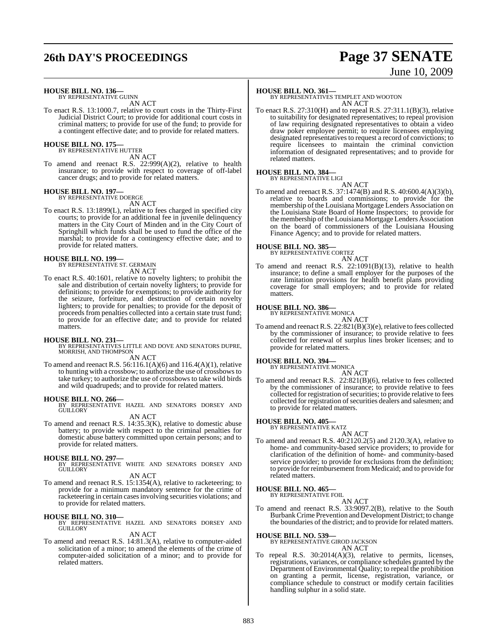# **26th DAY'S PROCEEDINGS Page 37 SENATE**

# June 10, 2009

**HOUSE BILL NO. 136—** BY REPRESENTATIVE GUINN

AN ACT

To enact R.S. 13:1000.7, relative to court costs in the Thirty-First Judicial District Court; to provide for additional court costs in criminal matters; to provide for use of the fund; to provide for a contingent effective date; and to provide for related matters.

## **HOUSE BILL NO. 175—** BY REPRESENTATIVE HUTTER

AN ACT

To amend and reenact R.S. 22:999(A)(2), relative to health insurance; to provide with respect to coverage of off-label cancer drugs; and to provide for related matters.

### **HOUSE BILL NO. 197—**

BY REPRESENTATIVE DOERGE AN ACT

To enact R.S. 13:1899(L), relative to fees charged in specified city courts; to provide for an additional fee in juvenile delinquency matters in the City Court of Minden and in the City Court of Springhill which funds shall be used to fund the office of the marshal; to provide for a contingency effective date; and to provide for related matters.

### **HOUSE BILL NO. 199—**

BY REPRESENTATIVE ST. GERMAIN AN ACT

To enact R.S. 40:1601, relative to novelty lighters; to prohibit the sale and distribution of certain novelty lighters; to provide for definitions; to provide for exemptions; to provide authority for the seizure, forfeiture, and destruction of certain novelty lighters; to provide for penalties; to provide for the deposit of proceeds from penalties collected into a certain state trust fund; to provide for an effective date; and to provide for related matters.

**HOUSE BILL NO. 231—** BY REPRESENTATIVES LITTLE AND DOVE AND SENATORS DUPRE, MORRISH, AND THOMPSON AN ACT

To amend and reenact R.S. 56:116.1(A)(6) and 116.4(A)(1), relative to hunting with a crossbow; to authorize the use of crossbows to take turkey; to authorize the use of crossbows to take wild birds and wild quadrupeds; and to provide for related matters.

**HOUSE BILL NO. 266—** BY REPRESENTATIVE HAZEL AND SENATORS DORSEY AND GUILLORY

AN ACT

To amend and reenact R.S. 14:35.3(K), relative to domestic abuse battery; to provide with respect to the criminal penalties for domestic abuse battery committed upon certain persons; and to provide for related matters.

### **HOUSE BILL NO. 297—**

BY REPRESENTATIVE WHITE AND SENATORS DORSEY AND GUILLORY

AN ACT

To amend and reenact R.S. 15:1354(A), relative to racketeering; to provide for a minimum mandatory sentence for the crime of racketeering in certain casesinvolving securities violations; and to provide for related matters.

**HOUSE BILL NO. 310—** BY REPRESENTATIVE HAZEL AND SENATORS DORSEY AND GUILLORY

AN ACT

To amend and reenact R.S. 14:81.3(A), relative to computer-aided solicitation of a minor; to amend the elements of the crime of computer-aided solicitation of a minor; and to provide for related matters.

### **HOUSE BILL NO. 361—**

BY REPRESENTATIVES TEMPLET AND WOOTON AN ACT

To enact R.S. 27:310(H) and to repeal R.S. 27:311.1(B)(3), relative to suitability for designated representatives; to repeal provision of law requiring designated representatives to obtain a video draw poker employee permit; to require licensees employing designated representatives to request a record of convictions; to require licensees to maintain the criminal conviction information of designated representatives; and to provide for related matters.

### **HOUSE BILL NO. 384—**

BY REPRESENTATIVE LIGI

AN ACT To amend and reenact R.S. 37:1474(B) and R.S. 40:600.4(A)(3)(b), relative to boards and commissions; to provide for the membership of the Louisiana Mortgage Lenders Association on the Louisiana State Board of Home Inspectors; to provide for the membership of the Louisiana Mortgage Lenders Association on the board of commissioners of the Louisiana Housing Finance Agency; and to provide for related matters.

### **HOUSE BILL NO. 385—** BY REPRESENTATIVE CORTEZ

AN ACT To amend and reenact R.S. 22:1091(B)(13), relative to health insurance; to define a small employer for the purposes of the rate limitation provisions for health benefit plans providing coverage for small employers; and to provide for related matters.

**HOUSE BILL NO. 386—** BY REPRESENTATIVE MONICA

AN ACT To amend and reenact R.S. 22:821(B)(3)(e), relative to fees collected by the commissioner of insurance; to provide relative to fees collected for renewal of surplus lines broker licenses; and to provide for related matters.

### **HOUSE BILL NO. 394—**

BY REPRESENTATIVE MONICA AN ACT

To amend and reenact R.S. 22:821(B)(6), relative to fees collected by the commissioner of insurance; to provide relative to fees collected for registration of securities; to provide relative to fees collected for registration of securities dealers and salesmen; and to provide for related matters.

### **HOUSE BILL NO. 405—** BY REPRESENTATIVE KATZ

AN ACT To amend and reenact R.S. 40:2120.2(5) and 2120.3(A), relative to home- and community-based service providers; to provide for clarification of the definition of home- and community-based service provider; to provide for exclusions from the definition; to provide for reimbursement from Medicaid; and to provide for related matters.

## **HOUSE BILL NO. 465—** BY REPRESENTATIVE FOIL

AN ACT To amend and reenact R.S. 33:9097.2(B), relative to the South BurbankCrime Prevention and Development District; to change the boundaries of the district; and to provide for related matters.

**HOUSE BILL NO. 539—** BY REPRESENTATIVE GIROD JACKSON

AN ACT

To repeal R.S. 30:2014(A)(3), relative to permits, licenses, registrations, variances, or compliance schedules granted by the Department of Environmental Quality; to repeal the prohibition on granting a permit, license, registration, variance, or compliance schedule to construct or modify certain facilities handling sulphur in a solid state.